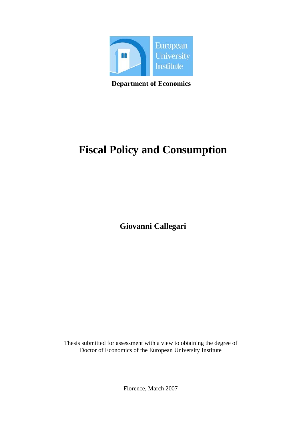

**Department of Economics**

# **Fiscal Policy and Consumption**

**Giovanni Callegari** 

Thesis submitted for assessment with a view to obtaining the degree of Doctor of Economics of the European University Institute

Florence, March 2007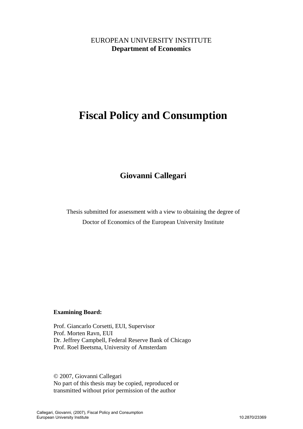# EUROPEAN UNIVERSITY INSTITUTE **Department of Economics**

# **Fiscal Policy and Consumption**

# **Giovanni Callegari**

Thesis submitted for assessment with a view to obtaining the degree of Doctor of Economics of the European University Institute

## **Examining Board:**

Prof. Giancarlo Corsetti, EUI, Supervisor Prof. Morten Ravn, EUI Dr. Jeffrey Campbell, Federal Reserve Bank of Chicago Prof. Roel Beetsma, University of Amsterdam

© 2007, Giovanni Callegari No part of this thesis may be copied, reproduced or transmitted without prior permission of the author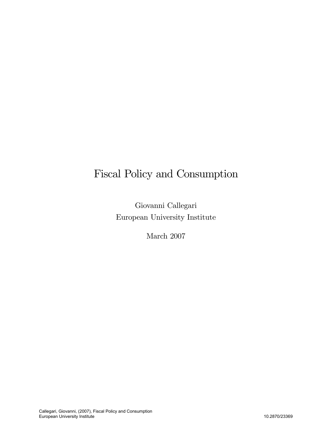# Fiscal Policy and Consumption

Giovanni Callegari European University Institute

March 2007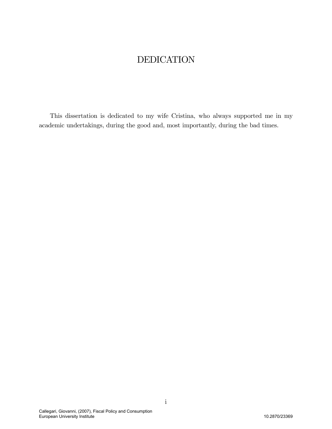# DEDICATION

This dissertation is dedicated to my wife Cristina, who always supported me in my academic undertakings, during the good and, most importantly, during the bad times.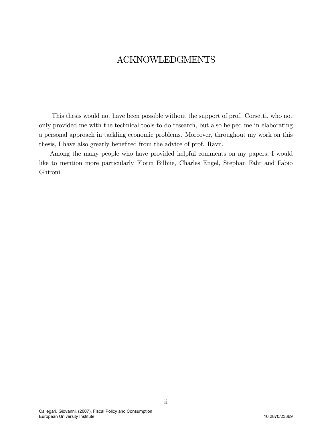# ACKNOWLEDGMENTS

This thesis would not have been possible without the support of prof. Corsetti, who not only provided me with the technical tools to do research, but also helped me in elaborating a personal approach in tackling economic problems. Moreover, throughout my work on this thesis, I have also greatly benefited from the advice of prof. Ravn.

Among the many people who have provided helpful comments on my papers, I would like to mention more particularly Florin Bilbiie, Charles Engel, Stephan Fahr and Fabio Ghironi.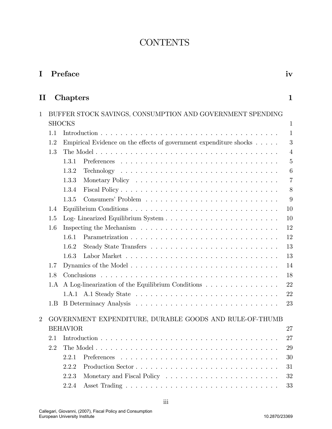# **CONTENTS**

| I              | Preface                                                   |               |                                                                              |                |  |  |  |
|----------------|-----------------------------------------------------------|---------------|------------------------------------------------------------------------------|----------------|--|--|--|
| $\mathbf H$    |                                                           | Chapters      |                                                                              | $\mathbf 1$    |  |  |  |
| 1              | BUFFER STOCK SAVINGS, CONSUMPTION AND GOVERNMENT SPENDING |               |                                                                              |                |  |  |  |
|                |                                                           | <b>SHOCKS</b> |                                                                              | $\mathbf{1}$   |  |  |  |
|                | 1.1                                                       |               |                                                                              | $\mathbf{1}$   |  |  |  |
|                | 1.2                                                       |               | Empirical Evidence on the effects of government expenditure shocks $\dots$ . | 3              |  |  |  |
|                | 1.3                                                       |               |                                                                              | $\overline{4}$ |  |  |  |
|                |                                                           | 1.3.1         |                                                                              | $\overline{5}$ |  |  |  |
|                |                                                           | 1.3.2         |                                                                              | 6              |  |  |  |
|                |                                                           | 1.3.3         |                                                                              | $\overline{7}$ |  |  |  |
|                |                                                           | 1.3.4         |                                                                              | 8              |  |  |  |
|                |                                                           | 1.3.5         |                                                                              | 9              |  |  |  |
|                | 1.4                                                       |               |                                                                              | 10             |  |  |  |
|                | 1.5                                                       |               |                                                                              | 10             |  |  |  |
|                | 1.6                                                       |               |                                                                              | 12             |  |  |  |
|                |                                                           | 1.6.1         |                                                                              | 12             |  |  |  |
|                |                                                           | 1.6.2         |                                                                              | 13             |  |  |  |
|                |                                                           | 1.6.3         |                                                                              | 13             |  |  |  |
|                | 1.7                                                       |               |                                                                              | 14             |  |  |  |
|                | 1.8                                                       |               |                                                                              | 18             |  |  |  |
|                | 1.A                                                       |               | A Log-linearization of the Equilibrium Conditions                            | 22             |  |  |  |
|                |                                                           |               |                                                                              | 22             |  |  |  |
|                | 1.B                                                       |               |                                                                              | 23             |  |  |  |
| $\overline{2}$ |                                                           |               | GOVERNMENT EXPENDITURE, DURABLE GOODS AND RULE-OF-THUMB                      |                |  |  |  |
|                | <b>BEHAVIOR</b>                                           |               |                                                                              |                |  |  |  |
|                | 2.1                                                       |               | 27<br>27                                                                     |                |  |  |  |
|                | 2.2                                                       |               |                                                                              | 29             |  |  |  |
|                |                                                           | 2.2.1         |                                                                              | 30             |  |  |  |
|                |                                                           | 2.2.2         |                                                                              | 31             |  |  |  |
|                |                                                           | 2.2.3         |                                                                              | 32             |  |  |  |
|                |                                                           |               |                                                                              |                |  |  |  |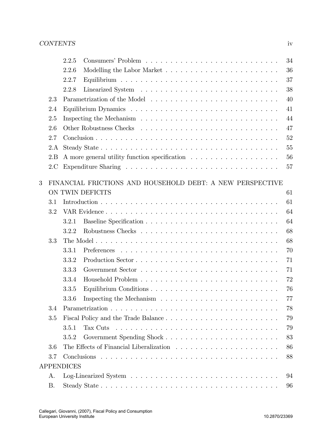|   |     | 34<br>2.2.5                                                                                                   |
|---|-----|---------------------------------------------------------------------------------------------------------------|
|   |     | 36<br>2.2.6                                                                                                   |
|   |     | 37<br>2.2.7                                                                                                   |
|   |     | 38<br>2.2.8                                                                                                   |
|   | 2.3 | 40                                                                                                            |
|   | 2.4 | 41                                                                                                            |
|   | 2.5 | Inspecting the Mechanism $\ldots \ldots \ldots \ldots \ldots \ldots \ldots \ldots \ldots \ldots$<br>44        |
|   | 2.6 | 47                                                                                                            |
|   | 2.7 | 52                                                                                                            |
|   | 2.A | 55                                                                                                            |
|   | 2.B | 56<br>A more general utility function specification                                                           |
|   | 2.C | 57                                                                                                            |
|   |     |                                                                                                               |
| 3 |     | FINANCIAL FRICTIONS AND HOUSEHOLD DEBT: A NEW PERSPECTIVE                                                     |
|   |     | ON TWIN DEFICITS<br>61                                                                                        |
|   | 3.1 | 61                                                                                                            |
|   | 3.2 | 64                                                                                                            |
|   |     | 64<br>3.2.1                                                                                                   |
|   |     | 68<br>3.2.2                                                                                                   |
|   | 3.3 | 68                                                                                                            |
|   |     | 70<br>3.3.1                                                                                                   |
|   |     | 3.3.2<br>71                                                                                                   |
|   |     | 71<br>3.3.3                                                                                                   |
|   |     | 3.3.4<br>72                                                                                                   |
|   |     | 76<br>3.3.5                                                                                                   |
|   |     |                                                                                                               |
|   |     | 3.3.6 Inspecting the Mechanism $\ldots \ldots \ldots \ldots \ldots \ldots \ldots \ldots$<br>$77\,$            |
|   | 3.4 | 78                                                                                                            |
|   | 3.5 | 79                                                                                                            |
|   |     | 79<br>3.5.1<br>Tax Cuts $\dots \dots \dots \dots \dots \dots \dots \dots \dots \dots \dots \dots \dots \dots$ |
|   |     | 83<br>3.5.2                                                                                                   |
|   | 3.6 | 86                                                                                                            |
|   | 3.7 | 88                                                                                                            |
|   |     | <b>APPENDICES</b>                                                                                             |
|   | А.  | 94                                                                                                            |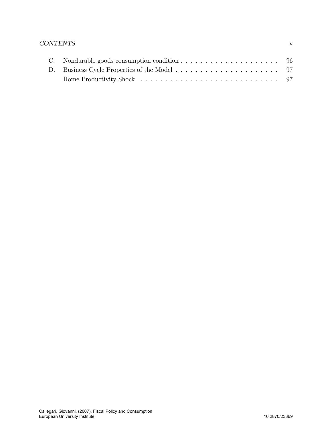# CONTENTS v

| C. Nondurable goods consumption condition $\ldots \ldots \ldots \ldots \ldots \ldots \ldots$ 96 |  |
|-------------------------------------------------------------------------------------------------|--|
|                                                                                                 |  |
|                                                                                                 |  |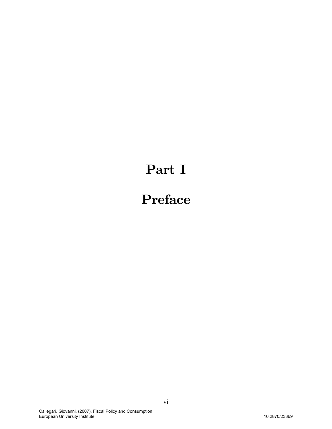# Part I

# Preface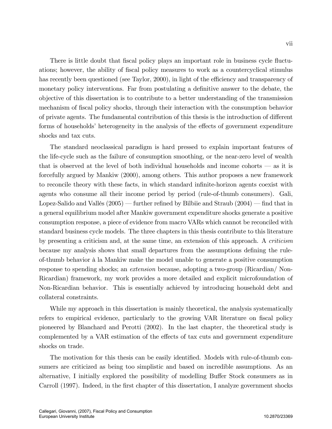There is little doubt that fiscal policy plays an important role in business cycle fluctuations; however, the ability of fiscal policy measures to work as a countercyclical stimulus has recently been questioned (see Taylor, 2000), in light of the efficiency and transparency of monetary policy interventions. Far from postulating a definitive answer to the debate, the objective of this dissertation is to contribute to a better understanding of the transmission mechanism of fiscal policy shocks, through their interaction with the consumption behavior of private agents. The fundamental contribution of this thesis is the introduction of different forms of households' heterogeneity in the analysis of the effects of government expenditure shocks and tax cuts.

The standard neoclassical paradigm is hard pressed to explain important features of the life-cycle such as the failure of consumption smoothing, or the near-zero level of wealth that is observed at the level of both individual households and income cohorts  $\sim$  as it is forcefully argued by Mankiw (2000), among others. This author proposes a new framework to reconcile theory with these facts, in which standard infinite-horizon agents coexist with agents who consume all their income period by period (rule-of-thumb consumers). Gali, Lopez-Salido and Vallés  $(2005)$  – further refined by Bilbiie and Straub  $(2004)$  – find that in a general equilibrium model after Mankiw government expenditure shocks generate a positive consumption response, a piece of evidence from macro VARs which cannot be reconciled with standard business cycle models. The three chapters in this thesis contribute to this literature by presenting a criticism and, at the same time, an extension of this approach. A criticism because my analysis shows that small departures from the assumptions defining the ruleof-thumb behavior à la Mankiw make the model unable to generate a positive consumption response to spending shocks; an extension because, adopting a two-group (Ricardian/ Non-Ricardian) framework, my work provides a more detailed and explicit microfoundation of Non-Ricardian behavior. This is essentially achieved by introducing household debt and collateral constraints.

While my approach in this dissertation is mainly theoretical, the analysis systematically refers to empirical evidence, particularly to the growing VAR literature on fiscal policy pioneered by Blanchard and Perotti (2002). In the last chapter, the theoretical study is complemented by a VAR estimation of the effects of tax cuts and government expenditure shocks on trade.

The motivation for this thesis can be easily identified. Models with rule-of-thumb consumers are criticized as being too simplistic and based on incredible assumptions. As an alternative, I initially explored the possibility of modelling Buffer Stock consumers as in Carroll (1997). Indeed, in the first chapter of this dissertation, I analyze government shocks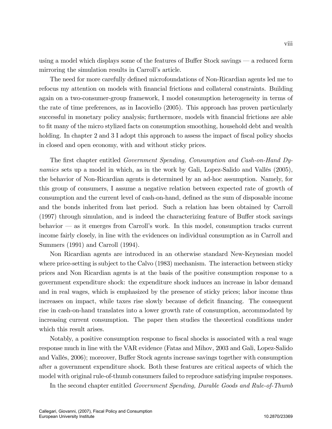using a model which displays some of the features of Buffer Stock savings  $\sim$  a reduced form mirroring the simulation results in Carroll's article.

The need for more carefully defined microfoundations of Non-Ricardian agents led me to refocus my attention on models with financial frictions and collateral constraints. Building again on a two-consumer-group framework, I model consumption heterogeneity in terms of the rate of time preferences, as in Iacoviello (2005). This approach has proven particularly successful in monetary policy analysis; furthermore, models with financial frictions are able to fit many of the micro stylized facts on consumption smoothing, household debt and wealth holding. In chapter 2 and 3 I adopt this approach to assess the impact of fiscal policy shocks in closed and open economy, with and without sticky prices.

The first chapter entitled Government Spending, Consumption and Cash-on-Hand Dynamics sets up a model in which, as in the work by Gali, Lopez-Salido and Vallés  $(2005)$ , the behavior of Non-Ricardian agents is determined by an ad-hoc assumption. Namely, for this group of consumers, I assume a negative relation between expected rate of growth of consumption and the current level of cash-on-hand, defined as the sum of disposable income and the bonds inherited from last period. Such a relation has been obtained by Carroll  $(1997)$  through simulation, and is indeed the characterizing feature of Buffer stock savings behavior  $\sim$  as it emerges from Carroll's work. In this model, consumption tracks current income fairly closely, in line with the evidences on individual consumption as in Carroll and Summers (1991) and Carroll (1994).

Non Ricardian agents are introduced in an otherwise standard New-Keynesian model where price-setting is subject to the Calvo (1983) mechanism. The interaction between sticky prices and Non Ricardian agents is at the basis of the positive consumption response to a government expenditure shock: the expenditure shock induces an increase in labor demand and in real wages, which is emphasized by the presence of sticky prices; labor income thus increases on impact, while taxes rise slowly because of deficit financing. The consequent rise in cash-on-hand translates into a lower growth rate of consumption, accommodated by increasing current consumption. The paper then studies the theoretical conditions under which this result arises.

Notably, a positive consumption response to fiscal shocks is associated with a real wage response much in line with the VAR evidence (Fatas and Mihov, 2003 and Gali, Lopez-Salido and Vallés, 2006); moreover, Buffer Stock agents increase savings together with consumption after a government expenditure shock. Both these features are critical aspects of which the model with original rule-of-thumb consumers failed to reproduce satisfying impulse responses.

In the second chapter entitled Government Spending, Durable Goods and Rule-of-Thumb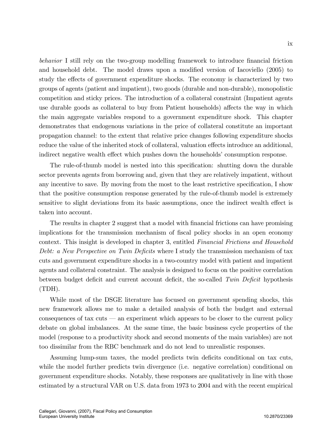behavior I still rely on the two-group modelling framework to introduce financial friction and household debt. The model draws upon a modified version of Iacoviello  $(2005)$  to study the effects of government expenditure shocks. The economy is characterized by two groups of agents (patient and impatient), two goods (durable and non-durable), monopolistic competition and sticky prices. The introduction of a collateral constraint (Impatient agents use durable goods as collateral to buy from Patient households) affects the way in which the main aggregate variables respond to a government expenditure shock. This chapter demonstrates that endogenous variations in the price of collateral constitute an important propagation channel: to the extent that relative price changes following expenditure shocks reduce the value of the inherited stock of collateral, valuation effects introduce an additional, indirect negative wealth effect which pushes down the households' consumption response.

The rule-of-thumb model is nested into this specification: shutting down the durable sector prevents agents from borrowing and, given that they are relatively impatient, without any incentive to save. By moving from the most to the least restrictive specification, I show that the positive consumption response generated by the rule-of-thumb model is extremely sensitive to slight deviations from its basic assumptions, once the indirect wealth effect is taken into account.

The results in chapter 2 suggest that a model with financial frictions can have promising implications for the transmission mechanism of fiscal policy shocks in an open economy context. This insight is developed in chapter 3, entitled Financial Frictions and Household Debt: a New Perspective on Twin Deficits where I study the transmission mechanism of tax cuts and government expenditure shocks in a two-country model with patient and impatient agents and collateral constraint. The analysis is designed to focus on the positive correlation between budget deficit and current account deficit, the so-called  $Twin$  Deficit hypothesis (TDH).

While most of the DSGE literature has focused on government spending shocks, this new framework allows me to make a detailed analysis of both the budget and external consequences of tax cuts  $\sim$  an experiment which appears to be closer to the current policy debate on global imbalances. At the same time, the basic business cycle properties of the model (response to a productivity shock and second moments of the main variables) are not too dissimilar from the RBC benchmark and do not lead to unrealistic responses.

Assuming lump-sum taxes, the model predicts twin deficits conditional on tax cuts, while the model further predicts twin divergence (i.e. negative correlation) conditional on government expenditure shocks. Notably, these responses are qualitatively in line with those estimated by a structural VAR on U.S. data from 1973 to 2004 and with the recent empirical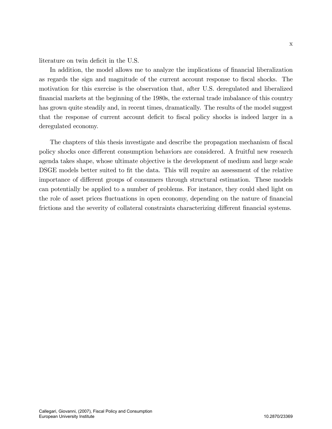literature on twin deficit in the U.S.

In addition, the model allows me to analyze the implications of financial liberalization as regards the sign and magnitude of the current account response to Öscal shocks. The motivation for this exercise is the observation that, after U.S. deregulated and liberalized Önancial markets at the beginning of the 1980s, the external trade imbalance of this country has grown quite steadily and, in recent times, dramatically. The results of the model suggest that the response of current account deficit to fiscal policy shocks is indeed larger in a deregulated economy.

The chapters of this thesis investigate and describe the propagation mechanism of fiscal policy shocks once different consumption behaviors are considered. A fruitful new research agenda takes shape, whose ultimate objective is the development of medium and large scale DSGE models better suited to fit the data. This will require an assessment of the relative importance of different groups of consumers through structural estimation. These models can potentially be applied to a number of problems. For instance, they could shed light on the role of asset prices fluctuations in open economy, depending on the nature of financial frictions and the severity of collateral constraints characterizing different financial systems.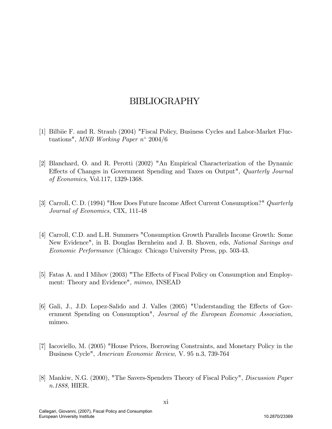# BIBLIOGRAPHY

- [1] Bilbiie F. and R. Straub (2004) "Fiscal Policy, Business Cycles and Labor-Market Fluctuations", MNB Working Paper  $n^{\circ}$  2004/6
- [2] Blanchard, O. and R. Perotti (2002) "An Empirical Characterization of the Dynamic Effects of Changes in Government Spending and Taxes on Output", *Quarterly Journal* of Economics, Vol.117, 1329-1368.
- [3] Carroll, C. D. (1994) "How Does Future Income Affect Current Consumption?" Quarterly Journal of Economics, CIX, 111-48
- [4] Carroll, C.D. and L.H. Summers "Consumption Growth Parallels Income Growth: Some New Evidence", in B. Douglas Bernheim and J. B. Shoven, eds, *National Savings and* Economic Performance (Chicago: Chicago University Press, pp. 503-43.
- [5] Fatas A. and I Mihov (2003) "The Effects of Fiscal Policy on Consumption and Employment: Theory and Evidence", mimeo, INSEAD
- [6] Gali, J., J.D. Lopez-Salido and J. Valles  $(2005)$  "Understanding the Effects of Government Spending on Consumption", Journal of the European Economic Association, mimeo.
- [7] Iacoviello, M. (2005) "House Prices, Borrowing Constraints, and Monetary Policy in the Business Cycle", American Economic Review, V. 95 n.3, 739-764
- [8] Mankiw, N.G. (2000), "The Savers-Spenders Theory of Fiscal Policy", Discussion Paper n.1888, HIER.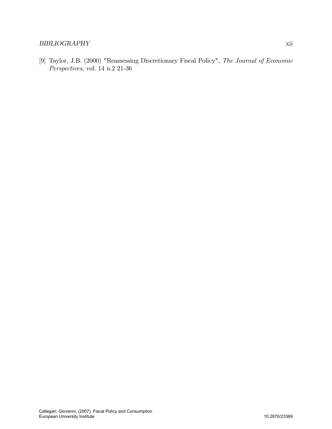## BIBLIOGRAPHY xii

[9] Taylor, J.B. (2000) "Reassessing Discretionary Fiscal Policy", The Journal of Economic Perspectives, vol. 14 n.2 21-36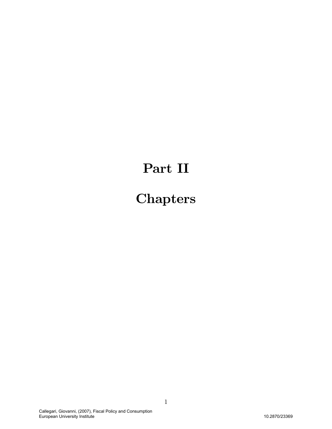# Part II

# **Chapters**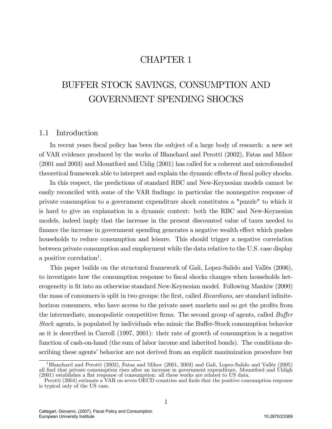# CHAPTER 1

# BUFFER STOCK SAVINGS, CONSUMPTION AND GOVERNMENT SPENDING SHOCKS

## 1.1 Introduction

In recent years fiscal policy has been the subject of a large body of research: a new set of VAR evidence produced by the works of Blanchard and Perotti (2002), Fatas and Mihov (2001 and 2003) and Mountford and Uhlig (2001) has called for a coherent and microfounded theoretical framework able to interpret and explain the dynamic effects of fiscal policy shocks.

In this respect, the predictions of standard RBC and New-Keynesian models cannot be easily reconciled with some of the VAR findings: in particular the nonnegative response of private consumption to a government expenditure shock constitutes a "puzzle" to which it is hard to give an explanation in a dynamic context: both the RBC and New-Keynesian models, indeed imply that the increase in the present discounted value of taxes needed to finance the increase in government spending generates a negative wealth effect which pushes households to reduce consumption and leisure. This should trigger a negative correlation between private consumption and employment while the data relative to the U.S. case display a positive correlation<sup>1</sup>.

This paper builds on the structural framework of Gali, Lopez-Salido and Vallés (2006), to investigate how the consumption response to fiscal shocks changes when households heterogeneity is Öt into an otherwise standard New-Keynesian model. Following Mankiw (2000) the mass of consumers is split in two groups: the first, called *Ricardians*, are standard infinitehorizon consumers, who have access to the private asset markets and so get the profits from the intermediate, monopolistic competitive firms. The second group of agents, called  $Buffer$ Stock agents, is populated by individuals who mimic the Buffer-Stock consumption behavior as it is described in Carroll (1997, 2001): their rate of growth of consumption is a negative function of cash-on-hand (the sum of labor income and inherited bonds). The conditions describing these agents' behavior are not derived from an explicit maximization procedure but

<sup>&</sup>lt;sup>1</sup>Blanchard and Perotti (2002), Fatas and Mihov (2001, 2003) and Gali, Lopez-Salido and Vallés (2005) all Önd that private consumption rises after an increase in government expenditure. Mountford and Uhligh  $(2001)$  establishes a flat response of consumption: all these works are related to US data.

Perotti (2004) estimate a VAR on seven OECD countries and finds that the positive consumption response is typical only of the US case.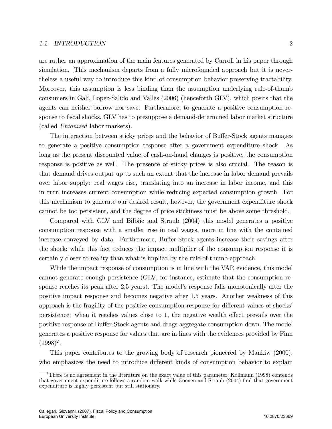#### 1.1. INTRODUCTION 2

are rather an approximation of the main features generated by Carroll in his paper through simulation. This mechanism departs from a fully microfounded approach but it is nevertheless a useful way to introduce this kind of consumption behavior preserving tractability. Moreover, this assumption is less binding than the assumption underlying rule-of-thumb consumers in Gali, Lopez-Salido and Vallés (2006) (henceforth GLV), which posits that the agents can neither borrow nor save. Furthermore, to generate a positive consumption response to fiscal shocks, GLV has to presuppose a demand-determined labor market structure (called Unionized labor markets).

The interaction between sticky prices and the behavior of Buffer-Stock agents manages to generate a positive consumption response after a government expenditure shock. As long as the present discounted value of cash-on-hand changes is positive, the consumption response is positive as well. The presence of sticky prices is also crucial. The reason is that demand drives output up to such an extent that the increase in labor demand prevails over labor supply: real wages rise, translating into an increase in labor income, and this in turn increases current consumption while reducing expected consumption growth. For this mechanism to generate our desired result, however, the government expenditure shock cannot be too persistent, and the degree of price stickiness must be above some threshold.

Compared with GLV and Bilbiie and Straub (2004) this model generates a positive consumption response with a smaller rise in real wages, more in line with the contained increase conveyed by data. Furthermore, Buffer-Stock agents increase their savings after the shock: while this fact reduces the impact multiplier of the consumption response it is certainly closer to reality than what is implied by the rule-of-thumb approach.

While the impact response of consumption is in line with the VAR evidence, this model cannot generate enough persistence (GLV, for instance, estimate that the consumption response reaches its peak after 2,5 years). The model's response falls monotonically after the positive impact response and becomes negative after 1,5 years. Another weakness of this approach is the fragility of the positive consumption response for different values of shocks' persistence: when it reaches values close to  $1$ , the negative wealth effect prevails over the positive response of Buffer-Stock agents and drags aggregate consumption down. The model generates a positive response for values that are in lines with the evidences provided by Finn  $(1998)^2$ .

This paper contributes to the growing body of research pioneered by Mankiw (2000), who emphasizes the need to introduce different kinds of consumption behavior to explain

<sup>&</sup>lt;sup>2</sup>There is no agreement in the literature on the exact value of this parameter: Kollmann (1998) contends that government expenditure follows a random walk while Coenen and Straub (2004) find that government expenditure is highly persistent but still stationary.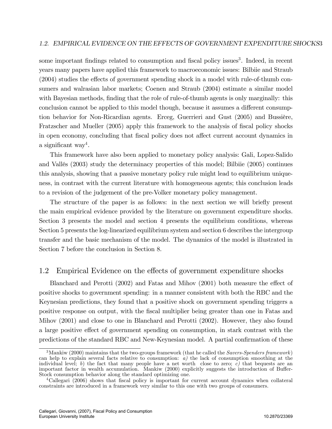some important findings related to consumption and fiscal policy issues<sup>3</sup>. Indeed, in recent years many papers have applied this framework to macroeconomic issues: Bilbiie and Straub  $(2004)$  studies the effects of government spending shock in a model with rule-of-thumb consumers and walrasian labor markets; Coenen and Straub (2004) estimate a similar model with Bayesian methods, finding that the role of rule-of-thumb agents is only marginally: this conclusion cannot be applied to this model though, because it assumes a different consumption behavior for Non-Ricardian agents. Erceg, Guerrieri and Gust (2005) and Bussière, Fratzscher and Mueller (2005) apply this framework to the analysis of fiscal policy shocks in open economy, concluding that fiscal policy does not affect current account dynamics in a significant way<sup>4</sup>.

This framework have also been applied to monetary policy analysis: Gali, Lopez-Salido and VallÈs (2003) study the determinacy properties of this model; Bilbiie (2005) continues this analysis, showing that a passive monetary policy rule might lead to equilibrium uniqueness, in contrast with the current literature with homogeneous agents; this conclusion leads to a revision of the judgement of the pre-Volker monetary policy management.

The structure of the paper is as follows: in the next section we will briefly present the main empirical evidence provided by the literature on government expenditure shocks. Section 3 presents the model and section 4 presents the equilibrium conditions, whereas Section 5 presents the log-linearized equilibrium system and section 6 describes the intergroup transfer and the basic mechanism of the model. The dynamics of the model is illustrated in Section 7 before the conclusion in Section 8.

## 1.2 Empirical Evidence on the effects of government expenditure shocks

Blanchard and Perotti  $(2002)$  and Fatas and Mihov  $(2001)$  both measure the effect of positive shocks to government spending: in a manner consistent with both the RBC and the Keynesian predictions, they found that a positive shock on government spending triggers a positive response on output, with the Öscal multiplier being greater than one in Fatas and Mihov (2001) and close to one in Blanchard and Perotti (2002). However, they also found a large positive effect of government spending on consumption, in stark contrast with the predictions of the standard RBC and New-Keynesian model. A partial confirmation of these

<sup>&</sup>lt;sup>3</sup>Mankiw (2000) maintains that the two-groups framework (that he called the *Savers-Spenders framework*) can help to explain several facts relative to consumption:  $a$ ) the lack of consumption smoothing at the individual level; b) the fact that many people have a net worth close to zero; c) that bequests are an important factor in wealth accumulation. Mankiw (2000) explicitly suggests the introduction of Buffer-Stock consumption behavior along the standard optimizing one.

<sup>&</sup>lt;sup>4</sup>Callegari (2006) shows that fiscal policy is important for current account dynamics when collateral constraints are introduced in a framework very similar to this one with two groups of consumers.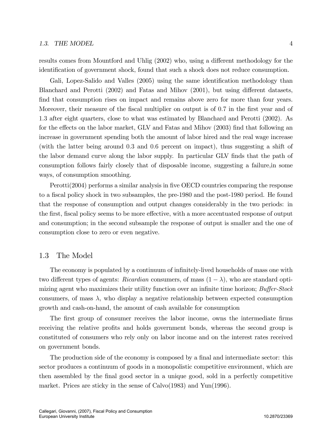results comes from Mountford and Uhlig (2002) who, using a different methodology for the identification of government shock, found that such a shock does not reduce consumption.

Gali, Lopez-Salido and Valles (2005) using the same identification methodology than Blanchard and Perotti  $(2002)$  and Fatas and Mihov  $(2001)$ , but using different datasets, find that consumption rises on impact and remains above zero for more than four years. Moreover, their measure of the fiscal multiplier on output is of 0.7 in the first year and of 1:3 after eight quarters, close to what was estimated by Blanchard and Perotti (2002). As for the effects on the labor market, GLV and Fatas and Mihov (2003) find that following an increase in government spending both the amount of labor hired and the real wage increase (with the latter being around 0:3 and 0:6 percent on impact), thus suggesting a shift of the labor demand curve along the labor supply. In particular GLV finds that the path of consumption follows fairly closely that of disposable income, suggesting a failure,in some ways, of consumption smoothing.

Perotti(2004) performs a similar analysis in five OECD countries comparing the response to a fiscal policy shock in two subsamples, the pre-1980 and the post-1980 period. He found that the response of consumption and output changes considerably in the two periods: in the first, fiscal policy seems to be more effective, with a more accentuated response of output and consumption; in the second subsample the response of output is smaller and the one of consumption close to zero or even negative.

### 1.3 The Model

The economy is populated by a continuum of infinitely-lived households of mass one with two different types of agents: Ricardian consumers, of mass  $(1 - \lambda)$ , who are standard optimizing agent who maximizes their utility function over an infinite time horizon;  $Buffer-Stock$ consumers, of mass  $\lambda$ , who display a negative relationship between expected consumption growth and cash-on-hand, the amount of cash available for consumption

The first group of consumer receives the labor income, owns the intermediate firms receiving the relative profits and holds government bonds, whereas the second group is constituted of consumers who rely only on labor income and on the interest rates received on government bonds.

The production side of the economy is composed by a final and intermediate sector: this sector produces a continuum of goods in a monopolistic competitive environment, which are then assembled by the Önal good sector in a unique good, sold in a perfectly competitive market. Prices are sticky in the sense of Calvo(1983) and Yun(1996).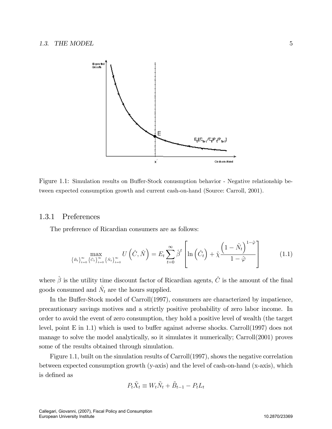

Figure 1.1: Simulation results on Buffer-Stock conusmption behavior - Negative relationship between expected consumption growth and current cash-on-hand (Source: Carroll, 2001).

## 1.3.1 Preferences

The preference of Ricardian consumers are as follows:

$$
\max_{\left\{\hat{B}_t\right\}_{t=0}^\infty}\max_{\left\{\hat{C}_t\right\}_{t=0}^\infty} U\left(\hat{C},\hat{N}\right) = E_t \sum_{t=0}^\infty \hat{\beta}^t \left[\ln\left(\hat{C}_t\right) + \hat{\chi}\frac{\left(1-\hat{N}_t\right)^{1-\hat{\varphi}}}{1-\hat{\varphi}}\right]
$$
(1.1)

where  $\hat{\beta}$  is the utility time discount factor of Ricardian agents,  $\hat{C}$  is the amount of the final goods consumed and  $\hat{N}_t$  are the hours supplied.

In the Buffer-Stock model of Carroll(1997), consumers are characterized by impatience, precautionary savings motives and a strictly positive probability of zero labor income. In order to avoid the event of zero consumption, they hold a positive level of wealth (the target level, point E in 1.1) which is used to buffer against adverse shocks. Carroll(1997) does not manage to solve the model analytically, so it simulates it numerically; Carroll(2001) proves some of the results obtained through simulation.

Figure 1.1, built on the simulation results of Carroll(1997), shows the negative correlation between expected consumption growth (y-axis) and the level of cash-on-hand (x-axis), which is defined as

$$
P_t \tilde{X}_t \equiv W_t \tilde{N}_t + \tilde{B}_{t-1} - P_t L_t
$$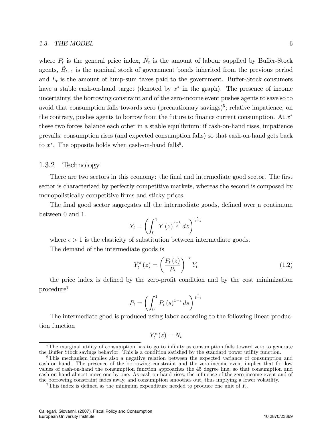where  $P_t$  is the general price index,  $\tilde{N}_t$  is the amount of labour supplied by Buffer-Stock agents,  $\tilde{B}_{t-1}$  is the nominal stock of government bonds inherited from the previous period and  $L_t$  is the amount of lump-sum taxes paid to the government. Buffer-Stock consumers have a stable cash-on-hand target (denoted by  $x^*$  in the graph). The presence of income uncertainty, the borrowing constraint and of the zero-income event pushes agents to save so to avoid that consumption falls towards zero (precautionary savings)<sup>5</sup>; relative impatience, on the contrary, pushes agents to borrow from the future to finance current consumption. At  $x^*$ these two forces balance each other in a stable equilibrium: if cash-on-hand rises, impatience prevails, consumption rises (and expected consumption falls) so that cash-on-hand gets back to  $x^*$ . The opposite holds when cash-on-hand falls<sup>6</sup>.

## 1.3.2 Technology

There are two sectors in this economy: the final and intermediate good sector. The first sector is characterized by perfectly competitive markets, whereas the second is composed by monopolistically competitive firms and sticky prices.

The final good sector aggregates all the intermediate goods, defined over a continuum between 0 and 1.  $\frac{1}{1}$ 

$$
Y_t = \left(\int_0^1 Y(z)^{\frac{\epsilon - 1}{\epsilon}} dz\right)^{\frac{\epsilon}{\epsilon - 1}}
$$

where  $\epsilon > 1$  is the elasticity of substitution between intermediate goods.

The demand of the intermediate goods is

$$
Y_t^d(z) = \left(\frac{P_t(z)}{P_t}\right)^{-\epsilon} Y_t \tag{1.2}
$$

the price index is defined by the zero-profit condition and by the cost minimization procedure<sup>7</sup>

$$
P_t = \left(\int_0^1 P_t(s)^{1-\epsilon} ds\right)^{\frac{1}{1-\epsilon}}
$$

The intermediate good is produced using labor according to the following linear production function

$$
Y_t^s(z) = N_t
$$

 $5$ The marginal utility of consumption has to go to infinity as consumption falls toward zero to generate the Buffer Stock savings behavior. This is a condition satisfied by the standard power utility function.

<sup>6</sup>This mechanism implies also a negative relation between the expected variance of consumption and cash-on-hand. The presence of the borrowing constraint and the zero-income event implies that for low values of cash-on-hand the consumption function approaches the 45 degree line, so that consumption and cash-on-hand almost move one-by-one. As cash-on-hand rises, the ináuence of the zero income event and of the borrowing constraint fades away, and consumption smoothes out, thus implying a lower volatility.

<sup>&</sup>lt;sup>7</sup>This index is defined as the minimum expenditure needed to produce one unit of  $Y_t$ .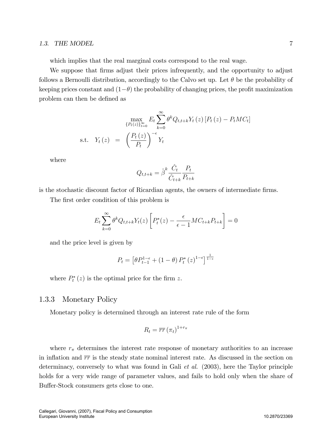#### 1.3. THE MODEL 7

which implies that the real marginal costs correspond to the real wage.

We suppose that firms adjust their prices infrequently, and the opportunity to adjust follows a Bernoulli distribution, accordingly to the Calvo set up. Let  $\theta$  be the probability of keeping prices constant and  $(1-\theta)$  the probability of changing prices, the profit maximization problem can then be defined as

$$
\max_{\{P_t(z)\}_{t=0}^{\infty}} E_t \sum_{k=0}^{\infty} \theta^k Q_{t,t+k} Y_t(z) [P_t(z) - P_t M C_t]
$$
  
s.t.  $Y_t(z) = \left(\frac{P_t(z)}{P_t}\right)^{-\epsilon} Y_t$ 

where

$$
Q_{t,t+k} = \hat{\boldsymbol{\beta}}^k \frac{\hat{C}_t}{\hat{C}_{t+k}} \frac{P_t}{P_{t+k}}
$$

is the stochastic discount factor of Ricardian agents, the owners of intermediate firms.

The first order condition of this problem is

$$
E_t \sum_{k=0}^{\infty} \theta^k Q_{t,t+k} Y_t(z) \left[ P_t^*(z) - \frac{\epsilon}{\epsilon - 1} M C_{t+k} P_{t+k} \right] = 0
$$

and the price level is given by

$$
P_t = \left[\theta P_{t-1}^{1-\epsilon} + (1-\theta) P_t^*(z)^{1-\epsilon}\right]^{\frac{1}{1-\epsilon}}
$$

where  $P_t^*(z)$  is the optimal price for the firm z.

### 1.3.3 Monetary Policy

Monetary policy is determined through an interest rate rule of the form

$$
R_t = \overline{rr} \left(\pi_t\right)^{1+r_{\pi}}
$$

where  $r_{\pi}$  determines the interest rate response of monetary authorities to an increase in inflation and  $\overline{rr}$  is the steady state nominal interest rate. As discussed in the section on determinacy, conversely to what was found in Gali et al. (2003), here the Taylor principle holds for a very wide range of parameter values, and fails to hold only when the share of Buffer-Stock consumers gets close to one.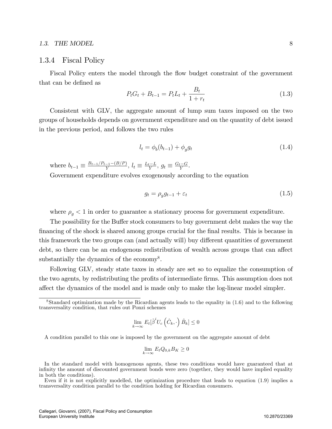#### 1.3. THE MODEL 8

#### 1.3.4 Fiscal Policy

Fiscal Policy enters the model through the flow budget constraint of the government that can be defined as

$$
P_t G_t + B_{t-1} = P_t L_t + \frac{B_t}{1 + r_t} \tag{1.3}
$$

Consistent with GLV, the aggregate amount of lump sum taxes imposed on the two groups of households depends on government expenditure and on the quantity of debt issued in the previous period, and follows the two rules

$$
l_t = \phi_b(b_{t-1}) + \phi_g g_t \tag{1.4}
$$

where  $b_{t-1} \equiv \frac{B_{t-1}/P_{t-1} - (B/P)}{Y}$ ,  $l_t \equiv \frac{L_t - L}{Y}$ ,  $g_t \equiv \frac{G_t - G}{Y}$ .

Government expenditure evolves exogenously according to the equation

$$
g_t = \rho_g g_{t-1} + \varepsilon_t \tag{1.5}
$$

where  $\rho_g < 1$  in order to guarantee a stationary process for government expenditure.

The possibility for the Buffer stock consumers to buy government debt makes the way the financing of the shock is shared among groups crucial for the final results. This is because in this framework the two groups can (and actually will) buy different quantities of government debt, so there can be an endogenous redistribution of wealth across groups that can affect substantially the dynamics of the economy<sup>8</sup>.

Following GLV, steady state taxes in steady are set so to equalize the consumption of the two agents, by redistributing the profits of intermediate firms. This assumption does not affect the dynamics of the model and is made only to make the log-linear model simpler.

$$
\lim_{k \to \infty} E_t[\hat{\beta}^i U_c\left(\hat{C}_k, \cdot\right) \hat{B}_k] \le 0
$$

A condition parallel to this one is imposed by the government on the aggregate amount of debt

$$
\lim_{k \to \infty} E_t Q_{0,k} B_K \ge 0
$$

In the standard model with homogenous agents, these two conditions would have guaranteed that at infinity the amount of discounted government bonds were zero (together, they would have implied equality in both the conditions).

<sup>8</sup>Standard optimization made by the Ricardian agents leads to the equality in (1.6) and to the following transversality condition, that rules out Ponzi schemes

Even if it is not explicitly modelled, the optimization procedure that leads to equation (1.9) implies a transversality condition parallel to the condition holding for Ricardian consumers.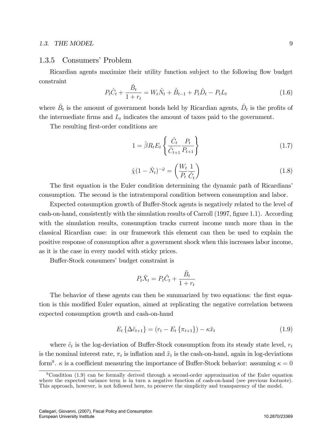#### 1.3. THE MODEL 9

## 1.3.5 Consumers' Problem

Ricardian agents maximize their utility function subject to the following flow budget constraint

$$
P_t\hat{C}_t + \frac{\hat{B}_t}{1+r_t} = W_t\hat{N}_t + \hat{B}_{t-1} + P_t\hat{D}_t - P_tL_t
$$
\n(1.6)

where  $\hat{B}_t$  is the amount of government bonds held by Ricardian agents,  $\hat{D}_t$  is the profits of the intermediate firms and  $L_t$  indicates the amount of taxes paid to the government.

The resulting first-order conditions are

$$
1 = \hat{\beta} R_t E_t \left\{ \frac{\hat{C}_t}{\hat{C}_{t+1}} \frac{P_t}{P_{t+1}} \right\} \tag{1.7}
$$

$$
\hat{\chi}(1 - \hat{N}_t)^{-\hat{\varphi}} = \left(\frac{W_t}{P_t} \frac{1}{\hat{C}_t}\right) \tag{1.8}
$$

The first equation is the Euler condition determining the dynamic path of Ricardians consumption. The second is the intratemporal condition between consumption and labor.

Expected consumption growth of Buffer-Stock agents is negatively related to the level of cash-on-hand, consistently with the simulation results of Carroll (1997, figure 1.1). According with the simulation results, consumption tracks current income much more than in the classical Ricardian case: in our framework this element can then be used to explain the positive response of consumption after a government shock when this increases labor income, as it is the case in every model with sticky prices.

Buffer-Stock consumers' budget constraint is

$$
P_t \tilde{X}_t = P_t \tilde{C}_t + \frac{\tilde{B}_t}{1 + r_t}
$$

The behavior of these agents can then be summarized by two equations: the first equation is this modified Euler equation, aimed at replicating the negative correlation between expected consumption growth and cash-on-hand

$$
E_t \{\Delta \tilde{c}_{t+1}\} = (r_t - E_t \{\pi_{t+1}\}) - \kappa \tilde{x}_t
$$
\n(1.9)

where  $\tilde{c}_t$  is the log-deviation of Buffer-Stock consumption from its steady state level,  $r_t$ is the nominal interest rate,  $\pi_t$  is inflation and  $\tilde{x}_t$  is the cash-on-hand, again in log-deviations form<sup>9</sup>.  $\kappa$  is a coefficient measuring the importance of Buffer-Stock behavior: assuming  $\kappa = 0$ 

 $9$ Condition (1.9) can be formally derived through a second-order approximation of the Euler equation where the expected variance term is in turn a negative function of cash-on-hand (see previous footnote). This approach, however, is not followed here, to preserve the simplicity and transparency of the model.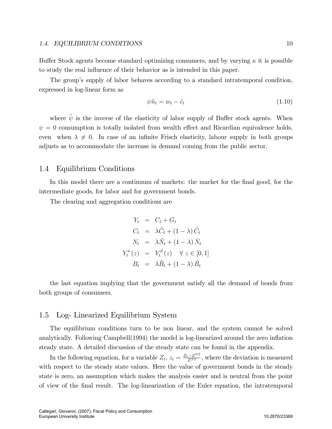#### 1.4. EQUILIBRIUM CONDITIONS 10

Buffer Stock agents become standard optimizing consumers, and by varying  $\kappa$  it is possible to study the real influence of their behavior as is intended in this paper.

The group's supply of labor behaves according to a standard intratemporal condition, expressed in log-linear form as

$$
\psi \tilde{n}_t = w_t - \tilde{c}_t \tag{1.10}
$$

where  $\tilde{\psi}$  is the inverse of the elasticity of labor supply of Buffer stock agents. When  $\psi = 0$  consumption is totally isolated from wealth effect and Ricardian equivalence holds, even when  $\lambda \neq 0$ . In case of an infinite Frisch elasticity, labour supply in both groups adjusts as to accommodate the increase in demand coming from the public sector.

## 1.4 Equilibrium Conditions

In this model there are a continuum of markets: the market for the final good, for the intermediate goods, for labor and for government bonds.

The clearing and aggregation conditions are

$$
Y_t = C_t + G_t
$$
  
\n
$$
C_t = \lambda \tilde{C}_t + (1 - \lambda) \hat{C}_t
$$
  
\n
$$
N_t = \lambda \tilde{N}_t + (1 - \lambda) \hat{N}_t
$$
  
\n
$$
Y_t^s(z) = Y_t^d(z) \quad \forall \ z \in [0, 1]
$$
  
\n
$$
B_t = \lambda \tilde{B}_t + (1 - \lambda) \hat{B}_t
$$

the last equation implying that the government satisfy all the demand of bonds from both groups of consumers.

### 1.5 Log- Linearized Equilibrium System

The equilibrium conditions turn to be non linear, and the system cannot be solved analytically. Following Campbell(1994) the model is log-linearized around the zero inflation steady state. A detailed discussion of the steady state can be found in the appendix.

In the following equation, for a variable  $Z_t$ ,  $z_t = \frac{Z_t - Z^{SS}}{Z^{SS}}$ , where the deviation is measured with respect to the steady state values. Here the value of government bonds in the steady state is zero, an assumption which makes the analysis easier and is neutral from the point of view of the Önal result. The log-linearization of the Euler equation, the intratemporal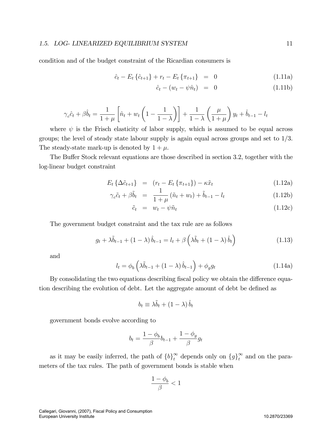condition and of the budget constraint of the Ricardian consumers is

$$
\hat{c}_t - E_t \{\hat{c}_{t+1}\} + r_t - E_t \{\pi_{t+1}\} = 0 \tag{1.11a}
$$

$$
\hat{c}_t - (w_t - \psi \hat{n}_t) = 0 \tag{1.11b}
$$

$$
\gamma_c \hat{c}_t + \beta \hat{b}_t = \frac{1}{1+\mu} \left[ \hat{n}_t + w_t \left( 1 - \frac{1}{1-\lambda} \right) \right] + \frac{1}{1-\lambda} \left( \frac{\mu}{1+\mu} \right) y_t + \hat{b}_{t-1} - l_t
$$

where  $\psi$  is the Frisch elasticity of labor supply, which is assumed to be equal across groups; the level of steady state labour supply is again equal across groups and set to  $1/3$ . The steady-state mark-up is denoted by  $1 + \mu$ .

The Buffer Stock relevant equations are those described in section 3.2, together with the log-linear budget constraint

$$
E_t\left\{\Delta\tilde{c}_{t+1}\right\} = \left(r_t - E_t\left\{\pi_{t+1}\right\}\right) - \kappa\tilde{x}_t \tag{1.12a}
$$

$$
\gamma_c \tilde{c}_t + \beta \tilde{b}_t = \frac{1}{1+\mu} (\tilde{n}_t + w_t) + \tilde{b}_{t-1} - l_t \qquad (1.12b)
$$

$$
\tilde{c}_t = w_t - \psi \tilde{n}_t \tag{1.12c}
$$

The government budget constraint and the tax rule are as follows

$$
g_t + \lambda \tilde{b}_{t-1} + (1 - \lambda) \hat{b}_{t-1} = l_t + \beta \left( \lambda \tilde{b}_t + (1 - \lambda) \hat{b}_t \right)
$$
 (1.13)

and

$$
l_{t} = \phi_{b} \left( \lambda \tilde{b}_{t-1} + (1 - \lambda) \hat{b}_{t-1} \right) + \phi_{g} g_{t}
$$
 (1.14a)

By consolidating the two equations describing fiscal policy we obtain the difference equation describing the evolution of debt. Let the aggregate amount of debt be defined as

$$
b_t \equiv \lambda \tilde{b}_t + (1 - \lambda) \hat{b}_t
$$

government bonds evolve according to

$$
b_t = \frac{1-\phi_b}{\beta}b_{t-1} + \frac{1-\phi_g}{\beta}g_t
$$

as it may be easily inferred, the path of  ${b}^{\infty}_{t}$  depends only on  ${g}^{\infty}_{t}$  and on the parameters of the tax rules. The path of government bonds is stable when

$$
\frac{1-\phi_b}{\beta}<1
$$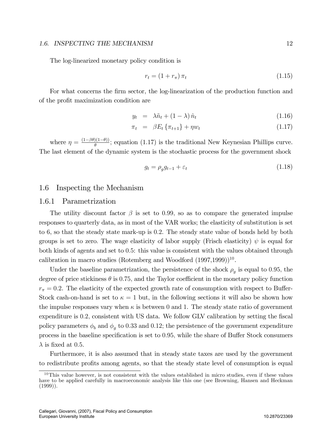#### 1.6. INSPECTING THE MECHANISM 12

The log-linearized monetary policy condition is

$$
r_t = (1 + r_\pi)\pi_t \tag{1.15}
$$

For what concerns the firm sector, the log-linearization of the production function and of the profit maximization condition are

$$
y_t = \lambda \tilde{n}_t + (1 - \lambda) \hat{n}_t \tag{1.16}
$$

$$
\pi_t = \beta E_t \{ \pi_{t+1} \} + \eta w_t \tag{1.17}
$$

where  $\eta = \frac{(1-\beta\theta)(1-\theta)}{\theta}$ ; equation (1.17) is the traditional New Keynesian Phillips curve. The last element of the dynamic system is the stochastic process for the government shock

$$
g_t = \rho_g g_{t-1} + \varepsilon_t \tag{1.18}
$$

## 1.6 Inspecting the Mechanism

#### 1.6.1 Parametrization

The utility discount factor  $\beta$  is set to 0.99, so as to compare the generated impulse responses to quarterly data, as in most of the VAR works; the elasticity of substitution is set to 6, so that the steady state mark-up is 0:2. The steady state value of bonds held by both groups is set to zero. The wage elasticity of labor supply (Frisch elasticity)  $\psi$  is equal for both kinds of agents and set to 0:5: this value is consistent with the values obtained through calibration in macro studies (Rotemberg and Woodford  $(1997,1999)$ <sup>10</sup>.

Under the baseline parametrization, the persistence of the shock  $\rho_g$  is equal to 0.95, the degree of price stickiness  $\theta$  is 0.75, and the Taylor coefficient in the monetary policy function  $r_{\pi} = 0.2$ . The elasticity of the expected growth rate of consumption with respect to Buffer-Stock cash-on-hand is set to  $\kappa = 1$  but, in the following sections it will also be shown how the impulse responses vary when  $\kappa$  is between 0 and 1. The steady state ratio of government expenditure is 0.2; consistent with US data. We follow GLV calibration by setting the fiscal policy parameters  $\phi_b$  and  $\phi_g$  to 0.33 and 0.12; the persistence of the government expenditure process in the baseline specification is set to 0.95, while the share of Buffer Stock consumers  $\lambda$  is fixed at 0.5.

Furthermore, it is also assumed that in steady state taxes are used by the government to redistribute profits among agents, so that the steady state level of consumption is equal

 $10$ This value however, is not consistent with the values established in micro studies, even if these values have to be applied carefully in macroeconomic analysis like this one (see Browning, Hansen and Heckman  $(1999)$ ).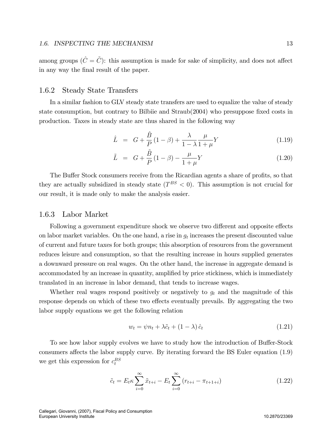among groups ( $\hat{C} = \tilde{C}$ ): this assumption is made for sake of simplicity, and does not affect in any way the final result of the paper.

## 1.6.2 Steady State Transfers

In a similar fashion to GLV steady state transfers are used to equalize the value of steady state consumption, but contrary to Bilbiie and Straub(2004) who presuppose fixed costs in production. Taxes in steady state are thus shared in the following way

$$
\hat{L} = G + \frac{\hat{B}}{P} (1 - \beta) + \frac{\lambda}{1 - \lambda} \frac{\mu}{1 + \mu} Y
$$
\n(1.19)

$$
\tilde{L} = G + \frac{\tilde{B}}{P} (1 - \beta) - \frac{\mu}{1 + \mu} Y \tag{1.20}
$$

The Buffer Stock consumers receive from the Ricardian agents a share of profits, so that they are actually subsidized in steady state  $(T^{BS} < 0)$ . This assumption is not crucial for our result, it is made only to make the analysis easier.

#### 1.6.3 Labor Market

Following a government expenditure shock we observe two different and opposite effects on labor market variables. On the one hand, a rise in  $g_t$  increases the present discounted value of current and future taxes for both groups; this absorption of resources from the government reduces leisure and consumption, so that the resulting increase in hours supplied generates a downward pressure on real wages. On the other hand, the increase in aggregate demand is accommodated by an increase in quantity, amplified by price stickiness, which is immediately translated in an increase in labor demand, that tends to increase wages.

Whether real wages respond positively or negatively to  $g_t$  and the magnitude of this response depends on which of these two effects eventually prevails. By aggregating the two labor supply equations we get the following relation

$$
w_t = \psi n_t + \lambda \tilde{c}_t + (1 - \lambda) \hat{c}_t \tag{1.21}
$$

To see how labor supply evolves we have to study how the introduction of Buffer-Stock consumers affects the labor supply curve. By iterating forward the BS Euler equation  $(1.9)$ we get this expression for  $c_t^{BS}$ 

$$
\tilde{c}_t = E_t \kappa \sum_{i=0}^{\infty} \tilde{x}_{t+i} - E_t \sum_{i=0}^{\infty} (r_{t+i} - \pi_{t+1+i})
$$
\n(1.22)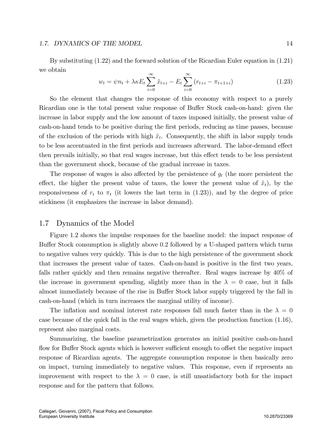#### 1.7. DYNAMICS OF THE MODEL 14

By substituting (1.22) and the forward solution of the Ricardian Euler equation in (1.21) we obtain

$$
w_t = \psi n_t + \lambda \kappa E_t \sum_{i=0}^{\infty} \tilde{x}_{t+i} - E_t \sum_{i=0}^{\infty} (r_{t+i} - \pi_{t+1+i})
$$
(1.23)

So the element that changes the response of this economy with respect to a purely Ricardian one is the total present value response of Buffer Stock cash-on-hand: given the increase in labor supply and the low amount of taxes imposed initially, the present value of cash-on-hand tends to be positive during the Örst periods, reducing as time passes, because of the exclusion of the periods with high  $\tilde{x}_t$ . Consequently, the shift in labor supply tends to be less accentuated in the first periods and increases afterward. The labor-demand effect then prevails initially, so that real wages increase, but this effect tends to be less persistent than the government shock, because of the gradual increase in taxes:

The response of wages is also affected by the persistence of  $g_t$  (the more persistent the effect, the higher the present value of taxes, the lower the present value of  $\tilde{x}_t$ ), by the responsiveness of  $r_t$  to  $\pi_t$  (it lowers the last term in (1.23)), and by the degree of price stickiness (it emphasizes the increase in labor demand).

### 1.7 Dynamics of the Model

Figure 1.2 shows the impulse responses for the baseline model: the impact response of Buffer Stock consumption is slightly above 0.2 followed by a U-shaped pattern which turns to negative values very quickly. This is due to the high persistence of the government shock that increases the present value of taxes. Cash-on-hand is positive in the Örst two years, falls rather quickly and then remains negative thereafter. Real wages increase by 40% of the increase in government spending, slightly more than in the  $\lambda = 0$  case, but it falls almost immediately because of the rise in Buffer Stock labor supply triggered by the fall in cash-on-hand (which in turn increases the marginal utility of income).

The inflation and nominal interest rate responses fall much faster than in the  $\lambda = 0$ case because of the quick fall in the real wages which, given the production function (1.16), represent also marginal costs.

Summarizing, the baseline parametrization generates an initial positive cash-on-hand flow for Buffer Stock agents which is however sufficient enough to offset the negative impact response of Ricardian agents. The aggregate consumption response is then basically zero on impact, turning immediately to negative values. This response, even if represents an improvement with respect to the  $\lambda = 0$  case, is still unsatisfactory both for the impact response and for the pattern that follows.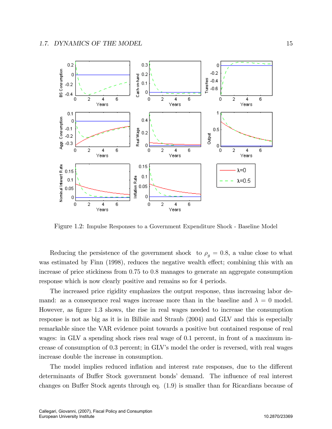

Figure 1.2: Impulse Responses to a Government Expenditure Shock - Baseline Model

Reducing the persistence of the government shock to  $\rho<sub>g</sub> = 0.8$ , a value close to what was estimated by Finn (1998), reduces the negative wealth effect; combining this with an increase of price stickiness from 0:75 to 0:8 manages to generate an aggregate consumption response which is now clearly positive and remains so for 4 periods.

The increased price rigidity emphasizes the output response, thus increasing labor demand: as a consequence real wages increase more than in the baseline and  $\lambda = 0$  model. However, as figure 1.3 shows, the rise in real wages needed to increase the consumption response is not as big as it is in Bilbiie and Straub (2004) and GLV and this is especially remarkable since the VAR evidence point towards a positive but contained response of real wages: in GLV a spending shock rises real wage of 0.1 percent, in front of a maximum increase of consumption of 0.3 percent; in GLV's model the order is reversed, with real wages increase double the increase in consumption.

The model implies reduced inflation and interest rate responses, due to the different determinants of Buffer Stock government bonds' demand. The influence of real interest changes on Buffer Stock agents through eq.  $(1.9)$  is smaller than for Ricardians because of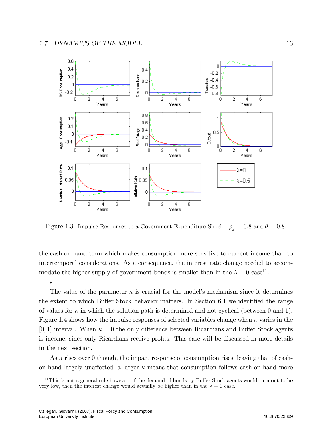

Figure 1.3: Impulse Responses to a Government Expenditure Shock -  $\rho_q = 0.8$  and  $\theta = 0.8$ .

the cash-on-hand term which makes consumption more sensitive to current income than to intertemporal considerations. As a consequence, the interest rate change needed to accommodate the higher supply of government bonds is smaller than in the  $\lambda = 0$  case<sup>11</sup>.

#### s

The value of the parameter  $\kappa$  is crucial for the model's mechanism since it determines the extent to which Buffer Stock behavior matters. In Section  $6.1$  we identified the range of values for  $\kappa$  in which the solution path is determined and not cyclical (between 0 and 1). Figure 1.4 shows how the impulse responses of selected variables change when  $\kappa$  varies in the [0, 1] interval. When  $\kappa = 0$  the only difference between Ricardians and Buffer Stock agents is income, since only Ricardians receive profits. This case will be discussed in more details in the next section.

As  $\kappa$  rises over 0 though, the impact response of consumption rises, leaving that of cashon-hand largely unaffected: a larger  $\kappa$  means that consumption follows cash-on-hand more

 $11$ This is not a general rule however: if the demand of bonds by Buffer Stock agents would turn out to be very low, then the interest change would actually be higher than in the  $\lambda = 0$  case.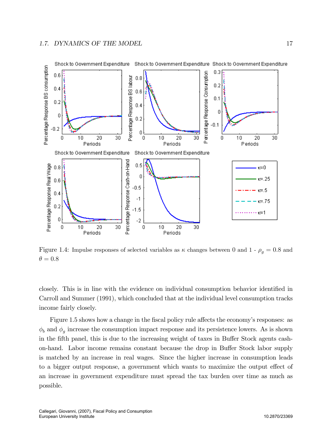

Figure 1.4: Impulse responses of selected variables as  $\kappa$  changes between 0 and 1 -  $\rho_g = 0.8$  and  $\theta = 0.8$ 

closely. This is in line with the evidence on individual consumption behavior identified in Carroll and Summer (1991), which concluded that at the individual level consumption tracks income fairly closely.

Figure 1.5 shows how a change in the fiscal policy rule affects the economy's responses: as  $\phi_b$  and  $\phi_g$  increase the consumption impact response and its persistence lowers. As is shown in the fifth panel, this is due to the increasing weight of taxes in Buffer Stock agents cashon-hand. Labor income remains constant because the drop in Buffer Stock labor supply is matched by an increase in real wages. Since the higher increase in consumption leads to a bigger output response, a government which wants to maximize the output effect of an increase in government expenditure must spread the tax burden over time as much as possible.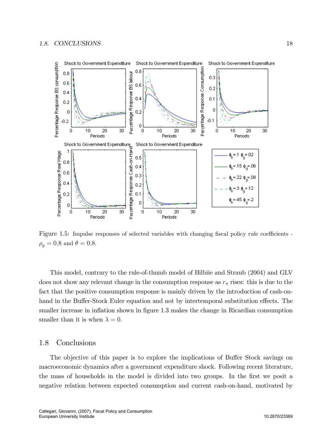

Figure 1.5: Impulse responses of selected variables with changing fiscal policy rule coefficients - $\rho_q = 0.8$  and  $\theta = 0.8$ .

This model, contrary to the rule-of-thumb model of Bilbiie and Straub (2004) and GLV does not show any relevant change in the consumption response as  $r_{\pi}$  rises: this is due to the fact that the positive consumption response is mainly driven by the introduction of cash-onhand in the Buffer-Stock Euler equation and not by intertemporal substitution effects. The smaller increase in inflation shown in figure 1.3 makes the change in Ricardian consumption smaller than it is when  $\lambda = 0$ .

## 1.8 Conclusions

The objective of this paper is to explore the implications of Buffer Stock savings on macroeconomic dynamics after a government expenditure shock. Following recent literature, the mass of households in the model is divided into two groups. In the first we posit a negative relation between expected consumption and current cash-on-hand, motivated by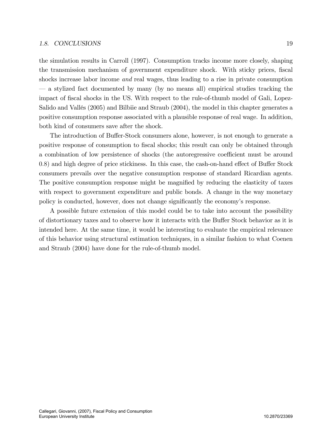#### 1.8. CONCLUSIONS 19

the simulation results in Carroll (1997). Consumption tracks income more closely, shaping the transmission mechanism of government expenditure shock. With sticky prices, fiscal shocks increase labor income and real wages, thus leading to a rise in private consumption ó a stylized fact documented by many (by no means all) empirical studies tracking the impact of fiscal shocks in the US. With respect to the rule-of-thumb model of Gali, Lopez-Salido and Vallés (2005) and Bilbiie and Straub (2004), the model in this chapter generates a positive consumption response associated with a plausible response of real wage. In addition, both kind of consumers save after the shock.

The introduction of Buffer-Stock consumers alone, however, is not enough to generate a positive response of consumption to Öscal shocks; this result can only be obtained through a combination of low persistence of shocks (the autoregressive coefficient must be around  $(0.8)$  and high degree of price stickiness. In this case, the cash-on-hand effect of Buffer Stock consumers prevails over the negative consumption response of standard Ricardian agents. The positive consumption response might be magnified by reducing the elasticity of taxes with respect to government expenditure and public bonds. A change in the way monetary policy is conducted, however, does not change significantly the economy's response.

A possible future extension of this model could be to take into account the possibility of distortionary taxes and to observe how it interacts with the Buffer Stock behavior as it is intended here. At the same time, it would be interesting to evaluate the empirical relevance of this behavior using structural estimation techniques, in a similar fashion to what Coenen and Straub (2004) have done for the rule-of-thumb model.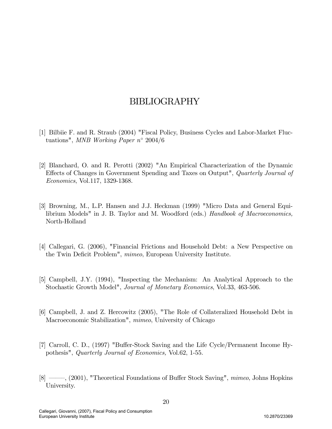# BIBLIOGRAPHY

- [1] Bilbiie F. and R. Straub (2004) "Fiscal Policy, Business Cycles and Labor-Market Fluctuations", MNB Working Paper  $n^{\circ}$  2004/6
- [2] Blanchard, O. and R. Perotti (2002) "An Empirical Characterization of the Dynamic Effects of Changes in Government Spending and Taxes on Output", Quarterly Journal of Economics, Vol.117, 1329-1368.
- [3] Browning, M., L.P. Hansen and J.J. Heckman (1999) "Micro Data and General Equilibrium Models" in J. B. Taylor and M. Woodford (eds.) Handbook of Macroeconomics, North-Holland
- [4] Callegari, G. (2006), "Financial Frictions and Household Debt: a New Perspective on the Twin Deficit Problem", mimeo, European University Institute.
- [5] Campbell, J.Y. (1994), "Inspecting the Mechanism: An Analytical Approach to the Stochastic Growth Model", Journal of Monetary Economics, Vol.33, 463-506.
- [6] Campbell, J. and Z. Hercowitz (2005), "The Role of Collateralized Household Debt in Macroeconomic Stabilization", mimeo, University of Chicago
- [7] Carroll, C. D., (1997) "Buffer-Stock Saving and the Life Cycle/Permanent Income Hypothesis", Quarterly Journal of Economics, Vol.62, 1-55.
- $[8]$  <sup>o</sup> (2001), "Theoretical Foundations of Buffer Stock Saving", mimeo, Johns Hopkins University.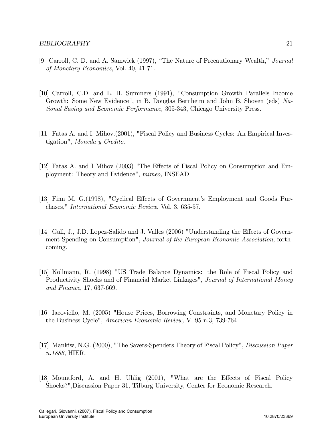- [9] Carroll, C. D. and A. Samwick (1997), "The Nature of Precautionary Wealth," Journal of Monetary Economics, Vol. 40, 41-71.
- [10] Carroll, C.D. and L. H. Summers (1991), "Consumption Growth Parallels Income Growth: Some New Evidence", in B. Douglas Bernheim and John B. Shoven (eds) National Saving and Economic Performance, 305-343, Chicago University Press.
- [11] Fatas A. and I. Mihov.(2001), "Fiscal Policy and Business Cycles: An Empirical Investigation", Moneda y Credito.
- [12] Fatas A. and I Mihov (2003) "The Effects of Fiscal Policy on Consumption and Employment: Theory and Evidence", mimeo, INSEAD
- [13] Finn M. G.(1998), "Cyclical Effects of Government's Employment and Goods Purchases," International Economic Review, Vol. 3, 635-57.
- [14] Gali, J., J.D. Lopez-Salido and J. Valles (2006) "Understanding the Effects of Government Spending on Consumption", Journal of the European Economic Association, forthcoming.
- [15] Kollmann, R. (1998) "US Trade Balance Dynamics: the Role of Fiscal Policy and Productivity Shocks and of Financial Market Linkages", Journal of International Money and Finance, 17, 637-669.
- [16] Iacoviello, M. (2005) "House Prices, Borrowing Constraints, and Monetary Policy in the Business Cycle", American Economic Review, V. 95 n.3, 739-764
- [17] Mankiw, N.G. (2000), "The Savers-Spenders Theory of Fiscal Policy", Discussion Paper n.1888, HIER.
- [18] Mountford, A. and H. Uhlig (2001), "What are the Effects of Fiscal Policy Shocks?",Discussion Paper 31, Tilburg University, Center for Economic Research.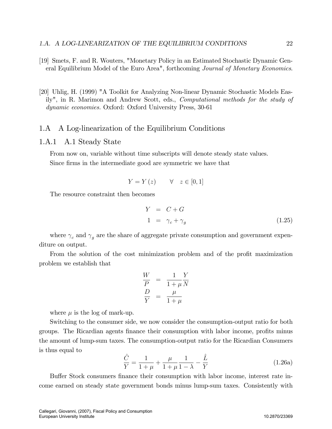- [19] Smets, F. and R. Wouters, "Monetary Policy in an Estimated Stochastic Dynamic General Equilibrium Model of the Euro Area", forthcoming Journal of Monetary Economics.
- [20] Uhlig, H. (1999) "A Toolkit for Analyzing Non-linear Dynamic Stochastic Models Easily", in R. Marimon and Andrew Scott, eds., Computational methods for the study of dynamic economies. Oxford: Oxford University Press, 30-61

## 1.A A Log-linearization of the Equilibrium Conditions

## 1.A.1 A.1 Steady State

From now on, variable without time subscripts will denote steady state values. Since firms in the intermediate good are symmetric we have that

$$
Y = Y(z) \qquad \forall \quad z \in [0, 1]
$$

The resource constraint then becomes

$$
Y = C + G
$$
  
\n
$$
1 = \gamma_c + \gamma_g
$$
\n(1.25)

where  $\gamma_c$  and  $\gamma_g$  are the share of aggregate private consumption and government expenditure on output.

From the solution of the cost minimization problem and of the profit maximization problem we establish that

$$
\frac{W}{P} = \frac{1}{1+\mu} \frac{Y}{N}
$$

$$
\frac{D}{Y} = \frac{\mu}{1+\mu}
$$

where  $\mu$  is the log of mark-up.

Switching to the consumer side, we now consider the consumption-output ratio for both groups. The Ricardian agents finance their consumption with labor income, profits minus the amount of lump-sum taxes. The consumption-output ratio for the Ricardian Consumers is thus equal to

$$
\frac{\hat{C}}{Y} = \frac{1}{1+\mu} + \frac{\mu}{1+\mu}\frac{1}{1-\lambda} - \frac{\hat{L}}{Y}
$$
\n(1.26a)

Buffer Stock consumers finance their consumption with labor income, interest rate income earned on steady state government bonds minus lump-sum taxes. Consistently with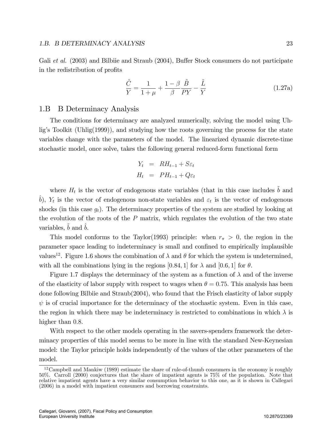Gali et al.  $(2003)$  and Bilbiie and Straub  $(2004)$ , Buffer Stock consumers do not participate in the redistribution of profits

$$
\frac{\tilde{C}}{Y} = \frac{1}{1+\mu} + \frac{1-\beta}{\beta} \frac{\tilde{B}}{PY} - \frac{\tilde{L}}{Y}
$$
\n(1.27a)

#### 1.B B Determinacy Analysis

The conditions for determinacy are analyzed numerically, solving the model using Uhligís Toolkit (Uhlig(1999)), and studying how the roots governing the process for the state variables change with the parameters of the model. The linearized dynamic discrete-time stochastic model, once solve, takes the following general reduced-form functional form

$$
Y_t = RH_{t-1} + S\varepsilon_t
$$
  

$$
H_t = PH_{t-1} + Q\varepsilon_t
$$

where  $H_t$  is the vector of endogenous state variables (that in this case includes  $\tilde{b}$  and  $\hat{b}$ ,  $Y_t$  is the vector of endogenous non-state variables and  $\varepsilon_t$  is the vector of endogenous shocks (in this case  $g_t$ ). The determinacy properties of the system are studied by looking at the evolution of the roots of the  $P$  matrix, which regulates the evolution of the two state variables,  $b$  and  $b$ .

This model conforms to the Taylor(1993) principle: when  $r_{\pi} > 0$ , the region in the parameter space leading to indeterminacy is small and confined to empirically implausible values<sup>12</sup>. Figure 1.6 shows the combination of  $\lambda$  and  $\theta$  for which the system is undetermined, with all the combinations lying in the regions [0.84, 1] for  $\lambda$  and [0.6, 1] for  $\theta$ .

Figure 1.7 displays the determinacy of the system as a function of  $\lambda$  and of the inverse of the elasticity of labor supply with respect to wages when  $\theta = 0.75$ . This analysis has been done following Bilbiie and Straub(2004), who found that the Frisch elasticity of labor supply  $\psi$  is of crucial importance for the determinacy of the stochastic system. Even in this case, the region in which there may be indeterminacy is restricted to combinations in which  $\lambda$  is higher than 0.8.

With respect to the other models operating in the savers-spenders framework the determinacy properties of this model seems to be more in line with the standard New-Keynesian model: the Taylor principle holds independently of the values of the other parameters of the model.

 $12$ Campbell and Mankiw (1989) estimate the share of rule-of-thumb consumers in the economy is roughly 50%. Carroll (2000) conjectures that the share of impatient agents is 75% of the population. Note that relative impatient agents have a very similar consumption behavior to this one, as it is shown in Callegari (2006) in a model with impatient consumers and borrowing constraints.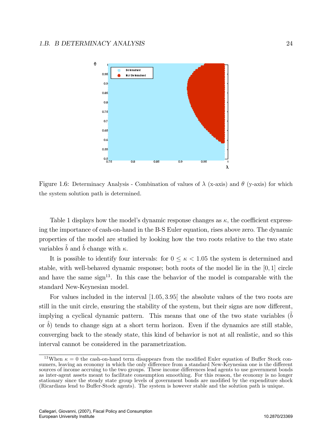

Figure 1.6: Determinacy Analysis - Combination of values of  $\lambda$  (x-axis) and  $\theta$  (y-axis) for which the system solution path is determined.

Table 1 displays how the model's dynamic response changes as  $\kappa$ , the coefficient expressing the importance of cash-on-hand in the B-S Euler equation, rises above zero: The dynamic properties of the model are studied by looking how the two roots relative to the two state variables  $\tilde{b}$  and  $\tilde{b}$  change with  $\kappa$ .

It is possible to identify four intervals: for  $0 \le \kappa < 1.05$  the system is determined and stable, with well-behaved dynamic response; both roots of the model lie in the [0; 1] circle and have the same sign<sup>13</sup>. In this case the behavior of the model is comparable with the standard New-Keynesian model.

For values included in the interval  $[1.05, 3.95]$  the absolute values of the two roots are still in the unit circle, ensuring the stability of the system, but their signs are now different, implying a cyclical dynamic pattern. This means that one of the two state variables  $(b)$ or  $b$ ) tends to change sign at a short term horizon. Even if the dynamics are still stable, converging back to the steady state, this kind of behavior is not at all realistic, and so this interval cannot be considered in the parametrization.

<sup>&</sup>lt;sup>13</sup>When  $\kappa = 0$  the cash-on-hand term disappears from the modified Euler equation of Buffer Stock consumers, leaving an economy in which the only difference from a standard New-Keynesian one is the different sources of income accruing to the two groups. These income differences lead agents to use government bonds as inter-agent assets meant to facilitate consumption smoothing. For this reason, the economy is no longer stationary since the steady state group levels of government bonds are modified by the expenditure shock (Ricardians lend to Buffer-Stock agents). The system is however stable and the solution path is unique.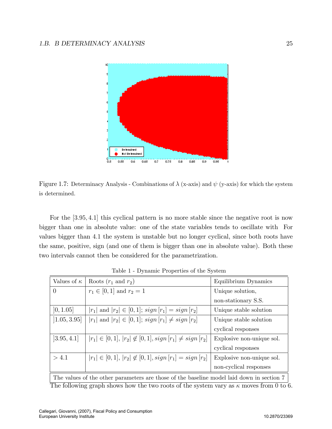

Figure 1.7: Determinacy Analysis - Combinations of  $\lambda$  (x-axis) and  $\psi$  (y-axis) for which the system is determined.

For the [3.95, 4.1] this cyclical pattern is no more stable since the negative root is now bigger than one in absolute value: one of the state variables tends to oscillate with For values bigger than 4:1 the system is unstable but no longer cyclical, since both roots have the same, positive, sign (and one of them is bigger than one in absolute value). Both these two intervals cannot then be considered for the parametrization.

| Values of $\kappa$        | Roots $(r_1$ and $r_2)$                                           | Equilibrium Dynamics      |
|---------------------------|-------------------------------------------------------------------|---------------------------|
| $\theta$                  | $r_1 \in [0,1]$ and $r_2 = 1$                                     | Unique solution,          |
|                           |                                                                   | non-stationary S.S.       |
| [0, 1.05]                 | $ r_1 $ and $ r_2  \in [0,1]$ ; $sign [r_1] = sign [r_2]$         | Unique stable solution    |
| [1.05, 3.95]              | $ r_1 $ and $ r_2  \in [0,1]$ ; $sign [r_1] \neq sign [r_2]$      | Unique stable solution    |
|                           |                                                                   | cyclical responses        |
| [3.95, 4.1]               | $ r_1  \in [0,1],  r_2  \notin [0,1], sign [r_1] \neq sign [r_2]$ | Explosive non-unique sol. |
|                           |                                                                   | cyclical responses        |
| > 4.1                     | $ r_1  \in [0,1],  r_2  \notin [0,1], sign [r_1] = sign [r_2]$    | Explosive non-unique sol. |
|                           |                                                                   | non-cyclical responses    |
| $\sim$<br>$\cdot$ $\cdot$ |                                                                   |                           |

Table 1 - Dynamic Properties of the System

The values of the other parameters are those of the baseline model laid down in section 7 The following graph shows how the two roots of the system vary as  $\kappa$  moves from 0 to 6.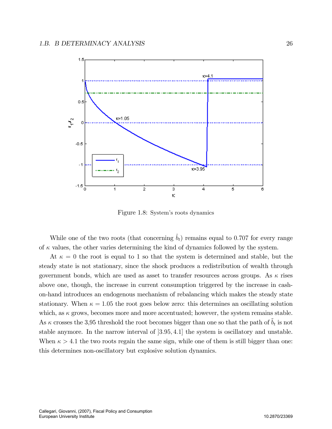

Figure 1.8: System's roots dynamics

While one of the two roots (that concerning  $\hat{b}_t$ ) remains equal to 0.707 for every range of  $\kappa$  values, the other varies determining the kind of dynamics followed by the system.

At  $\kappa = 0$  the root is equal to 1 so that the system is determined and stable, but the steady state is not stationary, since the shock produces a redistribution of wealth through government bonds, which are used as asset to transfer resources across groups. As  $\kappa$  rises above one, though, the increase in current consumption triggered by the increase in cashon-hand introduces an endogenous mechanism of rebalancing which makes the steady state stationary. When  $\kappa = 1.05$  the root goes below zero: this determines an oscillating solution which, as  $\kappa$  grows, becomes more and more accentuated; however, the system remains stable. As  $\kappa$  crosses the 3,95 threshold the root becomes bigger than one so that the path of  $\tilde{b}_t$  is not stable anymore. In the narrow interval of [3.95, 4.1] the system is oscillatory and unstable. When  $\kappa > 4.1$  the two roots regain the same sign, while one of them is still bigger than one: this determines non-oscillatory but explosive solution dynamics.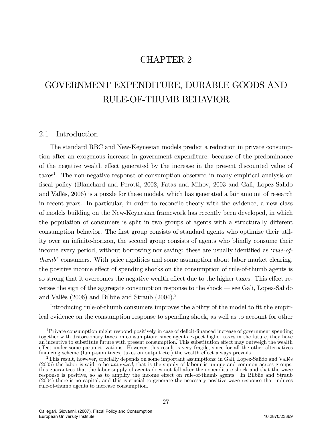# CHAPTER 2

# GOVERNMENT EXPENDITURE, DURABLE GOODS AND RULE-OF-THUMB BEHAVIOR

## 2.1 Introduction

The standard RBC and New-Keynesian models predict a reduction in private consumption after an exogenous increase in government expenditure, because of the predominance of the negative wealth effect generated by the increase in the present discounted value of taxes<sup>1</sup>. The non-negative response of consumption observed in many empirical analysis on fiscal policy (Blanchard and Perotti, 2002, Fatas and Mihov, 2003 and Galì, Lopez-Salido and Vallés, 2006) is a puzzle for these models, which has generated a fair amount of research in recent years. In particular, in order to reconcile theory with the evidence, a new class of models building on the New-Keynesian framework has recently been developed, in which the population of consumers is split in two groups of agents with a structurally different consumption behavior. The first group consists of standard agents who optimize their utility over an infinite-horizon, the second group consists of agents who blindly consume their income every period, without borrowing nor saving: these are usually identified as 'rule-of $thumb'$  consumers. With price rigidities and some assumption about labor market clearing, the positive income effect of spending shocks on the consumption of rule-of-thumb agents is so strong that it overcomes the negative wealth effect due to the higher taxes. This effect reverses the sign of the aggregate consumption response to the shock  $\sim$  see Gali, Lopez-Salido and Vallés (2006) and Bilbiie and Straub  $(2004).<sup>2</sup>$ 

Introducing rule-of-thumb consumers improves the ability of the model to fit the empirical evidence on the consumption response to spending shock, as well as to account for other

 $1<sup>1</sup>$  Private consumption might respond positively in case of deficit-financed increase of government spending together with distortionary taxes on consumption: since agents expect higher taxes in the future, they have an incentive to substitute future with present consumption. This substitution effect may outweigh the wealth effect under some parametrizations. However, this result is very fragile, since for all the other alternatives financing scheme (lump-sum taxes, taxes on output etc.) the wealth effect always prevails.

 $2$ This result, however, crucially depends on some important assumptions: in Gali, Lopez-Salido and Vallés (2005) the labor is said to be unionized, that is the supply of labour is unique and common across groups: this guarantees that the labor supply of agents does not fall after the expenditure shock and that the wage response is positive, so as to amplify the income effect on rule-of-thumb agents. In Bilbiie and Straub (2004) there is no capital, and this is crucial to generate the necessary positive wage response that induces rule-of-thumb agents to increase consumption.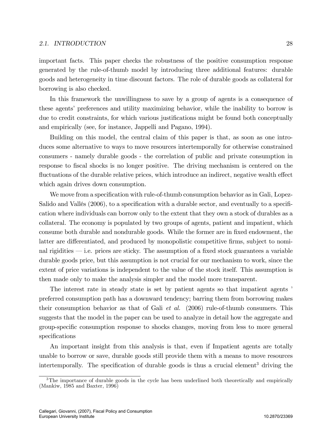#### 2.1. INTRODUCTION 28

important facts. This paper checks the robustness of the positive consumption response generated by the rule-of-thumb model by introducing three additional features: durable goods and heterogeneity in time discount factors. The role of durable goods as collateral for borrowing is also checked.

In this framework the unwillingness to save by a group of agents is a consequence of these agents' preferences and utility maximizing behavior, while the inability to borrow is due to credit constraints, for which various justifications might be found both conceptually and empirically (see, for instance, Jappelli and Pagano, 1994).

Building on this model, the central claim of this paper is that, as soon as one introduces some alternative to ways to move resources intertemporally for otherwise constrained consumers - namely durable goods - the correlation of public and private consumption in response to fiscal shocks is no longer positive. The driving mechanism is centered on the fluctuations of the durable relative prices, which introduce an indirect, negative wealth effect which again drives down consumption.

We move from a specification with rule-of-thumb consumption behavior as in Gali, Lopez-Salido and Vallés (2006), to a specification with a durable sector, and eventually to a specification where individuals can borrow only to the extent that they own a stock of durables as a collateral. The economy is populated by two groups of agents, patient and impatient, which consume both durable and nondurable goods. While the former are in fixed endowment, the latter are differentiated, and produced by monopolistic competitive firms, subject to nominal rigidities  $-$  i.e. prices are sticky. The assumption of a fixed stock guarantees a variable durable goods price, but this assumption is not crucial for our mechanism to work, since the extent of price variations is independent to the value of the stock itself. This assumption is then made only to make the analysis simpler and the model more transparent.

The interest rate in steady state is set by patient agents so that impatient agents  $\cdot$ preferred consumption path has a downward tendency; barring them from borrowing makes their consumption behavior as that of Gali *et al.* (2006) rule-of-thumb consumers. This suggests that the model in the paper can be used to analyze in detail how the aggregate and group-speciÖc consumption response to shocks changes, moving from less to more general specifications

An important insight from this analysis is that, even if Impatient agents are totally unable to borrow or save, durable goods still provide them with a means to move resources intertemporally. The specification of durable goods is thus a crucial element<sup>3</sup> driving the

<sup>&</sup>lt;sup>3</sup>The importance of durable goods in the cycle has been underlined both theoretically and empirically (Mankiw, 1985 and Baxter, 1996)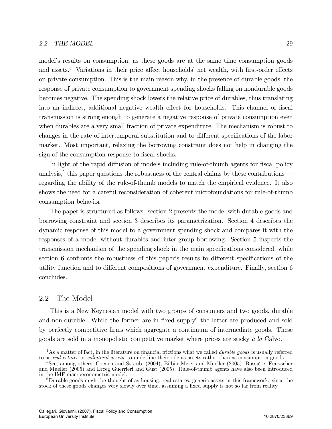model's results on consumption, as these goods are at the same time consumption goods and assets.<sup>4</sup> Variations in their price affect households' net wealth, with first-order effects on private consumption. This is the main reason why, in the presence of durable goods, the response of private consumption to government spending shocks falling on nondurable goods becomes negative. The spending shock lowers the relative price of durables, thus translating into an indirect, additional negative wealth effect for households. This channel of fiscal transmission is strong enough to generate a negative response of private consumption even when durables are a very small fraction of private expenditure. The mechanism is robust to changes in the rate of intertemporal substitution and to different specifications of the labor market. Most important, relaxing the borrowing constraint does not help in changing the sign of the consumption response to fiscal shocks.

In light of the rapid diffusion of models including rule-of-thumb agents for fiscal policy analysis,<sup>5</sup> this paper questions the robustness of the central claims by these contributions  $$ regarding the ability of the rule-of-thumb models to match the empirical evidence. It also shows the need for a careful reconsideration of coherent microfoundations for rule-of-thumb consumption behavior.

The paper is structured as follows: section 2 presents the model with durable goods and borrowing constraint and section 3 describes its parametrization. Section 4 describes the dynamic response of this model to a government spending shock and compares it with the responses of a model without durables and inter-group borrowing. Section 5 inspects the transmission mechanism of the spending shock in the main specifications considered, while section 6 confronts the robustness of this paper's results to different specifications of the utility function and to different compositions of government expenditure. Finally, section 6 concludes.

## 2.2 The Model

This is a New Keynesian model with two groups of consumers and two goods, durable and non-durable. While the former are in fixed supply<sup>6</sup> the latter are produced and sold by perfectly competitive Örms which aggregate a continuum of intermediate goods. These goods are sold in a monopolistic competitive market where prices are sticky  $\dot{a}$  la Calvo.

 $4$ As a matter of fact, in the literature on financial frictions what we called *durable goods* is usually referred to as *real estates* or *collateral assets*, to underline their role as assets rather than as consumption goods.

 $5$ See, among others, Coenen and Straub, (2004), Bilbiie, Meier and Mueller (2005), Bussière, Fratzscher and Mueller (2005) and Erceg Guerrieri and Gust (2005). Rule-of-thumb agents have also been introduced in the IMF macroeconometric model.

 ${}^{6}$ Durable goods might be thought of as housing, real estates, generic assets in this framework: since the stock of these goods changes very slowly over time, assuming a fixed supply is not so far from reality.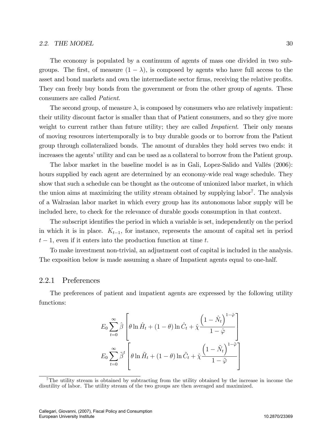#### 2.2. THE MODEL  $\qquad \qquad 30$

The economy is populated by a continuum of agents of mass one divided in two subgroups. The first, of measure  $(1 - \lambda)$ , is composed by agents who have full access to the asset and bond markets and own the intermediate sector firms, receiving the relative profits. They can freely buy bonds from the government or from the other group of agents. These consumers are called Patient.

The second group, of measure  $\lambda$ , is composed by consumers who are relatively impatient: their utility discount factor is smaller than that of Patient consumers, and so they give more weight to current rather than future utility; they are called *Impatient*. Their only means of moving resources intertemporally is to buy durable goods or to borrow from the Patient group through collateralized bonds. The amount of durables they hold serves two ends: it increases the agents' utility and can be used as a collateral to borrow from the Patient group.

The labor market in the baseline model is as in Gali, Lopez-Salido and Vallés (2006): hours supplied by each agent are determined by an economy-wide real wage schedule. They show that such a schedule can be thought as the outcome of unionized labor market, in which the union aims at maximizing the utility stream obtained by supplying labor<sup>7</sup>. The analysis of a Walrasian labor market in which every group has its autonomous labor supply will be included here, to check for the relevance of durable goods consumption in that context.

The subscript identifies the period in which a variable is set, independently on the period in which it is in place.  $K_{t-1}$ , for instance, represents the amount of capital set in period  $t-1$ , even if it enters into the production function at time t.

To make investment non-trivial, an adjustment cost of capital is included in the analysis. The exposition below is made assuming a share of Impatient agents equal to one-half.

## 2.2.1 Preferences

The preferences of patient and impatient agents are expressed by the following utility functions:

$$
E_0 \sum_{t=0}^{\infty} \hat{\beta} \left[ \theta \ln \hat{H}_t + (1 - \theta) \ln \hat{C}_t + \hat{\chi} \frac{\left(1 - \hat{N}_t\right)^{1 - \hat{\varphi}}}{1 - \hat{\varphi}} \right]
$$

$$
E_0 \sum_{t=0}^{\infty} \hat{\beta}^t \left[ \theta \ln \tilde{H}_t + (1 - \theta) \ln \tilde{C}_t + \hat{\chi} \frac{\left(1 - \tilde{N}_t\right)^{1 - \tilde{\varphi}}}{1 - \tilde{\varphi}} \right]
$$

<sup>7</sup>The utility stream is obtained by subtracting from the utility obtained by the increase in income the disutility of labor. The utility stream of the two groups are then averaged and maximized.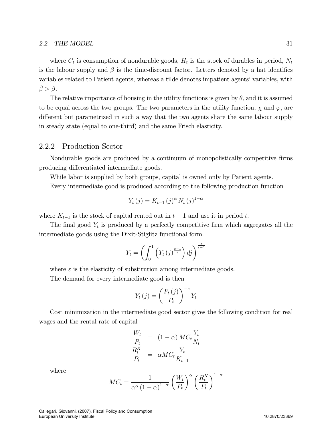where  $C_t$  is consumption of nondurable goods,  $H_t$  is the stock of durables in period,  $N_t$ is the labour supply and  $\beta$  is the time-discount factor. Letters denoted by a hat identifies variables related to Patient agents, whereas a tilde denotes impatient agents' variables, with  $\ddot{\beta} > \ddot{\beta}$ .

The relative importance of housing in the utility functions is given by  $\theta$ , and it is assumed to be equal across the two groups. The two parameters in the utility function,  $\chi$  and  $\varphi$ , are different but parametrized in such a way that the two agents share the same labour supply in steady state (equal to one-third) and the same Frisch elasticity.

## 2.2.2 Production Sector

Nondurable goods are produced by a continuum of monopolistically competitive firms producing differentiated intermediate goods.

While labor is supplied by both groups, capital is owned only by Patient agents.

Every intermediate good is produced according to the following production function

$$
Y_{t}(j) = K_{t-1}(j)^{\alpha} N_{t}(j)^{1-\alpha}
$$

where  $K_{t-1}$  is the stock of capital rented out in  $t-1$  and use it in period t.

The final good  $Y_t$  is produced by a perfectly competitive firm which aggregates all the intermediate goods using the Dixit-Stiglitz functional form.

$$
Y_t = \left(\int_0^1 \left(Y_t(j)^{\frac{\varepsilon-1}{\varepsilon}}\right) dj\right)^{\frac{\varepsilon}{\varepsilon-1}}
$$

where  $\varepsilon$  is the elasticity of substitution among intermediate goods.

The demand for every intermediate good is then

$$
Y_t(j) = \left(\frac{P_t(j)}{P_t}\right)^{-\varepsilon} Y_t
$$

Cost minimization in the intermediate good sector gives the following condition for real wages and the rental rate of capital

$$
\frac{W_t}{P_t} = (1 - \alpha) MC_t \frac{Y_t}{N_t}
$$

$$
\frac{R_t^K}{P_t} = \alpha MC_t \frac{Y_t}{K_{t-1}}
$$

where

$$
MC_t = \frac{1}{\alpha^{\alpha} \left(1 - \alpha\right)^{1 - \alpha}} \left(\frac{W_t}{P_t}\right)^{\alpha} \left(\frac{R_t^K}{P_t}\right)^{1 - \alpha}
$$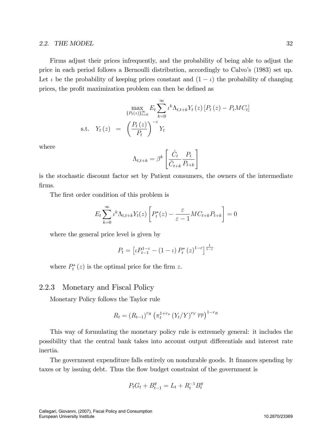Firms adjust their prices infrequently, and the probability of being able to adjust the price in each period follows a Bernoulli distribution, accordingly to Calvoís (1983) set up. Let  $\iota$  be the probability of keeping prices constant and  $(1 - \iota)$  the probability of changing prices, the profit maximization problem can then be defined as

$$
\max_{\{P_t(z)\}_{t=0}^{\infty}} E_t \sum_{k=0}^{\infty} \iota^k \Lambda_{t,t+k} Y_t(z) [P_t(z) - P_t M C_t]
$$
  
s.t.  $Y_t(z) = \left(\frac{P_t(z)}{P_t}\right)^{-\epsilon} Y_t$ 

where

$$
\Lambda_{t,t+k} = \beta^k \left[ \frac{\hat{C}_t}{\hat{C}_{t+k}} \frac{P_t}{P_{t+k}} \right]
$$

is the stochastic discount factor set by Patient consumers, the owners of the intermediate Örms.

The first order condition of this problem is

$$
E_t \sum_{k=0}^{\infty} \iota^k \Lambda_{t,t+k} Y_t(z) \left[ P_t^*(z) - \frac{\varepsilon}{\varepsilon - 1} M C_{t+k} P_{t+k} \right] = 0
$$

where the general price level is given by

$$
P_t = \left[ \iota P_{t-1}^{1-\varepsilon} - (1-\iota) P_t^*(z)^{1-\varepsilon} \right]^{\frac{1}{1-\varepsilon}}
$$

where  $P_t^*(z)$  is the optimal price for the firm z.

## 2.2.3 Monetary and Fiscal Policy

Monetary Policy follows the Taylor rule

$$
R_t = (R_{t-1})^{r_R} \left(\pi_t^{1+r_{\pi}} (Y_t/Y)^{r_Y} \overline{rr}\right)^{1-r_R}
$$

This way of formulating the monetary policy rule is extremely general: it includes the possibility that the central bank takes into account output differentials and interest rate inertia.

The government expenditure falls entirely on nondurable goods. It finances spending by taxes or by issuing debt. Thus the flow budget constraint of the government is

$$
P_t G_t + B_{t-1}^g = L_t + R_t^{-1} B_t^g
$$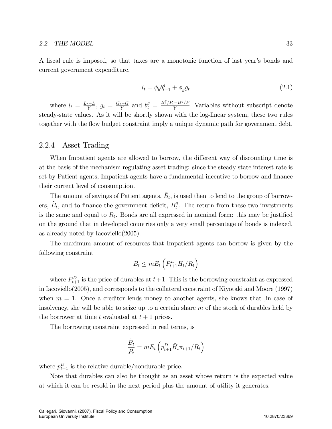A fiscal rule is imposed, so that taxes are a monotonic function of last year's bonds and current government expenditure.

$$
l_t = \phi_b b_{t-1}^g + \phi_g g_t \tag{2.1}
$$

where  $l_t = \frac{L_t - L}{Y}$ ,  $g_t = \frac{G_t - G}{Y}$  and  $b_t^g = \frac{B_t^g / P_t - B^g / P}{Y}$ . Variables without subscript denote steady-state values. As it will be shortly shown with the log-linear system, these two rules together with the flow budget constraint imply a unique dynamic path for government debt.

## 2.2.4 Asset Trading

When Impatient agents are allowed to borrow, the different way of discounting time is at the basis of the mechanism regulating asset trading: since the steady state interest rate is set by Patient agents, Impatient agents have a fundamental incentive to borrow and finance their current level of consumption.

The amount of savings of Patient agents,  $\tilde{B}_{t}$ , is used then to lend to the group of borrowers,  $\tilde{B}_t$ , and to finance the government deficit,  $B_t^g$  $t<sup>g</sup>$ . The return from these two investments is the same and equal to  $R_t$ . Bonds are all expressed in nominal form: this may be justified on the ground that in developed countries only a very small percentage of bonds is indexed, as already noted by Iacoviello(2005).

The maximum amount of resources that Impatient agents can borrow is given by the following constraint

$$
\tilde{B}_t \leq mE_t \left( P_{t+1}^D \tilde{H}_t / R_t \right)
$$

where  $P_{t+1}^D$  is the price of durables at  $t+1$ . This is the borrowing constraint as expressed in Iacoviello(2005), and corresponds to the collateral constraint of Kiyotaki and Moore (1997) when  $m = 1$ . Once a creditor lends money to another agents, she knows that , in case of insolvency, she will be able to seize up to a certain share  $m$  of the stock of durables held by the borrower at time t evaluated at  $t+1$  prices.

The borrowing constraint expressed in real terms, is

$$
\frac{\tilde{B}_t}{P_t} = mE_t \left( p_{t+1}^D \tilde{H}_t \pi_{t+1} / R_t \right)
$$

where  $p_{t+1}^D$  is the relative durable/nondurable price.

Note that durables can also be thought as an asset whose return is the expected value at which it can be resold in the next period plus the amount of utility it generates.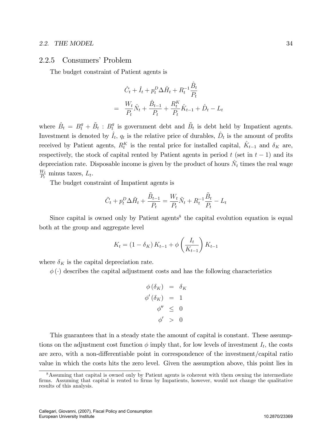## 2.2.5 Consumers' Problem

The budget constraint of Patient agents is

$$
\hat{C}_t + \hat{I}_t + p_t^D \Delta \hat{H}_t + R_t^{-1} \frac{\hat{B}_t}{P_t}
$$
\n
$$
= \frac{W_t}{P_t} \hat{N}_t + \frac{\hat{B}_{t-1}}{P_t} + \frac{R_t^K}{P_t} \hat{K}_{t-1} + \hat{D}_t - L_t
$$

where  $\hat{B}_t = B_t^g + \tilde{B}_t : B_t^g$  $t$ <sup>t</sup> is government debt and  $\tilde{B}_t$  is debt held by Impatient agents. Investment is denoted by  $\hat{I}_t$ ,  $q_t$  is the relative price of durables,  $\hat{D}_t$  is the amount of profits received by Patient agents,  $R_t^K$  is the rental price for installed capital,  $\hat{K}_{t-1}$  and  $\delta_K$  are, respectively, the stock of capital rented by Patient agents in period t (set in  $t - 1$ ) and its depreciation rate. Disposable income is given by the product of hours  $\hat{N}_t$  times the real wage  $W_t$  $\frac{W_t}{P_t}$  minus taxes,  $L_t$ .

The budget constraint of Impatient agents is

$$
\tilde{C}_t + p_t^D \Delta \tilde{H}_t + \frac{\tilde{B}_{t-1}}{P_t} = \frac{W_t}{P_t} \tilde{N}_t + R_t^{-1} \frac{\tilde{B}_t}{P_t} - L_t
$$

Since capital is owned only by Patient agents<sup>8</sup> the capital evolution equation is equal both at the group and aggregate level

$$
K_{t} = (1 - \delta_{K}) K_{t-1} + \phi \left(\frac{I_{t}}{K_{t-1}}\right) K_{t-1}
$$

where  $\delta_K$  is the capital depreciation rate.

 $\phi(\cdot)$  describes the capital adjustment costs and has the following characteristics

$$
\begin{array}{rcl}\n\phi(\delta_K) & = & \delta_K \\
\phi'(\delta_K) & = & 1 \\
\phi'' & \leq & 0 \\
\phi' & > & 0\n\end{array}
$$

This guarantees that in a steady state the amount of capital is constant. These assumptions on the adjustment cost function  $\phi$  imply that, for low levels of investment  $I_t$ , the costs are zero, with a non-differentiable point in correspondence of the investment/capital ratio value in which the costs hits the zero level. Given the assumption above, this point lies in

<sup>&</sup>lt;sup>8</sup>Assuming that capital is owned only by Patient agents is coherent with them owning the intermediate firms. Assuming that capital is rented to firms by Impatients, however, would not change the qualitative results of this analysis.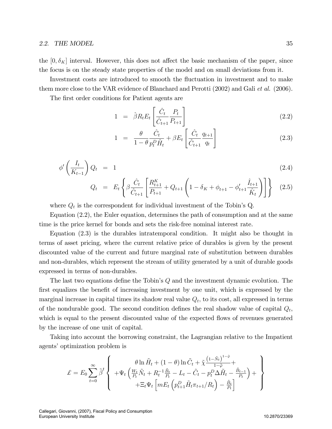the  $[0, \delta_K]$  interval. However, this does not affect the basic mechanism of the paper, since the focus is on the steady state properties of the model and on small deviations from it.

Investment costs are introduced to smooth the fluctuation in investment and to make them more close to the VAR evidence of Blanchard and Perotti (2002) and Gali et al. (2006).

The first order conditions for Patient agents are

$$
1 = \hat{\beta} R_t E_t \left[ \frac{\hat{C}_t}{\hat{C}_{t+1}} \frac{P_t}{P_{t+1}} \right]
$$
\n(2.2)

$$
1 = \frac{\theta}{1 - \theta} \frac{\hat{C}_t}{p_t^D \hat{H}_t} + \beta E_t \left[ \frac{\hat{C}_t}{\hat{C}_{t+1}} \frac{q_{t+1}}{q_t} \right]
$$
(2.3)

$$
\phi' \left( \frac{I_t}{K_{t-1}} \right) Q_t = 1 \tag{2.4}
$$

$$
Q_t = E_t \left\{ \beta \frac{\hat{C}_t}{\hat{C}_{t+1}} \left[ \frac{R_{t+1}^K}{P_{t+1}} + Q_{t+1} \left( 1 - \delta_K + \phi_{t+1} - \phi'_{t+1} \frac{\hat{I}_{t+1}}{\hat{K}_t} \right) \right] \right\} \tag{2.5}
$$

where  $Q_t$  is the correspondent for individual investment of the Tobin's Q.

Equation (2.2), the Euler equation, determines the path of consumption and at the same time is the price kernel for bonds and sets the risk-free nominal interest rate.

Equation (2.3) is the durables intratemporal condition. It might also be thought in terms of asset pricing, where the current relative price of durables is given by the present discounted value of the current and future marginal rate of substitution between durables and non-durables, which represent the stream of utility generated by a unit of durable goods expressed in terms of non-durables.

The last two equations define the Tobin's  $Q$  and the investment dynamic evolution. The first equalizes the benefit of increasing investment by one unit, which is expressed by the marginal increase in capital times its shadow real value  $Q_t$ , to its cost, all expressed in terms of the nondurable good. The second condition defines the real shadow value of capital  $Q_t$ , which is equal to the present discounted value of the expected flows of revenues generated by the increase of one unit of capital.

Taking into account the borrowing constraint, the Lagrangian relative to the Impatient agents' optimization problem is

$$
\mathcal{L} = E_0 \sum_{t=0}^{\infty} \tilde{\beta}^t \left\{ \begin{array}{c} \theta \ln \tilde{H}_t + (1-\theta) \ln \tilde{C}_t + \tilde{\chi} \frac{\left(1-\tilde{N}_t\right)^{1-\tilde{\varphi}}}{1-\tilde{\varphi}} + \\ + \Psi_t \left( \frac{W_t}{P_t} \tilde{N}_t + R_t^{-1} \frac{\tilde{B}_t}{P_t} - L_t - \tilde{C}_t - p_t^D \Delta \tilde{H}_t - \frac{\tilde{B}_{t-1}}{P_t} \right) + \\ + \Xi_t \Psi_t \left[ m E_t \left( p_{t+1}^D \tilde{H}_t \pi_{t+1}/R_t \right) - \frac{\tilde{B}_t}{P_t} \right] \end{array} \right\}
$$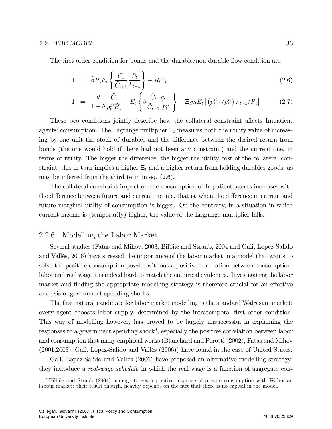The first-order condition for bonds and the durable/non-durable flow condition are

$$
1 = \tilde{\beta} R_t E_t \left\{ \frac{\tilde{C}_t}{\tilde{C}_{t+1}} \frac{P_t}{P_{t+1}} \right\} + R_t \Xi_t \tag{2.6}
$$

$$
1 = \frac{\theta}{1 - \theta} \frac{\tilde{C}_t}{p_t^D \tilde{H}_t} + E_t \left\{ \beta \frac{\tilde{C}_t}{\tilde{C}_{t+1}} \frac{q_{t+1}}{p_t^D} \right\} + \Xi_t m E_t \left[ \left( p_{t+1}^D / p_t^D \right) \pi_{t+1} / R_t \right] \tag{2.7}
$$

These two conditions jointly describe how the collateral constraint affects Impatient agents' consumption. The Lagrange multiplier  $\Xi_t$  measures both the utility value of increasing by one unit the stock of durables and the difference between the desired return from bonds (the one would hold if there had not been any constraint) and the current one, in terms of utility. The bigger the difference, the bigger the utility cost of the collateral constraint; this in turn implies a higher  $\Xi_t$  and a higher return from holding durables goods, as may be inferred from the third term in eq. (2.6).

The collateral constraint impact on the consumption of Impatient agents increases with the difference between future and current income, that is, when the difference in current and future marginal utility of consumption is bigger. On the contrary, in a situation in which current income is (temporarily) higher, the value of the Lagrange multiplier falls.

## 2.2.6 Modelling the Labor Market

Several studies (Fatas and Mihov, 2003, Bilbiie and Straub, 2004 and Gali, Lopez-Salido and Vallés, 2006) have stressed the importance of the labor market in a model that wants to solve the positive consumption puzzle: without a positive correlation between consumption, labor and real wage it is indeed hard to match the empirical evidences. Investigating the labor market and finding the appropriate modelling strategy is therefore crucial for an effective analysis of government spending shocks.

The first natural candidate for labor market modelling is the standard Walrasian market: every agent chooses labor supply, determined by the intratemporal first order condition. This way of modelling however, has proved to be largely unsuccessful in explaining the responses to a government spending shock<sup>9</sup>, especially the positive correlation between labor and consumption that many empirical works (Blanchard and Perotti (2002), Fatas and Mihov  $(2001, 2003)$ , Gali, Lopez-Salido and Vallés  $(2006)$ ) have found in the case of United States.

Gali, Lopez-Salido and Vallés (2006) have proposed an alternative modelling strategy: they introduce a real-wage schedule in which the real wage is a function of aggregate con-

<sup>&</sup>lt;sup>9</sup>Bilbiie and Straub (2004) manage to get a positive response of private consumption with Walrasian labour market: their result though, heavily depends on the fact that there is no capital in the model.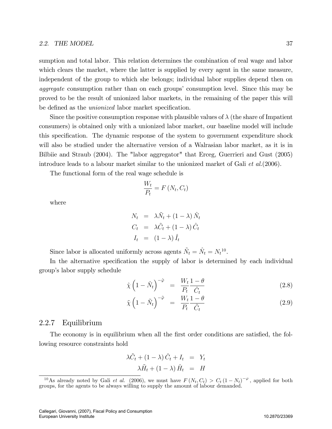sumption and total labor. This relation determines the combination of real wage and labor which clears the market, where the latter is supplied by every agent in the same measure, independent of the group to which she belongs; individual labor supplies depend then on aggregate consumption rather than on each groups' consumption level. Since this may be proved to be the result of unionized labor markets, in the remaining of the paper this will be defined as the *unionized* labor market specification.

Since the positive consumption response with plausible values of  $\lambda$  (the share of Impatient consumers) is obtained only with a unionized labor market, our baseline model will include this specification. The dynamic response of the system to government expenditure shock will also be studied under the alternative version of a Walrasian labor market, as it is in Bilbiie and Straub (2004). The "labor aggregator" that Erceg, Guerrieri and Gust (2005) introduce leads to a labour market similar to the unionized market of Gali et al.(2006).

The functional form of the real wage schedule is

$$
\frac{W_t}{P_t} = F\left(N_t, C_t\right)
$$

where

$$
N_t = \lambda \tilde{N}_t + (1 - \lambda) \hat{N}_t
$$
  
\n
$$
C_t = \lambda \tilde{C}_t + (1 - \lambda) \hat{C}_t
$$
  
\n
$$
I_t = (1 - \lambda) \hat{I}_t
$$

Since labor is allocated uniformly across agents  $\tilde{N}_t = \hat{N}_t = N_t^{10}$ .

In the alternative specification the supply of labor is determined by each individual groupís labor supply schedule

$$
\hat{\chi}\left(1-\hat{N}_t\right)^{-\hat{\varphi}} = \frac{W_t}{P_t} \frac{1-\theta}{\hat{C}_t} \tag{2.8}
$$

$$
\tilde{\chi}\left(1-\tilde{N}_t\right)^{-\tilde{\varphi}} = \frac{W_t}{P_t} \frac{1-\theta}{\tilde{C}_t} \tag{2.9}
$$

### 2.2.7 Equilibrium

The economy is in equilibrium when all the first order conditions are satisfied, the following resource constraints hold

$$
\lambda \tilde{C}_t + (1 - \lambda) \hat{C}_t + I_t = Y_t
$$
  

$$
\lambda \tilde{H}_t + (1 - \lambda) \hat{H}_t = H
$$

<sup>&</sup>lt;sup>10</sup>As already noted by Gali *et al.* (2006), we must have  $F(N_t, C_t) > C_t (1 - N_t)^{-\varphi}$ , applied for both groups, for the agents to be always willing to supply the amount of labour demanded.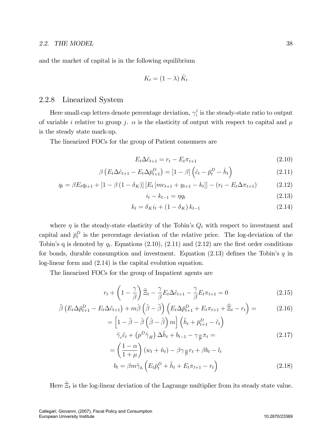and the market of capital is in the following equilibrium

$$
K_t = (1 - \lambda) \hat{K}_t
$$

## 2.2.8 Linearized System

Here small-cap letters denote percentage deviation,  $\gamma_i^j$  $\frac{1}{i}$  is the steady-state ratio to output of variable i relative to group j.  $\alpha$  is the elasticity of output with respect to capital and  $\mu$ is the steady state mark-up.

The linearized FOCs for the group of Patient consumers are

$$
E_t \Delta \tilde{c}_{t+1} = r_t - E_t \pi_{t+1} \tag{2.10}
$$

$$
\beta \left( E_t \Delta \hat{c}_{t+1} - E_t \Delta \bar{p}_{t+1}^D \right) = \left[ 1 - \beta \right] \left( \hat{c}_t - \bar{p}_t^D - \hat{h}_t \right) \tag{2.11}
$$

$$
q_{t} = \beta E_{t} q_{t+1} + [1 - \beta (1 - \delta_{K})] [E_{t} [mc_{t+1} + y_{t+1} - k_{t}]] - (r_{t} - E_{t} \Delta \pi_{t+1}) \tag{2.12}
$$

$$
i_t - k_{t-1} = \eta q_t \tag{2.13}
$$

$$
k_t = \delta_K i_t + (1 - \delta_K) k_{t-1}
$$
\n(2.14)

where  $\eta$  is the steady-state elasticity of the Tobin's  $Q_t$  with respect to investment and capital and  $\bar{p}_t^D$  is the percentage deviation of the relative price. The log-deviation of the Tobin's q is denoted by  $q_t$ . Equations (2.10), (2.11) and (2.12) are the first order conditions for bonds, durable consumption and investment. Equation  $(2.13)$  defines the Tobin's q in log-linear form and (2.14) is the capital evolution equation.

The linearized FOCs for the group of Impatient agents are

=

$$
r_t + \left(1 - \frac{\gamma}{\beta}\right)\tilde{\Xi}_t - \frac{\gamma}{\beta}E_t\Delta\tilde{c}_{t+1} - \frac{\gamma}{\beta}E_t\pi_{t+1} = 0
$$
\n(2.15)

$$
\tilde{\beta}\left(E_t\Delta\bar{p}_{t+1}^D - E_t\Delta\tilde{c}_{t+1}\right) + m\hat{\beta}\left(\hat{\beta} - \tilde{\beta}\right)\left(E_t\Delta\bar{p}_{t+1}^D + E_t\pi_{t+1} + \hat{\Xi}_t - r_t\right) = \tag{2.16}
$$

$$
\left[1 - \tilde{\beta} - \hat{\beta}\left(\hat{\beta} - \tilde{\beta}\right)m\right] \left(\tilde{h}_t + \bar{p}_{t+1}^D - \tilde{c}_t\right)
$$

$$
\tilde{\gamma}_c \tilde{c}_t + \left(p^D \tilde{\gamma}_H\right) \Delta \tilde{h}_t + b_{t-1} - \gamma_{\frac{B}{P}} \pi_t =
$$
(2.17)

$$
= \left(\frac{1-\alpha}{1+\mu}\right)(w_t + \tilde{n}_t) - \beta \gamma_{\frac{B}{P}} r_t + \beta b_t - l_t
$$

$$
b_t = \beta m \tilde{\gamma}_h \left(E_t \bar{p}_t^D + \tilde{h}_t + E_t \pi_{t+1} - r_t\right)
$$
(2.18)

Here  $\tilde{\Xi}_t$  is the log-linear deviation of the Lagrange multiplier from its steady state value.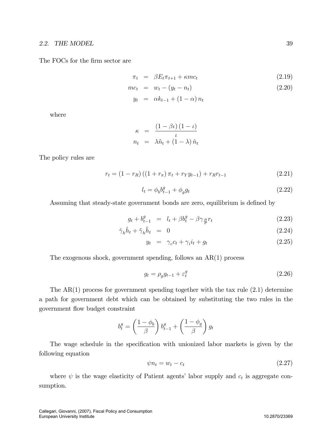The FOCs for the firm sector are

$$
\pi_t = \beta E_t \pi_{t+1} + \kappa m c_t \tag{2.19}
$$

$$
mc_t = w_t - (y_t - n_t) \tag{2.20}
$$

$$
y_t = \alpha k_{t-1} + (1 - \alpha) n_t
$$

where

$$
\kappa = \frac{(1 - \beta \iota)(1 - \iota)}{\iota}
$$
  

$$
n_t = \lambda \tilde{n}_t + (1 - \lambda) \hat{n}_t
$$

The policy rules are

$$
r_t = (1 - r_R)((1 + r_\pi)\pi_t + r_Y y_{t-1}) + r_R r_{t-1}
$$
\n(2.21)

$$
l_t = \phi_b b_{t-1}^g + \phi_g g_t \tag{2.22}
$$

Assuming that steady-state government bonds are zero, equilibrium is defined by

$$
g_t + b_{t-1}^g = l_t + \beta b_t^g - \beta \gamma_{\frac{B}{P}} r_t \tag{2.23}
$$

$$
\hat{\gamma}_h \hat{h}_t + \tilde{\gamma}_h \tilde{h}_t = 0 \tag{2.24}
$$

$$
y_t = \gamma_c c_t + \gamma_i i_t + g_t \tag{2.25}
$$

The exogenous shock, government spending, follows an AR(1) process

$$
g_t = \rho_g g_{t-1} + \varepsilon_t^g \tag{2.26}
$$

The  $AR(1)$  process for government spending together with the tax rule  $(2.1)$  determine a path for government debt which can be obtained by substituting the two rules in the government áow budget constraint

$$
b^g_t=\left(\frac{1-\phi_b}{\beta}\right)b^g_{t-1}+\left(\frac{1-\phi_g}{\beta}\right)g_t
$$

The wage schedule in the specification with unionized labor markets is given by the following equation

$$
\psi n_t = w_t - c_t \tag{2.27}
$$

where  $\psi$  is the wage elasticity of Patient agents' labor supply and  $c_t$  is aggregate consumption.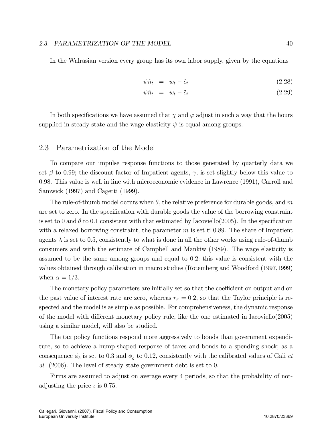#### 2.3. PARAMETRIZATION OF THE MODEL 40

In the Walrasian version every group has its own labor supply, given by the equations

$$
\psi \hat{n}_t = w_t - \hat{c}_t \tag{2.28}
$$

$$
\psi \hat{n}_t = w_t - \tilde{c}_t \tag{2.29}
$$

In both specifications we have assumed that  $\chi$  and  $\varphi$  adjust in such a way that the hours supplied in steady state and the wage elasticity  $\psi$  is equal among groups.

#### 2.3 Parametrization of the Model

To compare our impulse response functions to those generated by quarterly data we set  $\beta$  to 0.99; the discount factor of Impatient agents,  $\gamma$ , is set slightly below this value to 0.98. This value is well in line with microeconomic evidence in Lawrence (1991), Carroll and Samwick (1997) and Cagetti (1999).

The rule-of-thumb model occurs when  $\theta$ , the relative preference for durable goods, and m are set to zero. In the specification with durable goods the value of the borrowing constraint is set to 0 and  $\theta$  to 0.1 consistent with that estimated by Iacoviello(2005). In the specification with a relaxed borrowing constraint, the parameter  $m$  is set ti 0.89. The share of Impatient agents  $\lambda$  is set to 0.5, consistently to what is done in all the other works using rule-of-thumb consumers and with the estimate of Campbell and Mankiw (1989). The wage elasticity is assumed to be the same among groups and equal to 0.2: this value is consistent with the values obtained through calibration in macro studies (Rotemberg and Woodford (1997,1999) when  $\alpha = 1/3$ .

The monetary policy parameters are initially set so that the coefficient on output and on the past value of interest rate are zero, whereas  $r_{\pi} = 0.2$ , so that the Taylor principle is respected and the model is as simple as possible. For comprehensiveness, the dynamic response of the model with different monetary policy rule, like the one estimated in Iacoviello $(2005)$ using a similar model, will also be studied.

The tax policy functions respond more aggressively to bonds than government expenditure, so to achieve a hump-shaped response of taxes and bonds to a spending shock; as a consequence  $\phi_b$  is set to 0.3 and  $\phi_g$  to 0.12, consistently with the calibrated values of Gali *et* al. (2006). The level of steady state government debt is set to 0.

Firms are assumed to adjust on average every 4 periods, so that the probability of notadjusting the price  $\iota$  is 0.75.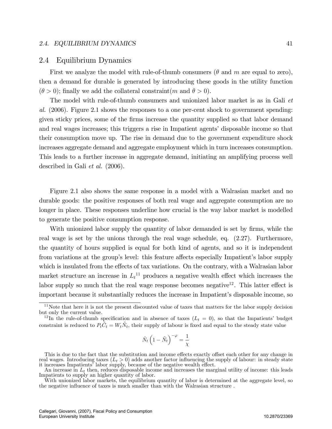#### 2.4. EQUILIBRIUM DYNAMICS 41

#### 2.4 Equilibrium Dynamics

First we analyze the model with rule-of-thumb consumers  $(\theta$  and m are equal to zero), then a demand for durable is generated by introducing these goods in the utility function  $(\theta > 0)$ ; finally we add the collateral constraint (m and  $\theta > 0$ ).

The model with rule-of-thumb consumers and unionized labor market is as in Gali et al. (2006). Figure 2.1 shows the responses to a one per-cent shock to government spending: given sticky prices, some of the Örms increase the quantity supplied so that labor demand and real wages increases; this triggers a rise in Impatient agents' disposable income so that their consumption move up. The rise in demand due to the government expenditure shock increases aggregate demand and aggregate employment which in turn increases consumption. This leads to a further increase in aggregate demand, initiating an amplifying process well described in Gali et al. (2006).

Figure 2.1 also shows the same response in a model with a Walrasian market and no durable goods: the positive responses of both real wage and aggregate consumption are no longer in place. These responses underline how crucial is the way labor market is modelled to generate the positive consumption response.

With unionized labor supply the quantity of labor demanded is set by firms, while the real wage is set by the unions through the real wage schedule, eq. (2.27). Furthermore, the quantity of hours supplied is equal for both kind of agents, and so it is independent from variations at the group's level: this feature affects especially Impatient's labor supply which is insulated from the effects of tax variations. On the contrary, with a Walrasian labor market structure an increase in  $L_t$ <sup>11</sup> produces a negative wealth effect which increases the labor supply so much that the real wage response becomes negative<sup>12</sup>. This latter effect is important because it substantially reduces the increase in Impatient's disposable income, so

$$
\hat{N}_t \left(1 - \tilde{N}_t\right)^{-\varphi} = \frac{1}{\chi}
$$

This is due to the fact that the substitution and income effects exactly offset each other for any change in real wages. Introducing taxes  $(L<sub>t</sub> > 0)$  adds another factor influencing the supply of labour: in steady state it increases Impatients' labor supply, because of the negative wealth effect.

 $11$ Note that here it is not the present discounted value of taxes that matters for the labor supply decision but only the current value.

<sup>&</sup>lt;sup>12</sup>In the rule-of-thumb specification and in absence of taxes  $(L_t = 0)$ , so that the Impatients' budget constraint is reduced to  $P_t\tilde{C}_t = W_t\tilde{N}_t$ , their supply of labour is fixed and equal to the steady state value

An increase in  $L_t$  then, reduces disposable income and increases the marginal utility of income: this leads Impatients to supply an higher quantity of labor.

With unionized labor markets, the equilibrium quantity of labor is determined at the aggregate level, so the negative influence of taxes is much smaller than with the Walrasian structure.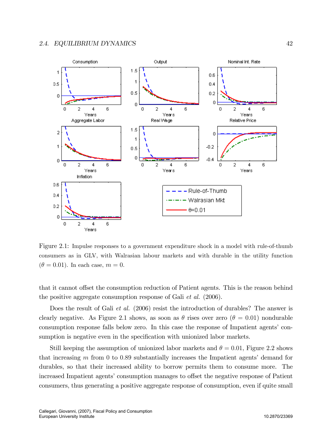

Figure 2.1: Impulse responses to a government expenditure shock in a model with rule-of-thumb consumers as in GLV, with Walrasian labour markets and with durable in the utility function  $(\theta = 0.01)$ . In each case,  $m = 0$ .

that it cannot offset the consumption reduction of Patient agents. This is the reason behind the positive aggregate consumption response of Gali et al. (2006).

Does the result of Gali *et al.* (2006) resist the introduction of durables? The answer is clearly negative. As Figure 2.1 shows, as soon as  $\theta$  rises over zero ( $\theta = 0.01$ ) nondurable consumption response falls below zero. In this case the response of Impatient agents' consumption is negative even in the specification with unionized labor markets.

Still keeping the assumption of unionized labor markets and  $\theta = 0.01$ , Figure 2.2 shows that increasing  $m$  from 0 to 0.89 substantially increases the Impatient agents' demand for durables, so that their increased ability to borrow permits them to consume more. The increased Impatient agents' consumption manages to offset the negative response of Patient consumers, thus generating a positive aggregate response of consumption, even if quite small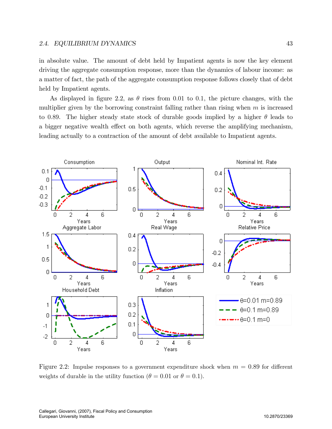in absolute value. The amount of debt held by Impatient agents is now the key element driving the aggregate consumption response, more than the dynamics of labour income: as a matter of fact, the path of the aggregate consumption response follows closely that of debt held by Impatient agents.

As displayed in figure 2.2, as  $\theta$  rises from 0.01 to 0.1, the picture changes, with the multiplier given by the borrowing constraint falling rather than rising when  $m$  is increased to 0.89. The higher steady state stock of durable goods implied by a higher  $\theta$  leads to a bigger negative wealth effect on both agents, which reverse the amplifying mechanism, leading actually to a contraction of the amount of debt available to Impatient agents.



Figure 2.2: Impulse responses to a government expenditure shock when  $m = 0.89$  for different weights of durable in the utility function ( $\theta = 0.01$  or  $\theta = 0.1$ ).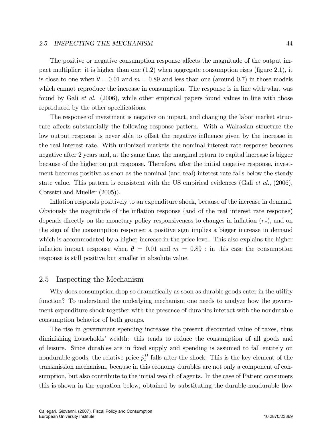#### 2.5. INSPECTING THE MECHANISM 44

The positive or negative consumption response affects the magnitude of the output impact multiplier: it is higher than one  $(1.2)$  when aggregate consumption rises (figure 2.1), it is close to one when  $\theta = 0.01$  and  $m = 0.89$  and less than one (around 0.7) in those models which cannot reproduce the increase in consumption. The response is in line with what was found by Gali et al. (2006), while other empirical papers found values in line with those reproduced by the other specifications.

The response of investment is negative on impact, and changing the labor market structure affects substantially the following response pattern. With a Walrasian structure the low output response is never able to offset the negative influence given by the increase in the real interest rate. With unionized markets the nominal interest rate response becomes negative after 2 years and, at the same time, the marginal return to capital increase is bigger because of the higher output response. Therefore, after the initial negative response, investment becomes positive as soon as the nominal (and real) interest rate falls below the steady state value. This pattern is consistent with the US empirical evidences (Gali *et al.*,  $(2006)$ , Corsetti and Mueller (2005)).

Inflation responds positively to an expenditure shock, because of the increase in demand. Obviously the magnitude of the ináation response (and of the real interest rate response) depends directly on the monetary policy responsiveness to changes in inflation  $(r_{\pi})$ , and on the sign of the consumption response: a positive sign implies a bigger increase in demand which is accommodated by a higher increase in the price level. This also explains the higher inflation impact response when  $\theta = 0.01$  and  $m = 0.89$ : in this case the consumption response is still positive but smaller in absolute value.

## 2.5 Inspecting the Mechanism

Why does consumption drop so dramatically as soon as durable goods enter in the utility function? To understand the underlying mechanism one needs to analyze how the government expenditure shock together with the presence of durables interact with the nondurable consumption behavior of both groups.

The rise in government spending increases the present discounted value of taxes, thus diminishing households' wealth: this tends to reduce the consumption of all goods and of leisure. Since durables are in Öxed supply and spending is assumed to fall entirely on nondurable goods, the relative price  $\bar{p}_t^D$  falls after the shock. This is the key element of the transmission mechanism, because in this economy durables are not only a component of consumption, but also contribute to the initial wealth of agents. In the case of Patient consumers this is shown in the equation below, obtained by substituting the durable-nondurable flow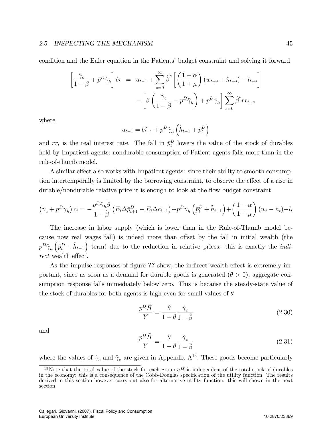condition and the Euler equation in the Patients' budget constraint and solving it forward

$$
\left[\frac{\hat{\gamma}_c}{1-\beta} + \bar{p}^D \hat{\gamma}_h\right] \hat{c}_t = a_{t-1} + \sum_{s=0}^{\infty} \hat{\beta}^s \left[\left(\frac{1-\alpha}{1+\mu}\right) (w_{t+s} + \hat{n}_{t+s}) - l_{t+s}\right] - \left[\beta \left(\frac{\hat{\gamma}_c}{1-\hat{\beta}} - p^D \hat{\gamma}_h\right) + p^D \hat{\gamma}_h\right] \sum_{s=0}^{\infty} \hat{\beta}^s r r_{t+s}
$$

where

$$
a_{t-1} = b_{t-1}^g + p^D \hat{\gamma}_h \left( \hat{h}_{t-1} + \bar{p}_t^D \right)
$$

and  $rr_t$  is the real interest rate. The fall in  $\bar{p}_t^D$  lowers the value of the stock of durables held by Impatient agents: nondurable consumption of Patient agents falls more than in the rule-of-thumb model.

A similar effect also works with Impatient agents: since their ability to smooth consumption intertemporally is limited by the borrowing constraint, to observe the effect of a rise in durable/nondurable relative price it is enough to look at the flow budget constraint

$$
\left(\tilde{\gamma}_c + p^D \tilde{\gamma}_h\right) \tilde{c}_t = -\frac{p^D \tilde{\gamma}_h \tilde{\beta}}{1 - \tilde{\beta}} \left(E_t \Delta \bar{p}_{t+1}^D - E_t \Delta \tilde{c}_{t+1}\right) + p^D \tilde{\gamma}_h \left(\bar{p}_t^D + \tilde{h}_{t-1}\right) + \left(\frac{1 - \alpha}{1 + \mu}\right) (w_t - \tilde{n}_t) - l_t
$$

The increase in labor supply (which is lower than in the Rule-of-Thumb model because now real wages fall) is indeed more than offset by the fall in initial wealth (the  $p^D \tilde{\gamma}_h \left( \bar{p}^D_t + \tilde{h}_{t-1} \right)$  $\sum_{n=1}^{\infty}$  term) due to the reduction in relative prices: this is exactly the *indi*rect wealth effect.

As the impulse responses of figure ?? show, the indirect wealth effect is extremely important, since as soon as a demand for durable goods is generated  $(\theta > 0)$ , aggregate consumption response falls immediately below zero. This is because the steady-state value of the stock of durables for both agents is high even for small values of  $\theta$ 

$$
\frac{p^D \hat{H}}{Y} = \frac{\theta}{1 - \theta} \frac{\hat{\gamma}_c}{1 - \hat{\beta}} \tag{2.30}
$$

and

$$
\frac{p^D \tilde{H}}{Y} = \frac{\theta}{1 - \theta} \frac{\tilde{\gamma}_c}{1 - \tilde{\beta}} \tag{2.31}
$$

where the values of  $\hat{\gamma}_c$  and  $\tilde{\gamma}_c$  are given in Appendix A<sup>13</sup>. These goods become particularly

<sup>&</sup>lt;sup>13</sup>Note that the total value of the stock for each group  $qH$  is independent of the total stock of durables in the economy: this is a consequence of the Cobb-Douglas specification of the utility function. The results derived in this section however carry out also for alternative utility function: this will shown in the next section.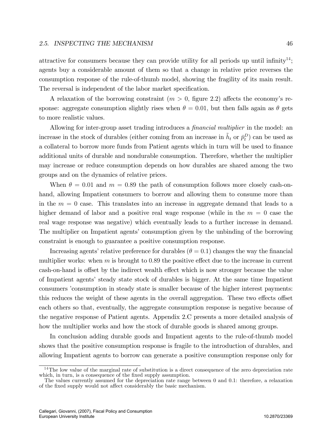attractive for consumers because they can provide utility for all periods up until infinity<sup>14</sup>; agents buy a considerable amount of them so that a change in relative price reverses the consumption response of the rule-of-thumb model, showing the fragility of its main result. The reversal is independent of the labor market specification.

A relaxation of the borrowing constraint  $(m > 0,$  figure 2.2) affects the economy's response: aggregate consumption slightly rises when  $\theta = 0.01$ , but then falls again as  $\theta$  gets to more realistic values:

Allowing for inter-group asset trading introduces a *financial multiplier* in the model: an increase in the stock of durables (either coming from an increase in  $\tilde{h}_t$  or  $\bar{p}_t^D$ ) can be used as a collateral to borrow more funds from Patient agents which in turn will be used to finance additional units of durable and nondurable consumption. Therefore, whether the multiplier may increase or reduce consumption depends on how durables are shared among the two groups and on the dynamics of relative prices.

When  $\theta = 0.01$  and  $m = 0.89$  the path of consumption follows more closely cash-onhand, allowing Impatient consumers to borrow and allowing them to consume more than in the  $m = 0$  case. This translates into an increase in aggregate demand that leads to a higher demand of labor and a positive real wage response (while in the  $m = 0$  case the real wage response was negative) which eventually leads to a further increase in demand. The multiplier on Impatient agents' consumption given by the unbinding of the borrowing constraint is enough to guarantee a positive consumption response.

Increasing agents' relative preference for durables ( $\theta = 0.1$ ) changes the way the financial multiplier works: when  $m$  is brought to 0.89 the positive effect due to the increase in current cash-on-hand is offset by the indirect wealth effect which is now stronger because the value of Impatient agentsí steady state stock of durables is bigger. At the same time Impatient consumers íconsumption in steady state is smaller because of the higher interest payments: this reduces the weight of these agents in the overall aggregation. These two effects offset each others so that, eventually, the aggregate consumption response is negative because of the negative response of Patient agents. Appendix 2.C presents a more detailed analysis of how the multiplier works and how the stock of durable goods is shared among groups.

In conclusion adding durable goods and Impatient agents to the rule-of-thumb model shows that the positive consumption response is fragile to the introduction of durables, and allowing Impatient agents to borrow can generate a positive consumption response only for

<sup>&</sup>lt;sup>14</sup>The low value of the marginal rate of substitution is a direct consequence of the zero depreciation rate which, in turn, is a consequence of the fixed supply assumption.

The values currently assumed for the depreciation rate range between 0 and 0.1: therefore, a relaxation of the fixed supply would not affect considerably the basic mechanism.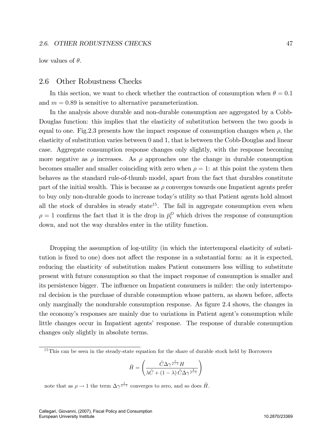low values of  $\theta$ .

## 2.6 Other Robustness Checks

In this section, we want to check whether the contraction of consumption when  $\theta = 0.1$ and  $m = 0.89$  is sensitive to alternative parameterization.

In the analysis above durable and non-durable consumption are aggregated by a Cobb-Douglas function: this implies that the elasticity of substitution between the two goods is equal to one. Fig. 2.3 presents how the impact response of consumption changes when  $\rho$ , the elasticity of substitution varies between 0 and 1, that is between the Cobb-Douglas and linear case. Aggregate consumption response changes only slightly, with the response becoming more negative as  $\rho$  increases. As  $\rho$  approaches one the change in durable consumption becomes smaller and smaller coinciding with zero when  $\rho = 1$ : at this point the system then behaves as the standard rule-of-thumb model, apart from the fact that durables constitute part of the initial wealth. This is because as  $\rho$  converges towards one Impatient agents prefer to buy only non-durable goods to increase todayís utility so that Patient agents hold almost all the stock of durables in steady state<sup>15</sup>. The fall in aggregate consumption even when  $\rho = 1$  confirms the fact that it is the drop in  $\bar{p}_t^D$  which drives the response of consumption down, and not the way durables enter in the utility function.

Dropping the assumption of log-utility (in which the intertemporal elasticity of substitution is fixed to one) does not affect the response in a substantial form: as it is expected, reducing the elasticity of substitution makes Patient consumers less willing to substitute present with future consumption so that the impact response of consumption is smaller and its persistence bigger. The influence on Impatient consumers is milder: the only intertemporal decision is the purchase of durable consumption whose pattern, as shown before, affects only marginally the nondurable consumption response. As figure 2.4 shows, the changes in the economy's responses are mainly due to variations in Patient agent's consumption while little changes occur in Impatient agents' response. The response of durable consumption changes only slightly in absolute terms.

$$
\tilde{H} = \left(\frac{\tilde{C}\Delta\gamma^{\frac{1}{\rho-1}}H}{\lambda\tilde{C} + (1-\lambda)\tilde{C}\Delta\gamma^{\frac{1}{\rho-1}}}\right)
$$

note that as  $\rho \to 1$  the term  $\Delta \gamma^{\frac{1}{\rho-1}}$  converges to zero, and so does  $\tilde{H}$ .

<sup>&</sup>lt;sup>15</sup>This can be seen in the steady-state equation for the share of durable stock held by Borrowers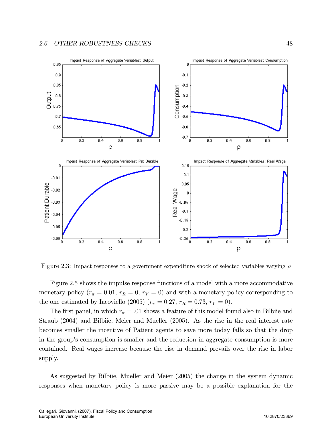

Figure 2.3: Impact responses to a government expenditure shock of selected variables varying  $\rho$ 

Figure 2.5 shows the impulse response functions of a model with a more accommodative monetary policy  $(r_{\pi} = 0.01, r_R = 0, r_Y = 0)$  and with a monetary policy corresponding to the one estimated by Iacoviello (2005) ( $r_{\pi} = 0.27$ ,  $r_R = 0.73$ ,  $r_Y = 0$ ).

The first panel, in which  $r_{\pi} = .01$  shows a feature of this model found also in Bilbiie and Straub (2004) and Bilbiie, Meier and Mueller (2005). As the rise in the real interest rate becomes smaller the incentive of Patient agents to save more today falls so that the drop in the group's consumption is smaller and the reduction in aggregate consumption is more contained. Real wages increase because the rise in demand prevails over the rise in labor supply.

As suggested by Bilbiie, Mueller and Meier (2005) the change in the system dynamic responses when monetary policy is more passive may be a possible explanation for the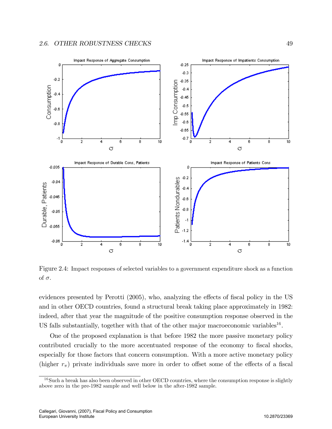

Figure 2.4: Impact responses of selected variables to a government expenditure shock as a function of  $\sigma$ .

evidences presented by Perotti  $(2005)$ , who, analyzing the effects of fiscal policy in the US and in other OECD countries, found a structural break taking place approximately in 1982: indeed, after that year the magnitude of the positive consumption response observed in the US falls substantially, together with that of the other major macroeconomic variables<sup>16</sup>.

One of the proposed explanation is that before 1982 the more passive monetary policy contributed crucially to the more accentuated response of the economy to fiscal shocks, especially for those factors that concern consumption. With a more active monetary policy (higher  $r_{\pi}$ ) private individuals save more in order to offset some of the effects of a fiscal

 $16$ Such a break has also been observed in other OECD countries, where the consumption response is slightly above zero in the pre-1982 sample and well below in the after-1982 sample.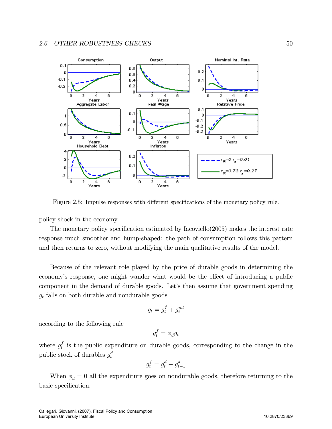

Figure 2.5: Impulse responses with different specifications of the monetary policy rule.

policy shock in the economy.

The monetary policy specification estimated by Iacoviello $(2005)$  makes the interest rate response much smoother and hump-shaped: the path of consumption follows this pattern and then returns to zero, without modifying the main qualitative results of the model.

Because of the relevant role played by the price of durable goods in determining the economy's response, one might wander what would be the effect of introducing a public component in the demand of durable goods. Let's then assume that government spending  $g_t$  falls on both durable and nondurable goods

$$
g_t = g_t^f + g_t^{nd}
$$

according to the following rule

$$
g_t^f = \phi_d g_t
$$

where  $g_t^f$  $_t^I$  is the public expenditure on durable goods, corresponding to the change in the public stock of durables  $g_t^d$ 

$$
g_t^f = g_t^d - g_{t-1}^d
$$

When  $\phi_d = 0$  all the expenditure goes on nondurable goods, therefore returning to the basic specification.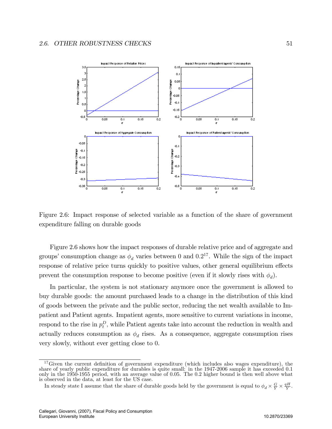

Figure 2.6: Impact response of selected variable as a function of the share of government expenditure falling on durable goods

Figure 2.6 shows how the impact responses of durable relative price and of aggregate and groups' consumption change as  $\phi_d$  varies between 0 and 0.2<sup>17</sup>. While the sign of the impact response of relative price turns quickly to positive values, other general equilibrium effects prevent the consumption response to become positive (even if it slowly rises with  $\phi_d$ ).

In particular, the system is not stationary anymore once the government is allowed to buy durable goods: the amount purchased leads to a change in the distribution of this kind of goods between the private and the public sector, reducing the net wealth available to Impatient and Patient agents. Impatient agents, more sensitive to current variations in income, respond to the rise in  $p_t^D$ , while Patient agents take into account the reduction in wealth and actually reduces consumption as  $\phi_d$  rises. As a consequence, aggregate consumption rises very slowly, without ever getting close to 0.

 $17$  Given the current definition of government expenditure (which includes also wages expenditure), the share of yearly public expenditure for durables is quite small: in the 1947-2006 sample it has exceeded 0:1 only in the 1950-1955 period, with an average value of 0:05. The 0:2 higher bound is then well above what is observed in the data, at least for the US case.

In steady state I assume that the share of durable goods held by the government is equal to  $\phi_d \times \frac{G}{Y} \times \frac{qH}{Y}$ .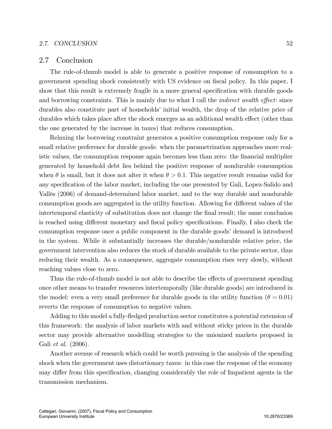## 2.7. CONCLUSION 52

## 2.7 Conclusion

The rule-of-thumb model is able to generate a positive response of consumption to a government spending shock consistently with US evidence on Öscal policy. In this paper, I show that this result is extremely fragile in a more general specification with durable goods and borrowing constraints. This is mainly due to what I call the *indirect wealth effect*: since durables also constitute part of households' initial wealth, the drop of the relative price of durables which takes place after the shock emerges as an additional wealth effect (other than the one generated by the increase in taxes) that reduces consumption.

Relaxing the borrowing constraint generates a positive consumption response only for a small relative preference for durable goods: when the parametrization approaches more realistic values, the consumption response again becomes less than zero: the financial multiplier generated by household debt lies behind the positive response of nondurable consumption when  $\theta$  is small, but it does not alter it when  $\theta > 0.1$ . This negative result remains valid for any specification of the labor market, including the one presented by Gali, Lopez-Salido and VallÈs (2006) of demand-determined labor market, and to the way durable and nondurable consumption goods are aggregated in the utility function. Allowing for different values of the intertemporal elasticity of substitution does not change the final result; the same conclusion is reached using different monetary and fiscal policy specifications. Finally, I also check the consumption response once a public component in the durable goods' demand is introduced in the system. While it substantially increases the durable/nondurable relative price, the government intervention also reduces the stock of durable available to the private sector, thus reducing their wealth. As a consequence, aggregate consumption rises very slowly, without reaching values close to zero.

Thus the rule-of-thumb model is not able to describe the effects of government spending once other means to transfer resources intertemporally (like durable goods) are introduced in the model: even a very small preference for durable goods in the utility function ( $\theta = 0.01$ ) reverts the response of consumption to negative values.

Adding to this model a fully-fledged production sector constitutes a potential extension of this framework: the analysis of labor markets with and without sticky prices in the durable sector may provide alternative modelling strategies to the unionized markets proposed in Gali et al. (2006).

Another avenue of research which could be worth pursuing is the analysis of the spending shock when the government uses distortionary taxes: in this case the response of the economy may differ from this specification, changing considerably the role of Impatient agents in the transmission mechanism.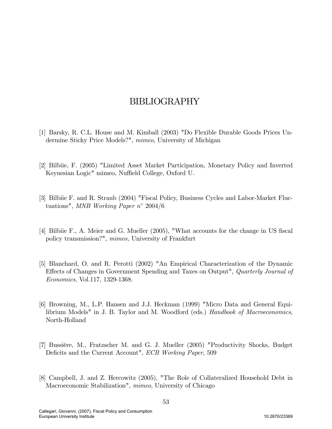# BIBLIOGRAPHY

- [1] Barsky, R. C.L. House and M. Kimball (2003) "Do Flexible Durable Goods Prices Undermine Sticky Price Models?", mimeo, University of Michigan
- [2] Bilbiie, F. (2005) "Limited Asset Market Participation, Monetary Policy and Inverted Keynesian Logic" mimeo, Nuffield College, Oxford U.
- [3] Bilbiie F. and R. Straub (2004) "Fiscal Policy, Business Cycles and Labor-Market Fluctuations", MNB Working Paper  $n^{\circ}$  2004/6
- [4] Bilbiie F., A. Meier and G. Mueller (2005), "What accounts for the change in US fiscal policy transmission?", mimeo, University of Frankfurt
- [5] Blanchard, O. and R. Perotti (2002) "An Empirical Characterization of the Dynamic Effects of Changes in Government Spending and Taxes on Output", Quarterly Journal of Economics, Vol.117, 1329-1368.
- [6] Browning, M., L.P. Hansen and J.J. Heckman (1999) "Micro Data and General Equilibrium Models" in J. B. Taylor and M. Woodford (eds.) Handbook of Macroeconomics, North-Holland
- [7] Bussière, M., Fratzscher M. and G. J. Mueller (2005) "Productivity Shocks, Budget Deficits and the Current Account", ECB Working Paper, 509
- [8] Campbell, J. and Z. Hercowitz (2005), "The Role of Collateralized Household Debt in Macroeconomic Stabilization", mimeo, University of Chicago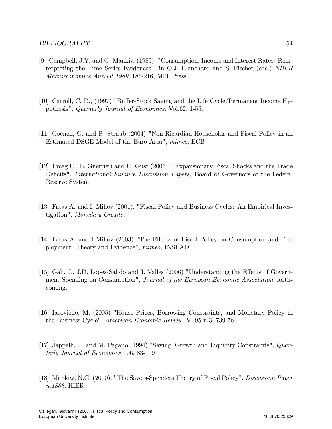- [9] Campbell, J.Y. and G. Mankiw (1989), "Consumption, Income and Interest Rates: Reinterpreting the Time Series Evidences", in O.J. Blanchard and S. Fischer (eds.) NBER Macroeconomics Annual 1989, 185-216, MIT Press
- [10] Carroll, C. D., (1997) "Buffer-Stock Saving and the Life Cycle/Permanent Income Hypothesis", Quarterly Journal of Economics, Vol.62, 1-55.
- [11] Coenen, G. and R. Straub (2004) "Non-Ricardian Households and Fiscal Policy in an Estimated DSGE Model of the Euro Area", mimeo, ECB
- [12] Erceg C., L. Guerrieri and C. Gust (2005), "Expansionary Fiscal Shocks and the Trade Deficits", *International Finance Discussion Papers*, Board of Governors of the Federal Reserve System
- [13] Fatas A. and I. Mihov.(2001), "Fiscal Policy and Business Cycles: An Empirical Investigation", Moneda y Credito.
- [14] Fatas A. and I Mihov (2003) "The Effects of Fiscal Policy on Consumption and Employment: Theory and Evidence", mimeo, INSEAD
- [15] Gali, J., J.D. Lopez-Salido and J. Valles (2006) "Understanding the Effects of Government Spending on Consumption", Journal of the European Economic Association, forthcoming.
- [16] Iacoviello, M. (2005) "House Prices, Borrowing Constraints, and Monetary Policy in the Business Cycle", American Economic Review, V. 95 n.3, 739-764
- [17] Jappelli, T. and M. Pagano (1994) "Saving, Growth and Liquidity Constraints", Quarterly Journal of Economics 106, 83-109
- [18] Mankiw, N.G. (2000), "The Savers-Spenders Theory of Fiscal Policy", Discussion Paper n.1888, HIER.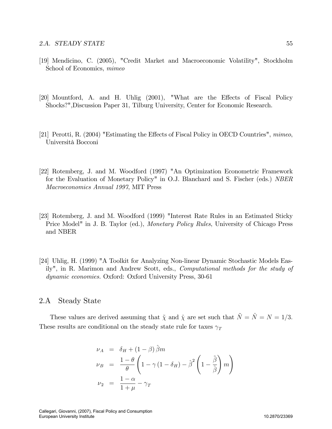- [19] Mendicino, C. (2005), "Credit Market and Macroeconomic Volatility", Stockholm School of Economics, mimeo
- [20] Mountford, A. and H. Uhlig  $(2001)$ , "What are the Effects of Fiscal Policy Shocks?",Discussion Paper 31, Tilburg University, Center for Economic Research.
- [21] Perotti, R.  $(2004)$  "Estimating the Effects of Fiscal Policy in OECD Countries", mimeo, Università Bocconi
- [22] Rotemberg, J. and M. Woodford (1997) "An Optimization Econometric Framework for the Evaluation of Monetary Policy" in O.J. Blanchard and S. Fischer (eds.) NBER Macroeconomics Annual 1997, MIT Press
- [23] Rotemberg, J. and M. Woodford (1999) "Interest Rate Rules in an Estimated Sticky Price Model" in J. B. Taylor (ed.), Monetary Policy Rules, University of Chicago Press and NBER
- [24] Uhlig, H. (1999) "A Toolkit for Analyzing Non-linear Dynamic Stochastic Models Easily", in R. Marimon and Andrew Scott, eds., Computational methods for the study of dynamic economies. Oxford: Oxford University Press, 30-61

## 2.A Steady State

These values are derived assuming that  $\tilde{\chi}$  and  $\hat{\chi}$  are set such that  $\tilde{N} = \tilde{N} = N = 1/3$ . These results are conditional on the steady state rule for taxes  $\gamma_T$ 

$$
\nu_A = \delta_H + (1 - \beta) \hat{\beta} m
$$
  
\n
$$
\nu_B = \frac{1 - \theta}{\theta} \left( 1 - \gamma (1 - \delta_H) - \hat{\beta}^2 \left( 1 - \frac{\tilde{\beta}}{\hat{\beta}} \right) m \right)
$$
  
\n
$$
\nu_2 = \frac{1 - \alpha}{1 + \mu} - \gamma_T
$$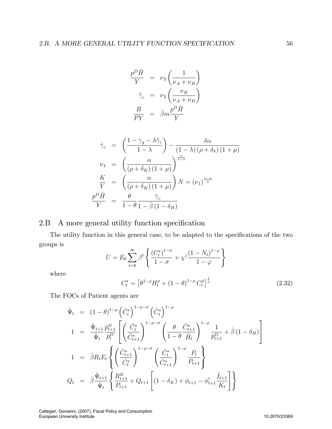$$
\frac{p^D \tilde{H}}{Y} = \nu_2 \left( \frac{1}{\nu_A + \nu_B} \right)
$$

$$
\tilde{\gamma}_c = \nu_2 \left( \frac{\nu_B}{\nu_A + \nu_B} \right)
$$

$$
\frac{B}{PY} = \hat{\beta} m \frac{p^D \tilde{H}}{Y}
$$

$$
\hat{\gamma}_c = \left(\frac{1 - \gamma_g - \lambda \tilde{\gamma}_c}{1 - \lambda}\right) - \frac{\delta \alpha}{(1 - \lambda) (\rho + \delta_k) (1 + \mu)}
$$
\n
$$
\nu_1 = \left(\frac{\alpha}{(\rho + \delta_K) (1 + \mu)}\right)^{\frac{\alpha}{1 - \alpha}}
$$
\n
$$
\frac{K}{Y} = \left(\frac{\alpha}{(\rho + \delta_K) (1 + \mu)}\right) N = (\nu_1)^{\frac{1 - \alpha}{\alpha}}
$$
\n
$$
\frac{p^D \hat{H}}{Y} = \frac{\theta}{1 - \theta} \frac{\hat{\gamma}_c}{1 - \hat{\beta} (1 - \delta_H)}
$$

## 2.B A more general utility function specification

The utility function in this general case, to be adapted to the specifications of the two groups is  $\overline{a}$  $\lambda$ 

$$
U = E_0 \sum_{t=0}^{\infty} \beta^t \left\{ \frac{(C_t^*)^{1-\sigma}}{1-\sigma} + \chi^j \frac{(1-N_t)^{1-\varphi}}{1-\varphi} \right\}
$$

where

$$
C_t^* = \left[\theta^{1-\rho}H_t^{\rho} + (1-\theta)^{1-\rho}C_t^{\rho}\right]^{\frac{1}{\rho}}
$$
\n(2.32)

The FOCs of Patient agents are

$$
\hat{\Psi}_{t} = (1 - \theta)^{1-\rho} \left(\hat{C}_{t}^{*}\right)^{1-\rho-\sigma} \left(\hat{C}_{t}^{*}\right)^{1-\rho} \n1 = \frac{\hat{\Psi}_{t+1}}{\hat{\Psi}_{t}} \frac{\bar{p}_{t+1}^{D}}{\bar{p}_{t}^{D}} \left[ \left(\frac{\hat{C}_{t}^{*}}{\hat{C}_{t+1}^{*}}\right)^{1-\rho-\sigma} \left(\frac{\theta}{1-\theta} \frac{\hat{C}_{t+1}^{*}}{\hat{H}_{t}}\right)^{1-\rho} \frac{1}{\bar{p}_{t+1}^{D}} + \hat{\beta} (1 - \delta_{H}) \right] \n1 = \hat{\beta} R_{t} E_{t} \left\{ \left(\frac{\hat{C}_{t+1}^{*}}{\hat{C}_{t}^{*}}\right)^{1-\rho-\sigma} \left(\frac{\hat{C}_{t}^{*}}{\hat{C}_{t+1}^{*}}\right)^{1-\rho} \frac{P_{t}}{P_{t+1}} \right\} \nQ_{t} = \hat{\beta} \frac{\hat{\Psi}_{t+1}}{\hat{\Psi}_{t}} \left\{ \frac{R_{t+1}^{K}}{P_{t+1}} + Q_{t+1} \left[ (1 - \delta_{K}) + \phi_{t+1} - \phi_{t+1}' \frac{\hat{I}_{t+1}}{K_{t}} \right] \right\}
$$

Callegari, Giovanni, (2007), Fiscal Policy and Consumption European University Institute 10.2870/23369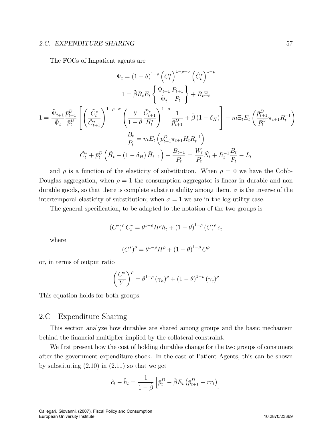#### 2.C. EXPENDITURE SHARING 57

The FOCs of Impatient agents are

$$
\tilde{\Psi}_{t} = (1 - \theta)^{1-\rho} \left(\tilde{C}_{t}^{*}\right)^{1-\rho-\sigma} \left(\hat{C}_{t}^{*}\right)^{1-\rho}
$$
\n
$$
1 = \tilde{\beta} R_{t} E_{t} \left\{\frac{\tilde{\Psi}_{t+1}}{\tilde{\Psi}_{t}} \frac{P_{t+1}}{P_{t}}\right\} + R_{t} \Xi_{t}
$$
\n
$$
1 = \frac{\tilde{\Psi}_{t+1}}{\tilde{\Psi}_{t}} \frac{\bar{p}_{t+1}^{D}}{\bar{p}_{t}^{D}} \left[\left(\frac{\tilde{C}_{t}^{*}}{\tilde{C}_{t+1}^{*}}\right)^{1-\rho-\sigma} \left(\frac{\theta}{1-\theta} \frac{\tilde{C}_{t+1}^{*}}{H_{t}^{*}}\right)^{1-\rho} \frac{1}{\bar{p}_{t+1}^{D}} + \tilde{\beta} \left(1-\delta_{H}\right)\right] + m \Xi_{t} E_{t} \left(\frac{\bar{p}_{t+1}^{D}}{\bar{p}_{t}^{D}} \pi_{t+1} R_{t}^{-1}\right)
$$
\n
$$
\frac{B_{t}}{P_{t}} = m E_{t} \left(\bar{p}_{t+1}^{D} \pi_{t+1} \tilde{H}_{t} R_{t}^{-1}\right)
$$
\n
$$
\tilde{C}_{t}^{*} + \bar{p}_{t}^{D} \left(\tilde{H}_{t} - (1-\delta_{H}) \tilde{H}_{t-1}\right) + \frac{B_{t-1}}{P_{t}} = \frac{W_{t}}{P_{t}} \tilde{N}_{t} + R_{t}^{-1} \frac{B_{t}}{P_{t}} - L_{t}
$$

and  $\rho$  is a function of the elasticity of substitution. When  $\rho = 0$  we have the Cobb-Douglas aggregation, when  $\rho = 1$  the consumption aggregator is linear in durable and non durable goods, so that there is complete substitutability among them.  $\sigma$  is the inverse of the intertemporal elasticity of substitution; when  $\sigma = 1$  we are in the log-utility case.

The general specification, to be adapted to the notation of the two groups is

$$
(C^*)^{\rho} C_t^* = \theta^{1-\rho} H^{\rho} h_t + (1-\theta)^{1-\rho} (C)^{\rho} c_t
$$

where

$$
(C^*)^{\rho} = \theta^{1-\rho}H^{\rho} + (1-\theta)^{1-\rho}C^{\rho}
$$

or, in terms of output ratio

$$
\left(\frac{C^*}{Y}\right)^{\rho} = \theta^{1-\rho} (\gamma_h)^{\rho} + (1-\theta)^{1-\rho} (\gamma_c)^{\rho}
$$

This equation holds for both groups.

# 2.C Expenditure Sharing

This section analyze how durables are shared among groups and the basic mechanism behind the financial multiplier implied by the collateral constraint.

We first present how the cost of holding durables change for the two groups of consumers after the government expenditure shock. In the case of Patient Agents, this can be shown by substituting  $(2.10)$  in  $(2.11)$  so that we get

$$
\hat{c}_t - \hat{h}_t = \frac{1}{1 - \hat{\beta}} \left[ \bar{p}_t^D - \hat{\beta} E_t \left( \bar{p}_{t+1}^D - rr_t \right) \right]
$$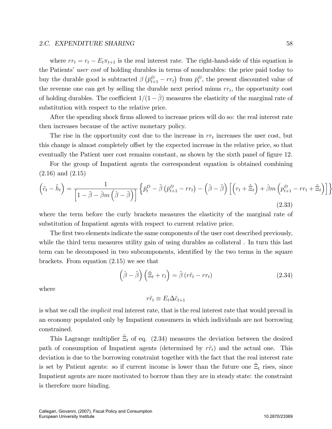#### 2.C. EXPENDITURE SHARING 58

where  $rr_t = r_t - E_t \pi_{t+1}$  is the real interest rate. The right-hand-side of this equation is the Patients' user cost of holding durables in terms of nondurables: the price paid today to buy the durable good is subtracted  $\beta(\bar{p}_{t+1}^D - rr_t)$  from  $\bar{p}_t^D$ , the present discounted value of the revenue one can get by selling the durable next period minus  $rr_t$ , the opportunity cost of holding durables. The coefficient  $1/(1 - \hat{\beta})$  measures the elasticity of the marginal rate of substitution with respect to the relative price.

After the spending shock firms allowed to increase prices will do so: the real interest rate then increases because of the active monetary policy.

The rise in the opportunity cost due to the increase in  $rr<sub>t</sub>$  increases the user cost, but this change is almost completely offset by the expected increase in the relative price, so that eventually the Patient user cost remains constant, as shown by the sixth panel of figure 12.

For the group of Impatient agents the correspondent equation is obtained combining (2.16) and (2.15)

$$
\left(\tilde{c}_t - \tilde{h}_t\right) = \frac{1}{\left[1 - \tilde{\beta} - \hat{\beta}m\left(\hat{\beta} - \tilde{\beta}\right)\right]} \left\{\bar{p}_t^D - \tilde{\beta}\left(\bar{p}_{t+1}^D - rr_t\right) - \left(\hat{\beta} - \tilde{\beta}\right)\left[\left(r_t + \tilde{\Xi}_t\right) + \hat{\beta}m\left(p_{t+1}^D - rr_t + \tilde{\Xi}_t\right)\right]\right\}
$$
\n(2.33)

where the term before the curly brackets measures the elasticity of the marginal rate of substitution of Impatient agents with respect to current relative price.

The first two elements indicate the same components of the user cost described previously, while the third term measures utility gain of using durables as collateral. In turn this last term can be decomposed in two subcomponents, identified by the two terms in the square brackets. From equation (2.15) we see that

$$
\left(\hat{\beta} - \tilde{\beta}\right)\left(\tilde{\Xi}_t + r_t\right) = \tilde{\beta}\left(r\tilde{r}_t - rr_t\right) \tag{2.34}
$$

where

$$
r\tilde{r}_t \equiv E_t \Delta \tilde{c}_{t+1}
$$

is what we call the implicit real interest rate, that is the real interest rate that would prevail in an economy populated only by Impatient consumers in which individuals are not borrowing constrained.

This Lagrange multiplier  $\tilde{\Xi}_t$  of eq. (2.34) measures the deviation between the desired path of consumption of Impatient agents (determined by  $r\tilde{r}_t$ ) and the actual one. This deviation is due to the borrowing constraint together with the fact that the real interest rate is set by Patient agents: so if current income is lower than the future one  $\tilde{\Xi}_t$  rises, since Impatient agents are more motivated to borrow than they are in steady state: the constraint is therefore more binding.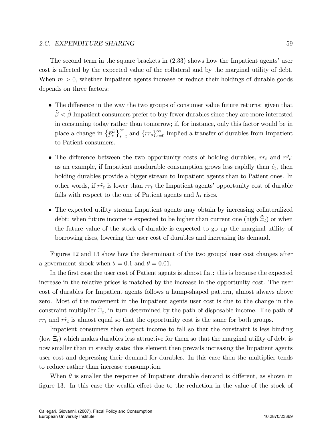The second term in the square brackets in  $(2.33)$  shows how the Impatient agents' user cost is affected by the expected value of the collateral and by the marginal utility of debt. When  $m > 0$ , whether Impatient agents increase or reduce their holdings of durable goods depends on three factors:

- The difference in the way the two groups of consumer value future returns: given that  $\tilde{\beta} < \hat{\beta}$  Impatient consumers prefer to buy fewer durables since they are more interested in consuming today rather than tomorrow; if, for instance, only this factor would be in place a change in  $\{p_s^D\}_{s=t}^{\infty}$  and  $\{rr_s\}_{s=0}^{\infty}$  implied a transfer of durables from Impatient to Patient consumers.
- The difference between the two opportunity costs of holding durables,  $rr_t$  and  $\tilde{rr_t}$ : as an example, if Impatient nondurable consumption grows less rapidly than  $\hat{c}_t$ , then holding durables provide a bigger stream to Impatient agents than to Patient ones. In other words, if  $r\tilde{r}_t$  is lower than  $rr_t$  the Impatient agents' opportunity cost of durable falls with respect to the one of Patient agents and  $\tilde{h}_t$  rises.
- The expected utility stream Impatient agents may obtain by increasing collateralized debt: when future income is expected to be higher than current one (high  $\tilde{\Xi}_t$ ) or when the future value of the stock of durable is expected to go up the marginal utility of borrowing rises, lowering the user cost of durables and increasing its demand.

Figures 12 and 13 show how the determinant of the two groups' user cost changes after a government shock when  $\theta = 0.1$  and  $\theta = 0.01$ .

In the first case the user cost of Patient agents is almost flat: this is because the expected increase in the relative prices is matched by the increase in the opportunity cost. The user cost of durables for Impatient agents follows a hump-shaped pattern, almost always above zero. Most of the movement in the Impatient agents user cost is due to the change in the constraint multiplier  $\tilde{\Xi}_t$ , in turn determined by the path of disposable income. The path of  $rr_t$  and  $r\tilde{r}_t$  is almost equal so that the opportunity cost is the same for both groups.

Impatient consumers then expect income to fall so that the constraint is less binding (low  $\tilde{\Xi}_t$ ) which makes durables less attractive for them so that the marginal utility of debt is now smaller than in steady state: this element then prevails increasing the Impatient agents user cost and depressing their demand for durables. In this case then the multiplier tends to reduce rather than increase consumption.

When  $\theta$  is smaller the response of Impatient durable demand is different, as shown in figure 13. In this case the wealth effect due to the reduction in the value of the stock of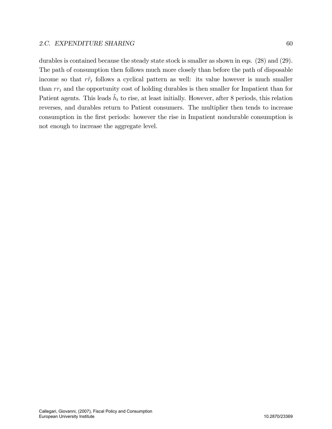durables is contained because the steady state stock is smaller as shown in eqs. (28) and (29). The path of consumption then follows much more closely than before the path of disposable income so that  $r\tilde{r}_t$  follows a cyclical pattern as well: its value however is much smaller than  $rr<sub>t</sub>$  and the opportunity cost of holding durables is then smaller for Impatient than for Patient agents. This leads  $\tilde{h}_t$  to rise, at least initially. However, after 8 periods, this relation reverses, and durables return to Patient consumers. The multiplier then tends to increase consumption in the first periods: however the rise in Impatient nondurable consumption is not enough to increase the aggregate level.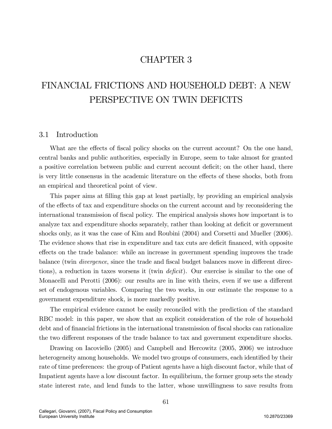# CHAPTER 3

# FINANCIAL FRICTIONS AND HOUSEHOLD DEBT: A NEW PERSPECTIVE ON TWIN DEFICITS

# 3.1 Introduction

What are the effects of fiscal policy shocks on the current account? On the one hand, central banks and public authorities, especially in Europe, seem to take almost for granted a positive correlation between public and current account deficit; on the other hand, there is very little consensus in the academic literature on the effects of these shocks, both from an empirical and theoretical point of view.

This paper aims at filling this gap at least partially, by providing an empirical analysis of the effects of tax and expenditure shocks on the current account and by reconsidering the international transmission of fiscal policy. The empirical analysis shows how important is to analyze tax and expenditure shocks separately, rather than looking at deficit or government shocks only, as it was the case of Kim and Roubini (2004) and Corsetti and Mueller (2006). The evidence shows that rise in expenditure and tax cuts are deficit financed, with opposite effects on the trade balance: while an increase in government spending improves the trade balance (twin *divergence*, since the trade and fiscal budget balances move in different directions), a reduction in taxes worsens it (twin  $deficit$ ). Our exercise is similar to the one of Monacelli and Perotti  $(2006)$ : our results are in line with theirs, even if we use a different set of endogenous variables. Comparing the two works, in our estimate the response to a government expenditure shock, is more markedly positive.

The empirical evidence cannot be easily reconciled with the prediction of the standard RBC model: in this paper, we show that an explicit consideration of the role of household debt and of financial frictions in the international transmission of fiscal shocks can rationalize the two different responses of the trade balance to tax and government expenditure shocks.

Drawing on Iacoviello (2005) and Campbell and Hercowitz (2005, 2006) we introduce heterogeneity among households. We model two groups of consumers, each identified by their rate of time preferences: the group of Patient agents have a high discount factor, while that of Impatient agents have a low discount factor. In equilibrium, the former group sets the steady state interest rate, and lend funds to the latter, whose unwillingness to save results from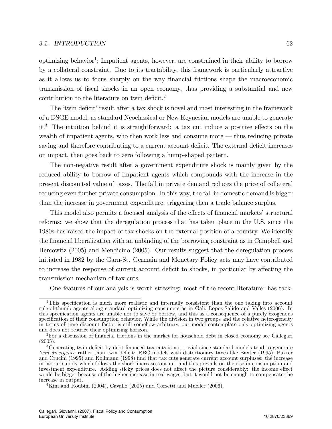#### 3.1. INTRODUCTION 62

optimizing behavior<sup>1</sup>; Impatient agents, however, are constrained in their ability to borrow by a collateral constraint. Due to its tractability, this framework is particularly attractive as it allows us to focus sharply on the way financial frictions shape the macroeconomic transmission of fiscal shocks in an open economy, thus providing a substantial and new contribution to the literature on twin deficit.<sup>2</sup>

The 'twin deficit' result after a tax shock is novel and most interesting in the framework of a DSGE model, as standard Neoclassical or New Keynesian models are unable to generate it.<sup>3</sup> The intuition behind it is straightforward: a tax cut induce a positive effects on the wealth of impatient agents, who then work less and consume more  $-$  thus reducing private saving and therefore contributing to a current account deficit. The external deficit increases on impact, then goes back to zero following a hump-shaped pattern.

The non-negative result after a government expenditure shock is mainly given by the reduced ability to borrow of Impatient agents which compounds with the increase in the present discounted value of taxes. The fall in private demand reduces the price of collateral reducing even further private consumption. In this way, the fall in domestic demand is bigger than the increase in government expenditure, triggering then a trade balance surplus.

This model also permits a focused analysis of the effects of financial markets' structural reforms: we show that the deregulation process that has taken place in the U.S. since the 1980s has raised the impact of tax shocks on the external position of a country. We identify the financial liberalization with an unbinding of the borrowing constraint as in Campbell and Hercowitz (2005) and Mendicino (2005). Our results suggest that the deregulation process initiated in 1982 by the Garn-St. Germain and Monetary Policy acts may have contributed to increase the response of current account deficit to shocks, in particular by affecting the transmission mechanism of tax cuts.

One features of our analysis is worth stressing: most of the recent literature<sup>4</sup> has tack-

<sup>&</sup>lt;sup>1</sup>This specification is much more realistic and internally consistent than the one taking into account rule-of-thumb agents along standard optimizing consumers as in Gali, Lopez-Salido and Vallès (2006). In this specification agents are unable nor to save or borrow, and this as a consequence of a purely exogenous specification of their consumption behavior. While the division in two groups and the relative heterogeneity in terms of time discount factor is still somehow arbitrary, our model contemplate only optimizing agents and does not restrict their optimizing horizon.

<sup>&</sup>lt;sup>2</sup>For a discussion of financial frictions in the market for household debt in closed economy see Callegari (2005).

<sup>&</sup>lt;sup>3</sup>Generating twin deficit by debt financed tax cuts is not trivial since standard models tend to generate twin divergence rather than twin deficit: RBC models with distortionary taxes like Baxter (1995), Baxter and Crucini (1995) and Kollmann (1998) Önd that tax cuts generate current account surpluses: the increase in labour supply which follows the shock increases output, and this prevails on the rise in consumption and investment expenditure. Adding sticky prices does not affect the picture considerably: the income effect would be bigger because of the higher increase in real wages, but it would not be enough to compensate the increase in output.

<sup>&</sup>lt;sup>4</sup>Kim and Roubini (2004), Cavallo (2005) and Corsetti and Mueller (2006).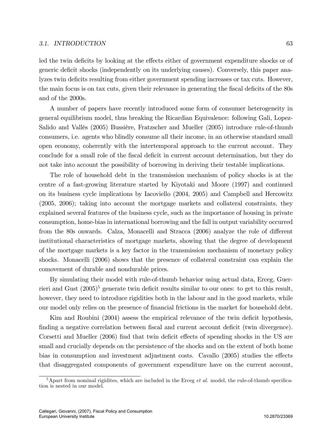#### 3.1. INTRODUCTION 63

led the twin deficits by looking at the effects either of government expenditure shocks or of generic deficit shocks (independently on its underlying causes). Conversely, this paper analyzes twin deficits resulting from either government spending increases or tax cuts. However, the main focus is on tax cuts, given their relevance in generating the fiscal deficits of the 80s and of the 2000s.

A number of papers have recently introduced some form of consumer heterogeneity in general equilibrium model, thus breaking the Ricardian Equivalence: following Gali, Lopez-Salido and Vallès (2005) Bussière, Fratzscher and Mueller (2005) introduce rule-of-thumb consumers, i.e. agents who blindly consume all their income, in an otherwise standard small open economy, coherently with the intertemporal approach to the current account. They conclude for a small role of the fiscal deficit in current account determination, but they do not take into account the possibility of borrowing in deriving their testable implications.

The role of household debt in the transmission mechanism of policy shocks is at the centre of a fast-growing literature started by Kiyotaki and Moore (1997) and continued on its business cycle implications by Iacoviello (2004, 2005) and Campbell and Hercowitz (2005, 2006); taking into account the mortgage markets and collateral constraints, they explained several features of the business cycle, such as the importance of housing in private consumption, home-bias in international borrowing and the fall in output variability occurred from the 80s onwards. Calza, Monacelli and Stracca (2006) analyze the role of different institutional characteristics of mortgage markets, showing that the degree of development of the mortgage markets is a key factor in the transmission mechanism of monetary policy shocks. Monacelli (2006) shows that the presence of collateral constraint can explain the comovement of durable and nondurable prices.

By simulating their model with rule-of-thumb behavior using actual data, Erceg, Guerrieri and Gust  $(2005)^5$  generate twin deficit results similar to our ones: to get to this result, however, they need to introduce rigidities both in the labour and in the good markets, while our model only relies on the presence of financial frictions in the market for household debt.

Kim and Roubini (2004) assess the empirical relevance of the twin deficit hypothesis, finding a negative correlation between fiscal and current account deficit (twin divergence). Corsetti and Mueller (2006) find that twin deficit effects of spending shocks in the US are small and crucially depends on the persistence of the shocks and on the extent of both home bias in consumption and investment adjustment costs. Cavallo (2005) studies the effects that disaggregated components of government expenditure have on the current account,

 $5A$  part from nominal rigidites, which are included in the Erceg *et al.* model, the rule-of-thumb specification is nested in our model.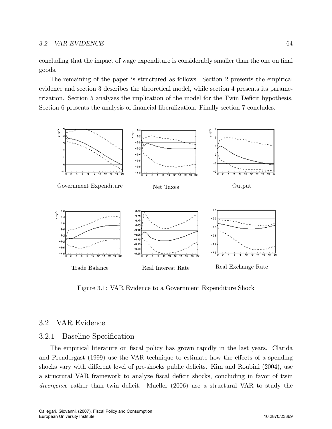#### 3.2. VAR EVIDENCE 64

concluding that the impact of wage expenditure is considerably smaller than the one on final goods.

The remaining of the paper is structured as follows. Section 2 presents the empirical evidence and section 3 describes the theoretical model, while section 4 presents its parametrization. Section 5 analyzes the implication of the model for the Twin Deficit hypothesis. Section 6 presents the analysis of financial liberalization. Finally section 7 concludes.



Figure 3.1: VAR Evidence to a Government Expenditure Shock

# 3.2 VAR Evidence

# 3.2.1 Baseline Specification

The empirical literature on fiscal policy has grown rapidly in the last years. Clarida and Prendergast (1999) use the VAR technique to estimate how the effects of a spending shocks vary with different level of pre-shocks public deficits. Kim and Roubini (2004), use a structural VAR framework to analyze fiscal deficit shocks, concluding in favor of twin divergence rather than twin deficit. Mueller  $(2006)$  use a structural VAR to study the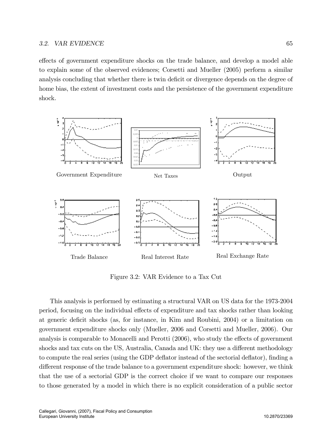effects of government expenditure shocks on the trade balance, and develop a model able to explain some of the observed evidences; Corsetti and Mueller (2005) perform a similar analysis concluding that whether there is twin deficit or divergence depends on the degree of home bias, the extent of investment costs and the persistence of the government expenditure shock.



Figure 3.2: VAR Evidence to a Tax Cut

This analysis is performed by estimating a structural VAR on US data for the 1973-2004 period, focusing on the individual effects of expenditure and tax shocks rather than looking at generic deficit shocks (as, for instance, in Kim and Roubini, 2004) or a limitation on government expenditure shocks only (Mueller, 2006 and Corsetti and Mueller, 2006). Our analysis is comparable to Monacelli and Perotti (2006), who study the effects of government shocks and tax cuts on the US, Australia, Canada and UK: they use a different methodology to compute the real series (using the GDP deflator instead of the sectorial deflator), finding a different response of the trade balance to a government expenditure shock: however, we think that the use of a sectorial GDP is the correct choice if we want to compare our responses to those generated by a model in which there is no explicit consideration of a public sector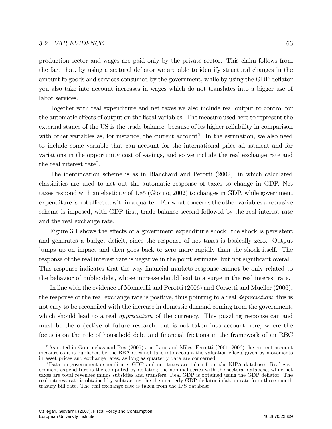#### 3.2. VAR EVIDENCE 66

production sector and wages are paid only by the private sector. This claim follows from the fact that, by using a sectoral deflator we are able to identify structural changes in the amount fo goods and services consumed by the government, while by using the GDP deflator you also take into account increases in wages which do not translates into a bigger use of labor services.

Together with real expenditure and net taxes we also include real output to control for the automatic effects of output on the fiscal variables. The measure used here to represent the external stance of the US is the trade balance, because of its higher reliability in comparison with other variables as, for instance, the current account<sup>6</sup>. In the estimation, we also need to include some variable that can account for the international price adjustment and for variations in the opportunity cost of savings, and so we include the real exchange rate and the real interest rate<sup>7</sup>.

The identification scheme is as in Blanchard and Perotti  $(2002)$ , in which calculated elasticities are used to net out the automatic response of taxes to change in GDP. Net taxes respond with an elasticity of 1.85 (Giorno, 2002) to changes in GDP, while government expenditure is not affected within a quarter. For what concerns the other variables a recursive scheme is imposed, with GDP first, trade balance second followed by the real interest rate and the real exchange rate.

Figure 3.1 shows the effects of a government expenditure shock: the shock is persistent and generates a budget deficit, since the response of net taxes is basically zero. Output jumps up on impact and then goes back to zero more rapidly than the shock itself. The response of the real interest rate is negative in the point estimate, but not significant overall. This response indicates that the way financial markets response cannot be only related to the behavior of public debt, whose increase should lead to a surge in the real interest rate.

In line with the evidence of Monacelli and Perotti (2006) and Corsetti and Mueller (2006), the response of the real exchange rate is positive, thus pointing to a real *depreciation*: this is not easy to be reconciled with the increase in domestic demand coming from the government, which should lead to a real *appreciation* of the currency. This puzzling response can and must be the objective of future research, but is not taken into account here, where the focus is on the role of household debt and financial frictions in the framework of an RBC

 $6$ As noted in Gourinchas and Rey (2005) and Lane and Milesi-Ferretti (2001, 2006) the current account measure as it is published by the BEA does not take into account the valuation effects given by movements in asset prices and exchange rates, as long as quarterly data are concerned.

<sup>7</sup>Data on government expenditure, GDP and net taxes are taken from the NIPA database. Real government expenditure is the computed by deáating the nominal series with the sectoral database, while net taxes are total revenues minus subsidies and transfers. Real GDP is obtained using the GDP deáator. The real interest rate is obtained by subtracting the the quarterly GDP deflator infaltion rate from three-month trasury bill rate. The real exchange rate is taken from the IFS database.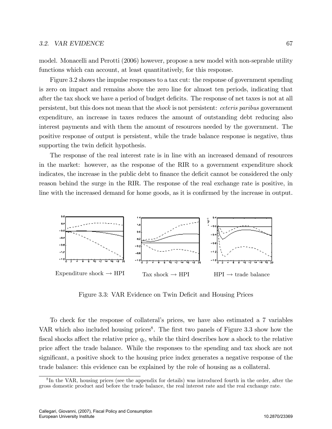#### 3.2. VAR EVIDENCE 67

model. Monacelli and Perotti (2006) however, propose a new model with non-seprable utility functions which can account, at least quantitatively, for this response.

Figure 3.2 shows the impulse responses to a tax cut: the response of government spending is zero on impact and remains above the zero line for almost ten periods, indicating that after the tax shock we have a period of budget deficits. The response of net taxes is not at all persistent, but this does not mean that the shock is not persistent: ceteris paribus government expenditure, an increase in taxes reduces the amount of outstanding debt reducing also interest payments and with them the amount of resources needed by the government. The positive response of output is persistent, while the trade balance response is negative, thus supporting the twin deficit hypothesis.

The response of the real interest rate is in line with an increased demand of resources in the market: however, as the response of the RIR to a government expenditure shock indicates, the increase in the public debt to finance the deficit cannot be considered the only reason behind the surge in the RIR. The response of the real exchange rate is positive, in line with the increased demand for home goods, as it is confirmed by the increase in output.



Figure 3.3: VAR Evidence on Twin Deficit and Housing Prices

To check for the response of collateralís prices, we have also estimated a 7 variables VAR which also included housing prices<sup>8</sup>. The first two panels of Figure 3.3 show how the fiscal shocks affect the relative price  $q_t$ , while the third describes how a shock to the relative price affect the trade balance. While the responses to the spending and tax shock are not significant, a positive shock to the housing price index generates a negative response of the trade balance: this evidence can be explained by the role of housing as a collateral.

<sup>&</sup>lt;sup>8</sup>In the VAR, housing prices (see the appendix for details) was introduced fourth in the order, after the gross domestic product and before the trade balance, the real interest rate and the real exchange rate.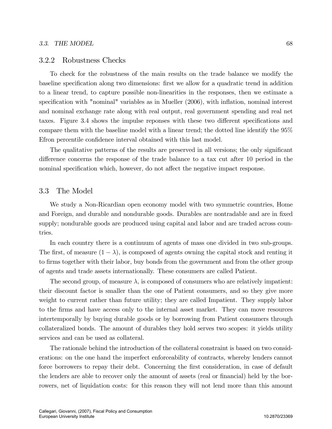### 3.2.2 Robustness Checks

To check for the robustness of the main results on the trade balance we modify the baseline specification along two dimensions: first we allow for a quadratic trend in addition to a linear trend, to capture possible non-linearities in the responses, then we estimate a specification with "nominal" variables as in Mueller (2006), with inflation, nominal interest and nominal exchange rate along with real output, real government spending and real net taxes. Figure 3.4 shows the impulse reponses with these two different specifications and compare them with the baseline model with a linear trend; the dotted line identify the 95% Efron percentile confidence interval obtained with this last model.

The qualitative patterns of the results are preserved in all versions; the only significant difference concerns the response of the trade balance to a tax cut after 10 period in the nominal specification which, however, do not affect the negative impact response.

# 3.3 The Model

We study a Non-Ricardian open economy model with two symmetric countries, Home and Foreign, and durable and nondurable goods. Durables are nontradable and are in fixed supply; nondurable goods are produced using capital and labor and are traded across countries.

In each country there is a continuum of agents of mass one divided in two sub-groups. The first, of measure  $(1 - \lambda)$ , is composed of agents owning the capital stock and renting it to firms together with their labor, buy bonds from the government and from the other group of agents and trade assets internationally. These consumers are called Patient.

The second group, of measure  $\lambda$ , is composed of consumers who are relatively impatient: their discount factor is smaller than the one of Patient consumers, and so they give more weight to current rather than future utility; they are called Impatient. They supply labor to the Örms and have access only to the internal asset market. They can move resources intertemporally by buying durable goods or by borrowing from Patient consumers through collateralized bonds. The amount of durables they hold serves two scopes: it yields utility services and can be used as collateral.

The rationale behind the introduction of the collateral constraint is based on two considerations: on the one hand the imperfect enforceability of contracts, whereby lenders cannot force borrowers to repay their debt. Concerning the first consideration, in case of default the lenders are able to recover only the amount of assets (real or financial) held by the borrowers, net of liquidation costs: for this reason they will not lend more than this amount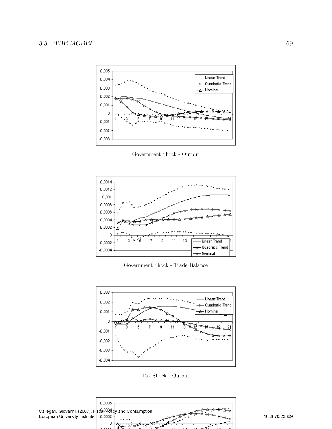

Government Shock - Output



Government Shock - Trade Balance



Tax Shock - Output

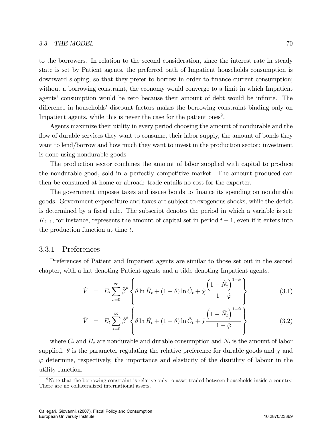to the borrowers. In relation to the second consideration, since the interest rate in steady state is set by Patient agents, the preferred path of Impatient households consumption is downward sloping, so that they prefer to borrow in order to finance current consumption; without a borrowing constraint, the economy would converge to a limit in which Impatient agents' consumption would be zero because their amount of debt would be infinite. The difference in households' discount factors makes the borrowing constraint binding only on Impatient agents, while this is never the case for the patient ones<sup>9</sup>.

Agents maximize their utility in every period choosing the amount of nondurable and the flow of durable services they want to consume, their labor supply, the amount of bonds they want to lend/borrow and how much they want to invest in the production sector: investment is done using nondurable goods.

The production sector combines the amount of labor supplied with capital to produce the nondurable good, sold in a perfectly competitive market. The amount produced can then be consumed at home or abroad: trade entails no cost for the exporter.

The government imposes taxes and issues bonds to finance its spending on nondurable goods. Government expenditure and taxes are subject to exogenous shocks, while the deficit is determined by a fiscal rule. The subscript denotes the period in which a variable is set:  $K_{t-1}$ , for instance, represents the amount of capital set in period  $t-1$ , even if it enters into the production function at time t.

# 3.3.1 Preferences

Preferences of Patient and Impatient agents are similar to those set out in the second chapter, with a hat denoting Patient agents and a tilde denoting Impatient agents.

$$
\hat{V} = E_t \sum_{s=0}^{\infty} \hat{\beta}^s \left\{ \theta \ln \hat{H}_t + (1 - \theta) \ln \hat{C}_t + \hat{\chi} \frac{\left(1 - \hat{N}_t\right)^{1 - \hat{\varphi}}}{1 - \hat{\varphi}} \right\}
$$
(3.1)

$$
\tilde{V} = E_t \sum_{s=0}^{\infty} \tilde{\beta}^s \left\{ \theta \ln \tilde{H}_t + (1 - \theta) \ln \tilde{C}_t + \tilde{\chi} \frac{\left(1 - \tilde{N}_t\right)^{1 - \tilde{\varphi}}}{1 - \tilde{\varphi}} \right\}
$$
(3.2)

where  $C_t$  and  $H_t$  are nondurable and durable consumption and  $N_t$  is the amount of labor supplied.  $\theta$  is the parameter regulating the relative preference for durable goods and  $\chi$  and  $\varphi$  determine, respectively, the importance and elasticity of the disutility of labour in the utility function.

<sup>&</sup>lt;sup>9</sup>Note that the borrowing constraint is relative only to asset traded between households inside a country. There are no collateralized international assets.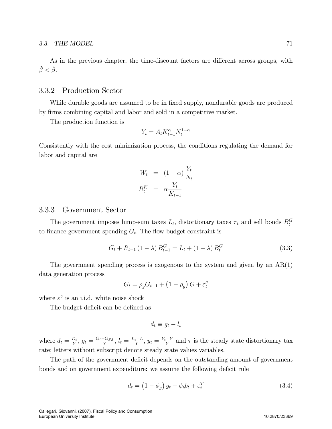As in the previous chapter, the time-discount factors are different across groups, with  $\ddot{\beta} < \hat{\beta}$ .

# 3.3.2 Production Sector

While durable goods are assumed to be in fixed supply, nondurable goods are produced by Örms combining capital and labor and sold in a competitive market.

The production function is

$$
Y_t = A_t K_{t-1}^{\alpha} N_t^{1-\alpha}
$$

Consistently with the cost minimization process, the conditions regulating the demand for labor and capital are

$$
W_t = (1 - \alpha) \frac{Y_t}{N_t}
$$

$$
R_t^K = \alpha \frac{Y_t}{K_{t-1}}
$$

# 3.3.3 Government Sector

The government imposes lump-sum taxes  $L_t$ , distortionary taxes  $\tau_t$  and sell bonds  $B_t^G$ to finance government spending  $G_t$ . The flow budget constraint is

$$
G_t + R_{t-1} (1 - \lambda) B_{t-1}^G = L_t + (1 - \lambda) B_t^G
$$
\n(3.3)

The government spending process is exogenous to the system and given by an  $AR(1)$ data generation process

$$
G_t = \rho_g G_{t-1} + (1 - \rho_g) G + \varepsilon_t^g
$$

where  $\varepsilon^g$  is an i.i.d. white noise shock

The budget deficit can be defined as

$$
d_t \equiv g_t - l_t
$$

where  $d_t = \frac{D_t}{Y}$  $\frac{D_t}{Y}$ ,  $g_t = \frac{G_t - G_{SS}}{Y}$ ,  $l_t = \frac{L_t - L}{Y}$ ,  $y_t = \frac{Y_t - Y}{Y}$  and  $\tau$  is the steady state distortionary tax rate; letters without subscript denote steady state values variables.

The path of the government deficit depends on the outstanding amount of government bonds and on government expenditure: we assume the following deficit rule

$$
d_t = \left(1 - \phi_g\right)g_t - \phi_b b_t + \varepsilon_t^T\tag{3.4}
$$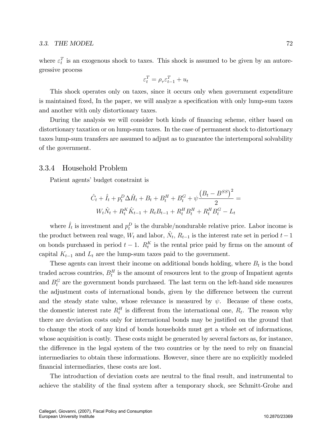where  $\varepsilon_t^T$  is an exogenous shock to taxes. This shock is assumed to be given by an autoregressive process

$$
\varepsilon_t^T = \rho_\tau \varepsilon_{t-1}^T + u_t
$$

This shock operates only on taxes, since it occurs only when government expenditure is maintained fixed, In the paper, we will analyze a specification with only lump-sum taxes and another with only distortionary taxes.

During the analysis we will consider both kinds of financing scheme, either based on distortionary taxation or on lump-sum taxes. In the case of permanent shock to distortionary taxes lump-sum transfers are assumed to adjust as to guarantee the intertemporal solvability of the government.

# 3.3.4 Household Problem

Patient agents' budget constraint is

$$
\hat{C}_t + \hat{I}_t + p_t^D \Delta \hat{H}_t + B_t + B_t^H + B_t^G + \psi \frac{(B_t - B^{SS})^2}{2} =
$$

$$
W_t \hat{N}_t + R_t^K \hat{K}_{t-1} + R_t B_{t-1} + R_t^H B_t^H + R_t^H B_t^G - L_t
$$

where  $\hat{I}_t$  is investment and  $p_t^D$  is the durable/nondurable relative price. Labor income is the product between real wage,  $W_t$  and labor,  $\hat{N}_t$ ,  $R_{t-1}$  is the interest rate set in period  $t-1$ on bonds purchased in period  $t-1$ .  $R_t^K$  is the rental price paid by firms on the amount of capital  $K_{t-1}$  and  $L_t$  are the lump-sum taxes paid to the government.

These agents can invest their income on additional bonds holding, where  $B_t$  is the bond traded across countries,  $B_t^H$  is the amount of resources lent to the group of Impatient agents and  $B_t^G$  are the government bonds purchased. The last term on the left-hand side measures the adjustment costs of international bonds, given by the difference between the current and the steady state value, whose relevance is measured by  $\psi$ . Because of these costs, the domestic interest rate  $R_t^H$  is different from the international one,  $R_t$ . The reason why there are deviation costs only for international bonds may be justified on the ground that to change the stock of any kind of bonds households must get a whole set of informations, whose acquisition is costly. These costs might be generated by several factors as, for instance, the difference in the legal system of the two countries or by the need to rely on financial intermediaries to obtain these informations. However, since there are no explicitly modeled financial intermediaries, these costs are lost.

The introduction of deviation costs are neutral to the final result, and instrumental to achieve the stability of the final system after a temporary shock, see Schmitt-Grohe and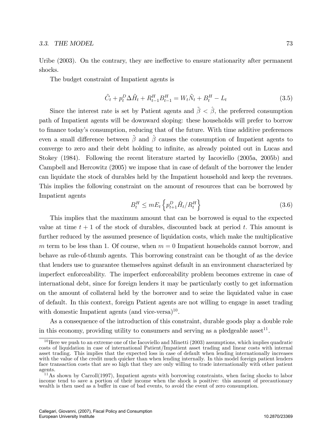Uribe  $(2003)$ . On the contrary, they are ineffective to ensure stationarity after permanent shocks.

The budget constraint of Impatient agents is

$$
\tilde{C}_t + p_t^D \Delta \tilde{H}_t + R_{t-1}^H B_{t-1}^H = W_t \tilde{N}_t + B_t^H - L_t
$$
\n(3.5)

Since the interest rate is set by Patient agents and  $\tilde{\beta} < \hat{\beta}$ , the preferred consumption path of Impatient agents will be downward sloping: these households will prefer to borrow to finance today's consumption, reducing that of the future. With time additive preferences even a small difference between  $\tilde{\beta}$  and  $\hat{\beta}$  causes the consumption of Impatient agents to converge to zero and their debt holding to infinite, as already pointed out in Lucas and Stokey (1984). Following the recent literature started by Iacoviello (2005a, 2005b) and Campbell and Hercowitz (2005) we impose that in case of default of the borrower the lender can liquidate the stock of durables held by the Impatient household and keep the revenues. This implies the following constraint on the amount of resources that can be borrowed by Impatient agents

$$
B_t^H \le mE_t \left\{ p_{t+1}^D \tilde{H}_t / R_t^H \right\} \tag{3.6}
$$

This implies that the maximum amount that can be borrowed is equal to the expected value at time  $t + 1$  of the stock of durables, discounted back at period t. This amount is further reduced by the assumed presence of liquidation costs, which make the multiplicative m term to be less than 1. Of course, when  $m = 0$  Impatient households cannot borrow, and behave as rule-of-thumb agents. This borrowing constraint can be thought of as the device that lenders use to guarantee themselves against default in an environment characterized by imperfect enforceability. The imperfect enforceability problem becomes extreme in case of international debt, since for foreign lenders it may be particularly costly to get information on the amount of collateral held by the borrower and to seize the liquidated value in case of default. In this context, foreign Patient agents are not willing to engage in asset trading with domestic Impatient agents (and vice-versa) $10$ .

As a consequence of the introduction of this constraint, durable goods play a double role in this economy, providing utility to consumers and serving as a pledgeable asset<sup>11</sup>.

 $10$  Here we push to an extreme one of the Iacoviello and Minetti (2003) assumptions, which implies quadratic costs of liquidation in case of international Patient/Impatient asset trading and linear costs with internal asset trading. This implies that the expected loss in case of default when lending internationally increases with the value of the credit much quicker than when lending internally. In this model foreign patient lenders face transaction costs that are so high that they are only willing to trade internationally with other patient agents.

<sup>&</sup>lt;sup>11</sup>As shown by Carroll(1997), Impatient agents with borrowing constraints, when facing shocks to labor income tend to save a portion of their income when the shock is positive: this amount of precautionary wealth is then used as a buffer in case of bad events, to avoid the event of zero consumption.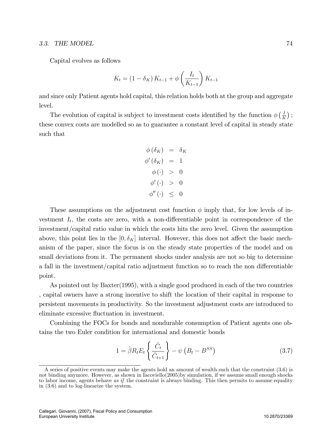Capital evolves as follows

$$
K_{t} = (1 - \delta_{K}) K_{t-1} + \phi \left(\frac{I_{t}}{K_{t-1}}\right) K_{t-1}
$$

and since only Patient agents hold capital, this relation holds both at the group and aggregate level.

The evolution of capital is subject to investment costs identified by the function  $\phi\left(\frac{I}{R}\right)$  $\frac{I}{K}$ ); these convex costs are modelled so as to guarantee a constant level of capital in steady state such that

$$
\begin{aligned}\n\phi(\delta_K) &= \delta_K \\
\phi'(\delta_K) &= 1 \\
\phi(\cdot) > 0 \\
\phi'(\cdot) > 0 \\
\phi''(\cdot) &\leq 0\n\end{aligned}
$$

These assumptions on the adjustment cost function  $\phi$  imply that, for low levels of investment  $I_t$ , the costs are zero, with a non-differentiable point in correspondence of the investment/capital ratio value in which the costs hits the zero level. Given the assumption above, this point lies in the  $[0, \delta_K]$  interval. However, this does not affect the basic mechanism of the paper, since the focus is on the steady state properties of the model and on small deviations from it. The permanent shocks under analysis are not so big to determine a fall in the investment/capital ratio adjustment function so to reach the non differentiable point.

As pointed out by Baxter(1995), with a single good produced in each of the two countries , capital owners have a strong incentive to shift the location of their capital in response to persistent movements in productivity. So the investment adjustment costs are introduced to eliminate excessive fluctuation in investment.

Combining the FOCs for bonds and nondurable consumption of Patient agents one obtains the two Euler condition for international and domestic bonds

$$
1 = \hat{\beta} R_t E_t \left\{ \frac{\hat{C}_t}{\hat{C}_{t+1}} \right\} - \psi \left( B_t - B^{SS} \right) \tag{3.7}
$$

A series of positive events may make the agents hold an amount of wealth such that the constraint (3.6) is not binding anymore. However, as shown in Iacoviello(2005)by simulation, if we assume small enough shocks to labor income, agents behave as if the constraint is always binding. This then permits to assume equality in (3.6) and to log-linearize the system.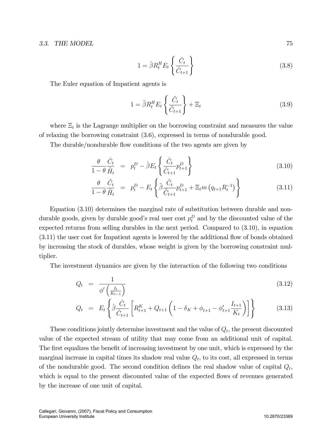$$
1 = \hat{\beta} R_t^H E_t \left\{ \frac{\hat{C}_t}{\hat{C}_{t+1}} \right\} \tag{3.8}
$$

The Euler equation of Impatient agents is

$$
1 = \tilde{\beta} R_t^H E_t \left\{ \frac{\tilde{C}_t}{\tilde{C}_{t+1}} \right\} + \Xi_t
$$
\n(3.9)

where  $\Xi_t$  is the Lagrange multiplier on the borrowing constraint and measures the value of relaxing the borrowing constraint (3.6), expressed in terms of nondurable good.

The durable/nondurable flow conditions of the two agents are given by

$$
\frac{\theta}{1-\theta}\frac{\hat{C}_t}{\hat{H}_t} = p_t^D - \hat{\beta}E_t \left\{ \frac{\hat{C}_t}{\hat{C}_{t+1}} p_{t+1}^D \right\} \tag{3.10}
$$

$$
\frac{\theta}{1-\theta} \frac{\tilde{C}_t}{\tilde{H}_t} = p_t^D - E_t \left\{ \tilde{\beta} \frac{\tilde{C}_t}{\tilde{C}_{t+1}} p_{t+1}^D + \Xi_t m \left( q_{t+1} R_t^{-1} \right) \right\} \tag{3.11}
$$

Equation (3.10) determines the marginal rate of substitution between durable and nondurable goods, given by durable good's real user cost  $p_t^D$  and by the discounted value of the expected returns from selling durables in the next period. Compared to (3.10), in equation  $(3.11)$  the user cost for Impatient agents is lowered by the additional flow of bonds obtained by increasing the stock of durables, whose weight is given by the borrowing constraint multiplier.

The investment dynamics are given by the interaction of the following two conditions

$$
Q_t = \frac{1}{\phi' \left(\frac{I_t}{K_{t-1}}\right)}\tag{3.12}
$$

$$
Q_t = E_t \left\{ \hat{\beta} \frac{\hat{C}_t}{\hat{C}_{t+1}} \left[ R_{t+1}^K + Q_{t+1} \left( 1 - \delta_K + \phi_{t+1} - \phi_{t+1}' \frac{I_{t+1}}{K_t} \right) \right] \right\}
$$
(3.13)

These conditions jointly determine investment and the value of  $Q_t$ , the present discounted value of the expected stream of utility that may come from an additional unit of capital. The first equalizes the benefit of increasing investment by one unit, which is expressed by the marginal increase in capital times its shadow real value  $Q_t$ , to its cost, all expressed in terms of the nondurable good. The second condition defines the real shadow value of capital  $Q_t$ , which is equal to the present discounted value of the expected flows of revenues generated by the increase of one unit of capital.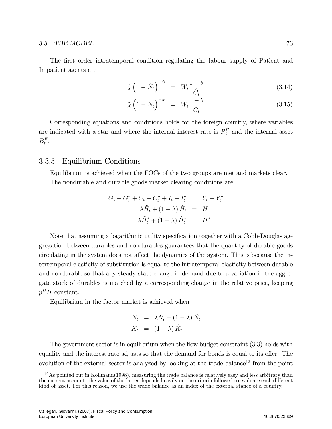The first order intratemporal condition regulating the labour supply of Patient and Impatient agents are

$$
\hat{\chi}\left(1-\hat{N}_t\right)^{-\hat{\varphi}} = W_t \frac{1-\theta}{\hat{C}_t} \tag{3.14}
$$

$$
\tilde{\chi}\left(1-\tilde{N}_t\right)^{-\tilde{\varphi}} = W_t \frac{1-\theta}{\tilde{C}_t} \tag{3.15}
$$

Corresponding equations and conditions holds for the foreign country, where variables are indicated with a star and where the internal interest rate is  $R_t^F$  and the internal asset  $B_t^F$ .

# 3.3.5 Equilibrium Conditions

Equilibrium is achieved when the FOCs of the two groups are met and markets clear. The nondurable and durable goods market clearing conditions are

$$
G_t + G_t^* + C_t + C_t^* + I_t + I_t^* = Y_t + Y_t^*
$$
  

$$
\lambda \tilde{H}_t + (1 - \lambda) \hat{H}_t = H
$$
  

$$
\lambda \tilde{H}_t^* + (1 - \lambda) \hat{H}_t^* = H^*
$$

Note that assuming a logarithmic utility specification together with a Cobb-Douglas aggregation between durables and nondurables guarantees that the quantity of durable goods circulating in the system does not affect the dynamics of the system. This is because the intertemporal elasticity of substitution is equal to the intratemporal elasticity between durable and nondurable so that any steady-state change in demand due to a variation in the aggregate stock of durables is matched by a corresponding change in the relative price, keeping  $p^D H$  constant.

Equilibrium in the factor market is achieved when

$$
N_t = \lambda \tilde{N}_t + (1 - \lambda) \hat{N}_t
$$
  

$$
K_t = (1 - \lambda) \hat{K}_t
$$

The government sector is in equilibrium when the flow budget constraint  $(3.3)$  holds with equality and the interest rate adjusts so that the demand for bonds is equal to its offer. The evolution of the external sector is analyzed by looking at the trade balance<sup>12</sup> from the point

 $12$ As pointed out in Kollmann(1998), measuring the trade balance is relatively easy and less arbitrary than the current account: the value of the latter depends heavily on the criteria followed to evaluate each different kind of asset. For this reason, we use the trade balance as an index of the external stance of a country.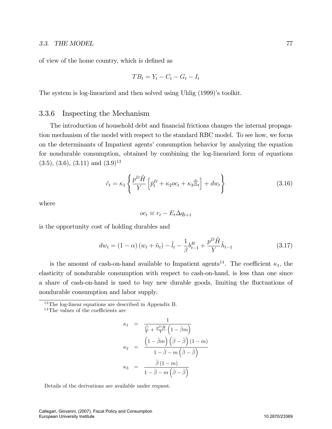of view of the home country, which is defined as

$$
TB_t = Y_t - C_t - G_t - I_t
$$

The system is log-linearized and then solved using Uhlig  $(1999)$ 's toolkit.

# 3.3.6 Inspecting the Mechanism

The introduction of household debt and financial frictions changes the internal propagation mechanism of the model with respect to the standard RBC model. To see how, we focus on the determinants of Impatient agents' consumption behavior by analyzing the equation for nondurable consumption, obtained by combining the log-linearized form of equations  $(3.5), (3.6), (3.11)$  and  $(3.9)^{13}$ 

$$
\tilde{c}_t = \kappa_1 \left\{ \frac{p^D \tilde{H}}{Y} \left[ \bar{p}_t^D + \kappa_2 o c_t + \kappa_3 \tilde{\Xi}_t \right] + dw_t \right\} \tag{3.16}
$$

where

$$
oc_t \equiv r_t - E_t \Delta q_{t+1}
$$

is the opportunity cost of holding durables and

$$
dw_{t} = (1 - \alpha) (w_{t} + \tilde{n}_{t}) - \tilde{l}_{t} - \frac{1}{\beta} b_{t-1}^{H} + \frac{p^{D} \tilde{H}}{Y} \tilde{h}_{t-1}
$$
\n(3.17)

is the amount of cash-on-hand available to Impatient agents<sup>14</sup>. The coefficient  $\kappa_1$ , the elasticity of nondurable consumption with respect to cash-on-hand, is less than one since a share of cash-on-hand is used to buy new durable goods, limiting the fluctuations of nondurable consumption and labor supply.

<sup>13</sup>The log-linear equations are described in Appendix B.

$$
\kappa_1 = \frac{1}{\frac{\tilde{C}}{\tilde{Y}} + \frac{p^D \tilde{H}}{Y} \left(1 - \hat{\beta}m\right)}
$$

$$
\kappa_2 = \frac{\left(1 - \hat{\beta}m\right) \left(\hat{\beta} - \tilde{\beta}\right) (1 - m)}{1 - \tilde{\beta} - m \left(\hat{\beta} - \tilde{\beta}\right)}
$$

$$
\kappa_3 = \frac{\tilde{\beta} (1 - m)}{1 - \tilde{\beta} - m \left(\hat{\beta} - \tilde{\beta}\right)}
$$

Details of the derivations are available under request.

 $14$ The values of the coefficients are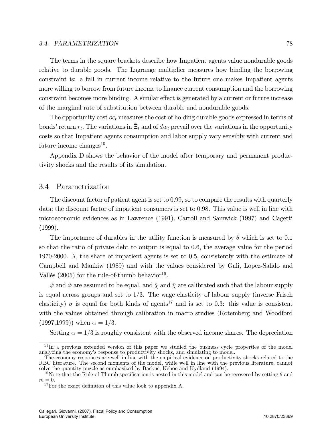#### 3.4. PARAMETRIZATION 78

The terms in the square brackets describe how Impatient agents value nondurable goods relative to durable goods. The Lagrange multiplier measures how binding the borrowing constraint is: a fall in current income relative to the future one makes Impatient agents more willing to borrow from future income to finance current consumption and the borrowing constraint becomes more binding. A similar effect is generated by a current or future increase of the marginal rate of substitution between durable and nondurable goods.

The opportunity cost  $oc_t$  measures the cost of holding durable goods expressed in terms of bonds' return  $r_t$ . The variations in  $\tilde{\Xi}_t$  and of  $dw_t$  prevail over the variations in the opportunity costs so that Impatient agents consumption and labor supply vary sensibly with current and future income changes<sup>15</sup>.

Appendix D shows the behavior of the model after temporary and permanent productivity shocks and the results of its simulation.

# 3.4 Parametrization

The discount factor of patient agent is set to 0:99, so to compare the results with quarterly data; the discount factor of impatient consumers is set to 0:98. This value is well in line with microeconomic evidences as in Lawrence (1991), Carroll and Samwick (1997) and Cagetti (1999).

The importance of durables in the utility function is measured by  $\theta$  which is set to 0.1 so that the ratio of private debt to output is equal to 0.6, the average value for the period 1970-2000.  $\lambda$ , the share of impatient agents is set to 0.5, consistently with the estimate of Campbell and Mankiw (1989) and with the values considered by Gali, Lopez-Salido and Vallès (2005) for the rule-of-thumb behavior<sup>16</sup>.

 $\tilde{\varphi}$  and  $\hat{\varphi}$  are assumed to be equal, and  $\tilde{\chi}$  and  $\hat{\chi}$  are calibrated such that the labour supply is equal across groups and set to  $1/3$ . The wage elasticity of labour supply (inverse Frisch elasticity)  $\sigma$  is equal for both kinds of agents<sup>17</sup> and is set to 0.3: this value is consistent with the values obtained through calibration in macro studies (Rotemberg and Woodford  $(1997,1999)$ ) when  $\alpha = 1/3$ .

Setting  $\alpha = 1/3$  is roughly consistent with the observed income shares. The depreciation

<sup>&</sup>lt;sup>15</sup>In a previous extended version of this paper we studied the business cycle properties of the model analyzing the economy's response to productivity shocks, and simulating to model.

The economy responses are well in line with the empirical evidence on productivity shocks related to the RBC literature. The second moments of the model, while well in line with the previous literature, cannot solve the quantity puzzle as emphasized by Backus, Kehoe and Kydland (1994).

<sup>&</sup>lt;sup>16</sup>Note that the Rule-of-Thumb specification is nested in this model and can be recovered by setting  $\theta$  and  $m = 0$ .

 $17$  For the exact definition of this value look to appendix A.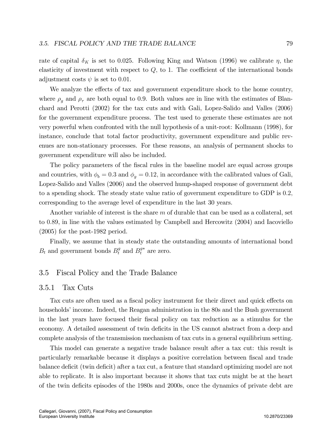rate of capital  $\delta_K$  is set to 0.025. Following King and Watson (1996) we calibrate  $\eta$ , the elasticity of investment with respect to  $Q$ , to 1. The coefficient of the international bonds adjustment costs  $\psi$  is set to 0.01.

We analyze the effects of tax and government expenditure shock to the home country, where  $\rho_q$  and  $\rho_\tau$  are both equal to 0.9. Both values are in line with the estimates of Blanchard and Perotti (2002) for the tax cuts and with Gali, Lopez-Salido and Valles (2006) for the government expenditure process. The test used to generate these estimates are not very powerful when confronted with the null hypothesis of a unit-root: Kollmann (1998), for instance, conclude that total factor productivity, government expenditure and public revenues are non-stationary processes. For these reasons, an analysis of permanent shocks to government expenditure will also be included.

The policy parameters of the fiscal rules in the baseline model are equal across groups and countries, with  $\phi_b = 0.3$  and  $\phi_g = 0.12$ , in accordance with the calibrated values of Gali, Lopez-Salido and Valles (2006) and the observed hump-shaped response of government debt to a spending shock. The steady state value ratio of government expenditure to GDP is 0:2; corresponding to the average level of expenditure in the last 30 years.

Another variable of interest is the share m of durable that can be used as a collateral, set to 0:89, in line with the values estimated by Campbell and Hercowitz (2004) and Iacoviello (2005) for the post-1982 period.

Finally, we assume that in steady state the outstanding amounts of international bond  $B_t$  and government bonds  $B_t^g$  and  $B_t^{g*}$  are zero.

# 3.5 Fiscal Policy and the Trade Balance

#### 3.5.1 Tax Cuts

Tax cuts are often used as a fiscal policy instrument for their direct and quick effects on households' income. Indeed, the Reagan administration in the 80s and the Bush government in the last years have focused their Öscal policy on tax reduction as a stimulus for the economy. A detailed assessment of twin deficits in the US cannot abstract from a deep and complete analysis of the transmission mechanism of tax cuts in a general equilibrium setting.

This model can generate a negative trade balance result after a tax cut: this result is particularly remarkable because it displays a positive correlation between Öscal and trade balance deficit (twin deficit) after a tax cut, a feature that standard optimizing model are not able to replicate. It is also important because it shows that tax cuts might be at the heart of the twin deficits episodes of the 1980s and 2000s, once the dynamics of private debt are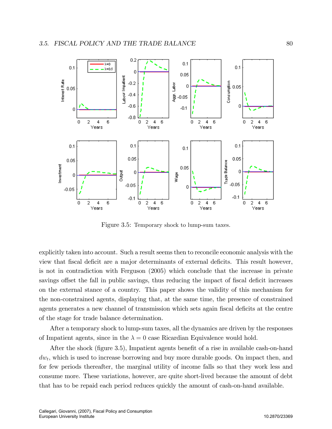

Figure 3.5: Temporary shock to lump-sum taxes.

explicitly taken into account. Such a result seems then to reconcile economic analysis with the view that fiscal deficit are a major determinants of external deficits. This result however, is not in contradiction with Ferguson (2005) which conclude that the increase in private savings offset the fall in public savings, thus reducing the impact of fiscal deficit increases on the external stance of a country. This paper shows the validity of this mechanism for the non-constrained agents, displaying that, at the same time, the presence of constrained agents generates a new channel of transmission which sets again fiscal deficits at the centre of the stage for trade balance determination.

After a temporary shock to lump-sum taxes, all the dynamics are driven by the responses of Impatient agents, since in the  $\lambda = 0$  case Ricardian Equivalence would hold.

After the shock (figure 3.5), Impatient agents benefit of a rise in available cash-on-hand  $dw_t$ , which is used to increase borrowing and buy more durable goods. On impact then, and for few periods thereafter, the marginal utility of income falls so that they work less and consume more. These variations, however, are quite short-lived because the amount of debt that has to be repaid each period reduces quickly the amount of cash-on-hand available.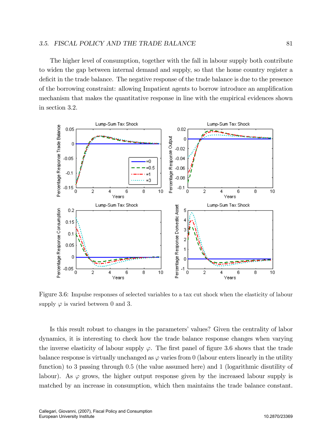#### 3.5. FISCAL POLICY AND THE TRADE BALANCE 81

The higher level of consumption, together with the fall in labour supply both contribute to widen the gap between internal demand and supply, so that the home country register a deficit in the trade balance. The negative response of the trade balance is due to the presence of the borrowing constraint: allowing Impatient agents to borrow introduce an amplification mechanism that makes the quantitative response in line with the empirical evidences shown in section 3.2.



Figure 3.6: Impulse responses of selected variables to a tax cut shock when the elasticity of labour supply  $\varphi$  is varied between 0 and 3.

Is this result robust to changes in the parameters' values? Given the centrality of labor dynamics, it is interesting to check how the trade balance response changes when varying the inverse elasticity of labour supply  $\varphi$ . The first panel of figure 3.6 shows that the trade balance response is virtually unchanged as  $\varphi$  varies from 0 (labour enters linearly in the utility function) to 3 passing through 0:5 (the value assumed here) and 1 (logarithmic disutility of labour). As  $\varphi$  grows, the higher output response given by the increased labour supply is matched by an increase in consumption, which then maintains the trade balance constant.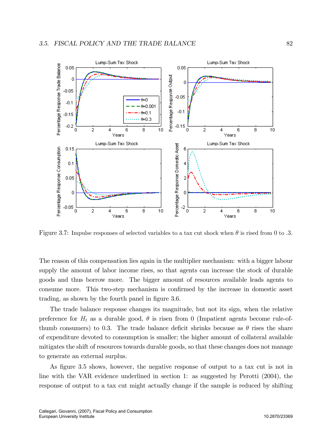

Figure 3.7: Impulse responses of selected variables to a tax cut shock when  $\theta$  is rised from 0 to .3.

The reason of this compensation lies again in the multiplier mechanism: with a bigger labour supply the amount of labor income rises, so that agents can increase the stock of durable goods and thus borrow more. The bigger amount of resources available leads agents to consume more. This two-step mechanism is confirmed by the increase in domestic asset trading, as shown by the fourth panel in figure 3.6.

The trade balance response changes its magnitude, but not its sign, when the relative preference for  $H_t$  as a durable good,  $\theta$  is risen from 0 (Impatient agents become rule-ofthumb consumers) to 0.3. The trade balance deficit shrinks because as  $\theta$  rises the share of expenditure devoted to consumption is smaller; the higher amount of collateral available mitigates the shift of resources towards durable goods, so that these changes does not manage to generate an external surplus.

As figure 3.5 shows, however, the negative response of output to a tax cut is not in line with the VAR evidence underlined in section 1: as suggested by Perotti (2004), the response of output to a tax cut might actually change if the sample is reduced by shifting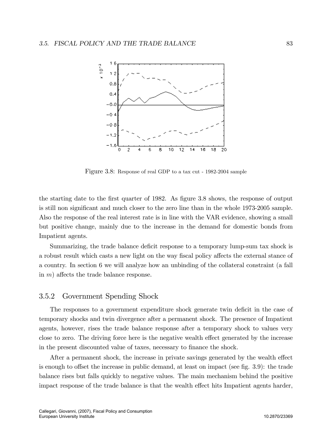

Figure 3.8: Response of real GDP to a tax cut - 1982-2004 sample

the starting date to the first quarter of 1982. As figure 3.8 shows, the response of output is still non significant and much closer to the zero line than in the whole 1973-2005 sample. Also the response of the real interest rate is in line with the VAR evidence, showing a small but positive change, mainly due to the increase in the demand for domestic bonds from Impatient agents.

Summarizing, the trade balance deficit response to a temporary lump-sum tax shock is a robust result which casts a new light on the way fiscal policy affects the external stance of a country. In section 6 we will analyze how an unbinding of the collateral constraint (a fall in  $m$ ) affects the trade balance response.

# 3.5.2 Government Spending Shock

The responses to a government expenditure shock generate twin deficit in the case of temporary shocks and twin divergence after a permanent shock. The presence of Impatient agents, however, rises the trade balance response after a temporary shock to values very close to zero. The driving force here is the negative wealth effect generated by the increase in the present discounted value of taxes, necessary to finance the shock.

After a permanent shock, the increase in private savings generated by the wealth effect is enough to offset the increase in public demand, at least on impact (see fig.  $3.9$ ): the trade balance rises but falls quickly to negative values. The main mechanism behind the positive impact response of the trade balance is that the wealth effect hits Impatient agents harder,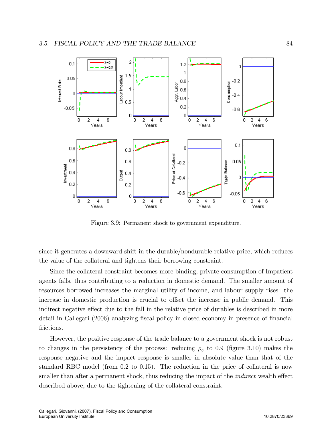

Figure 3.9: Permanent shock to government expenditure.

since it generates a downward shift in the durable/nondurable relative price, which reduces the value of the collateral and tightens their borrowing constraint.

Since the collateral constraint becomes more binding, private consumption of Impatient agents falls, thus contributing to a reduction in domestic demand. The smaller amount of resources borrowed increases the marginal utility of income, and labour supply rises: the increase in domestic production is crucial to offset the increase in public demand. This indirect negative effect due to the fall in the relative price of durables is described in more detail in Callegari (2006) analyzing fiscal policy in closed economy in presence of financial frictions.

However, the positive response of the trade balance to a government shock is not robust to changes in the persistency of the process: reducing  $\rho_g$  to 0.9 (figure 3.10) makes the response negative and the impact response is smaller in absolute value than that of the standard RBC model (from  $0.2$  to  $0.15$ ). The reduction in the price of collateral is now smaller than after a permanent shock, thus reducing the impact of the *indirect* wealth effect described above, due to the tightening of the collateral constraint.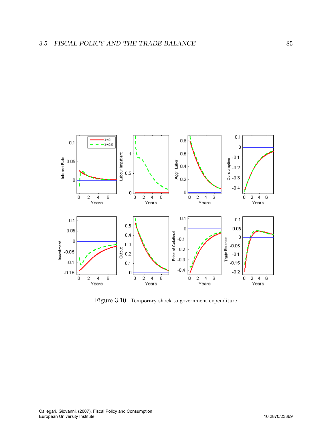

Figure 3.10: Temporary shock to government expenditure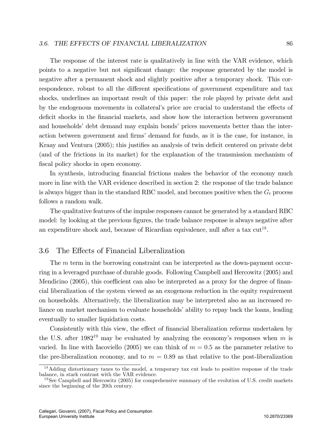The response of the interest rate is qualitatively in line with the VAR evidence, which points to a negative but not significant change: the response generated by the model is negative after a permanent shock and slightly positive after a temporary shock. This correspondence, robust to all the different specifications of government expenditure and tax shocks, underlines an important result of this paper: the role played by private debt and by the endogenous movements in collateral's price are crucial to understand the effects of deficit shocks in the financial markets, and show how the interaction between government and households' debt demand may explain bonds' prices movements better than the interaction between government and firms' demand for funds, as it is the case, for instance, in Kraay and Ventura (2005); this justifies an analysis of twin deficit centered on private debt (and of the frictions in its market) for the explanation of the transmission mechanism of fiscal policy shocks in open economy.

In synthesis, introducing financial frictions makes the behavior of the economy much more in line with the VAR evidence described in section 2: the response of the trade balance is always bigger than in the standard RBC model, and becomes positive when the  $G_t$  process follows a random walk.

The qualitative features of the impulse responses cannot be generated by a standard RBC model: by looking at the previous figures, the trade balance response is always negative after an expenditure shock and, because of Ricardian equivalence, null after a tax  $\text{cut}^{18}$ .

# 3.6 The Effects of Financial Liberalization

The m term in the borrowing constraint can be interpreted as the down-payment occurring in a leveraged purchase of durable goods. Following Campbell and Hercowitz (2005) and Mendicino  $(2005)$ , this coefficient can also be interpreted as a proxy for the degree of financial liberalization of the system viewed as an exogenous reduction in the equity requirement on households. Alternatively, the liberalization may be interpreted also as an increased reliance on market mechanism to evaluate households' ability to repay back the loans, leading eventually to smaller liquidation costs.

Consistently with this view, the effect of financial liberalization reforms undertaken by the U.S. after 1982<sup>19</sup> may be evaluated by analyzing the economy's responses when m is varied. In line with Iacoviello (2005) we can think of  $m = 0.5$  as the parameter relative to the pre-liberalization economy, and to  $m = 0.89$  as that relative to the post-liberalization

<sup>&</sup>lt;sup>18</sup>Adding distortionary taxes to the model, a temporary tax cut leads to positive response of the trade balance, in stark contrast with the VAR evidence.

<sup>&</sup>lt;sup>19</sup>See Campbell and Hercowitz (2005) for comprehensive summary of the evolution of U.S. credit markets since the beginning of the 20th century.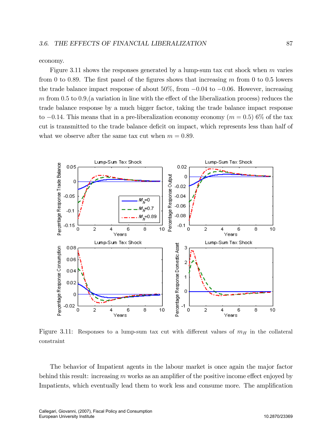economy.

Figure 3.11 shows the responses generated by a lump-sum tax cut shock when  $m$  varies from 0 to 0.89. The first panel of the figures shows that increasing  $m$  from 0 to 0.5 lowers the trade balance impact response of about  $50\%$ , from  $-0.04$  to  $-0.06$ . However, increasing m from 0.5 to 0.9, (a variation in line with the effect of the liberalization process) reduces the trade balance response by a much bigger factor, taking the trade balance impact response to  $-0.14$ . This means that in a pre-liberalization economy economy ( $m = 0.5$ ) 6% of the tax cut is transmitted to the trade balance deficit on impact, which represents less than half of what we observe after the same tax cut when  $m = 0.89$ .



Figure 3.11: Responses to a lump-sum tax cut with different values of  $m_H$  in the collateral constraint

The behavior of Impatient agents in the labour market is once again the major factor behind this result: increasing  $m$  works as an amplifier of the positive income effect enjoyed by Impatients, which eventually lead them to work less and consume more. The amplification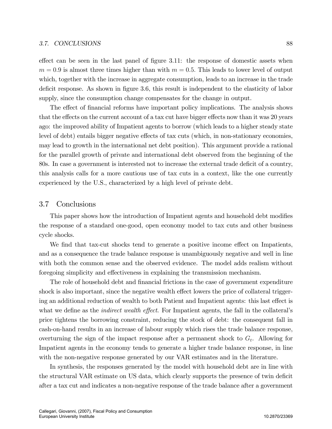#### 3.7. CONCLUSIONS 88

 $\epsilon$  effect can be seen in the last panel of figure 3.11: the response of domestic assets when  $m = 0.9$  is almost three times higher than with  $m = 0.5$ . This leads to lower level of output which, together with the increase in aggregate consumption, leads to an increase in the trade deficit response. As shown in figure 3.6, this result is independent to the elasticity of labor supply, since the consumption change compensates for the change in output.

The effect of financial reforms have important policy implications. The analysis shows that the effects on the current account of a tax cut have bigger effects now than it was 20 years ago: the improved ability of Impatient agents to borrow (which leads to a higher steady state level of debt) entails bigger negative effects of tax cuts (which, in non-stationary economies, may lead to growth in the international net debt position). This argument provide a rational for the parallel growth of private and international debt observed from the beginning of the 80s. In case a government is interested not to increase the external trade deficit of a country, this analysis calls for a more cautious use of tax cuts in a context, like the one currently experienced by the U.S., characterized by a high level of private debt.

# 3.7 Conclusions

This paper shows how the introduction of Impatient agents and household debt modifies the response of a standard one-good, open economy model to tax cuts and other business cycle shocks.

We find that tax-cut shocks tend to generate a positive income effect on Impatients, and as a consequence the trade balance response is unambiguously negative and well in line with both the common sense and the observed evidence. The model adds realism without foregoing simplicity and effectiveness in explaining the transmission mechanism.

The role of household debt and financial frictions in the case of government expenditure shock is also important, since the negative wealth effect lowers the price of collateral triggering an additional reduction of wealth to both Patient and Impatient agents: this last effect is what we define as the *indirect wealth effect*. For Impatient agents, the fall in the collateral's price tightens the borrowing constraint, reducing the stock of debt: the consequent fall in cash-on-hand results in an increase of labour supply which rises the trade balance response, overturning the sign of the impact response after a permanent shock to  $G_t$ . Allowing for Impatient agents in the economy tends to generate a higher trade balance response, in line with the non-negative response generated by our VAR estimates and in the literature.

In synthesis, the responses generated by the model with household debt are in line with the structural VAR estimate on US data, which clearly supports the presence of twin deficit after a tax cut and indicates a non-negative response of the trade balance after a government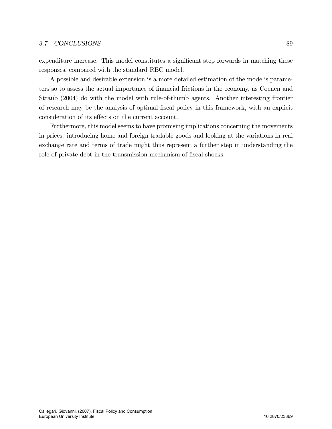#### 3.7. CONCLUSIONS 89

expenditure increase. This model constitutes a significant step forwards in matching these responses, compared with the standard RBC model.

A possible and desirable extension is a more detailed estimation of the modelís parameters so to assess the actual importance of financial frictions in the economy, as Coenen and Straub (2004) do with the model with rule-of-thumb agents. Another interesting frontier of research may be the analysis of optimal Öscal policy in this framework, with an explicit consideration of its effects on the current account.

Furthermore, this model seems to have promising implications concerning the movements in prices: introducing home and foreign tradable goods and looking at the variations in real exchange rate and terms of trade might thus represent a further step in understanding the role of private debt in the transmission mechanism of fiscal shocks.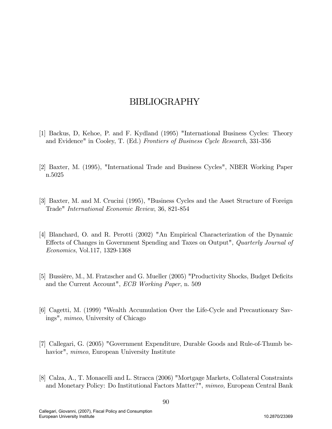# BIBLIOGRAPHY

- [1] Backus, D, Kehoe, P. and F. Kydland (1995) "International Business Cycles: Theory and Evidence" in Cooley, T. (Ed.) Frontiers of Business Cycle Research, 331-356
- [2] Baxter, M. (1995), "International Trade and Business Cycles", NBER Working Paper n.5025
- [3] Baxter, M. and M. Crucini (1995), "Business Cycles and the Asset Structure of Foreign Trade" International Economic Review, 36, 821-854
- [4] Blanchard, O. and R. Perotti (2002) "An Empirical Characterization of the Dynamic Effects of Changes in Government Spending and Taxes on Output", Quarterly Journal of Economics, Vol.117, 1329-1368
- [5] Bussière, M., M. Fratzscher and G. Mueller (2005) "Productivity Shocks, Budget Deficits and the Current Account", ECB Working Paper, n. 509
- [6] Cagetti, M. (1999) "Wealth Accumulation Over the Life-Cycle and Precautionary Savings", mimeo, University of Chicago
- [7] Callegari, G. (2005) "Government Expenditure, Durable Goods and Rule-of-Thumb behavior", *mimeo*, European University Institute
- [8] Calza, A., T. Monacelli and L. Stracca (2006) "Mortgage Markets, Collateral Constraints and Monetary Policy: Do Institutional Factors Matter?", mimeo, European Central Bank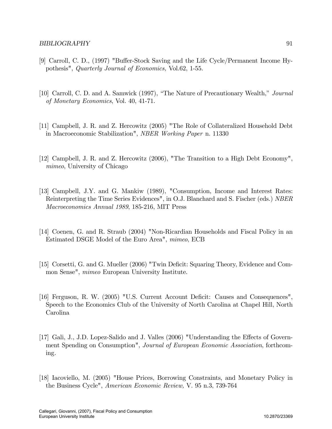- [9] Carroll, C. D., (1997) "Buffer-Stock Saving and the Life Cycle/Permanent Income Hypothesis", Quarterly Journal of Economics, Vol.62, 1-55.
- [10] Carroll, C. D. and A. Samwick (1997), "The Nature of Precautionary Wealth," Journal of Monetary Economics, Vol. 40, 41-71.
- [11] Campbell, J. R. and Z. Hercowitz (2005) "The Role of Collateralized Household Debt in Macroeconomic Stabilization", NBER Working Paper n. 11330
- [12] Campbell, J. R. and Z. Hercowitz (2006), "The Transition to a High Debt Economy", mimeo, University of Chicago
- [13] Campbell, J.Y. and G. Mankiw (1989), "Consumption, Income and Interest Rates: Reinterpreting the Time Series Evidences", in O.J. Blanchard and S. Fischer (eds.) NBER Macroeconomics Annual 1989, 185-216, MIT Press
- [14] Coenen, G. and R. Straub (2004) "Non-Ricardian Households and Fiscal Policy in an Estimated DSGE Model of the Euro Area", mimeo, ECB
- [15] Corsetti, G. and G. Mueller (2006) "Twin Deficit: Squaring Theory, Evidence and Common Sense", mimeo European University Institute.
- [16] Ferguson, R. W. (2005) "U.S. Current Account Deficit: Causes and Consequences". Speech to the Economics Club of the University of North Carolina at Chapel Hill, North Carolina
- [17] Gali, J., J.D. Lopez-Salido and J. Valles (2006) "Understanding the Effects of Government Spending on Consumption", Journal of European Economic Association, forthcoming.
- [18] Iacoviello, M. (2005) "House Prices, Borrowing Constraints, and Monetary Policy in the Business Cycle", American Economic Review, V. 95 n.3, 739-764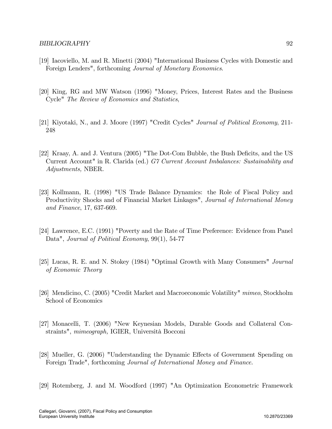- [19] Iacoviello, M. and R. Minetti (2004) "International Business Cycles with Domestic and Foreign Lenders", forthcoming Journal of Monetary Economics.
- [20] King, RG and MW Watson (1996) "Money, Prices, Interest Rates and the Business Cycle" The Review of Economics and Statistics,
- [21] Kiyotaki, N., and J. Moore (1997) "Credit Cycles" Journal of Political Economy, 211- 248
- [22] Kraay, A. and J. Ventura (2005) "The Dot-Com Bubble, the Bush Deficits, and the US Current Account" in R. Clarida (ed.) G7 Current Account Imbalances: Sustainability and Adjustments, NBER.
- [23] Kollmann, R. (1998) "US Trade Balance Dynamics: the Role of Fiscal Policy and Productivity Shocks and of Financial Market Linkages", Journal of International Money and Finance, 17, 637-669.
- [24] Lawrence, E.C. (1991) "Poverty and the Rate of Time Preference: Evidence from Panel Data", Journal of Political Economy, 99(1), 54-77
- [25] Lucas, R. E. and N. Stokey (1984) "Optimal Growth with Many Consumers" Journal of Economic Theory
- [26] Mendicino, C. (2005) "Credit Market and Macroeconomic Volatility" mimeo, Stockholm School of Economics
- [27] Monacelli, T. (2006) "New Keynesian Models, Durable Goods and Collateral Constraints", mimeograph, IGIER, Università Bocconi
- [28] Mueller, G. (2006) "Understanding the Dynamic Effects of Government Spending on Foreign Trade", forthcoming Journal of International Money and Finance.
- [29] Rotemberg, J. and M. Woodford (1997) "An Optimization Econometric Framework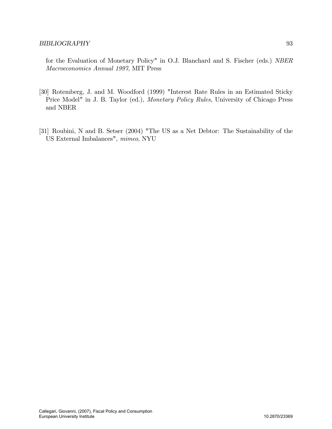for the Evaluation of Monetary Policy" in O.J. Blanchard and S. Fischer (eds.) NBER Macroeconomics Annual 1997, MIT Press

- [30] Rotemberg, J. and M. Woodford (1999) "Interest Rate Rules in an Estimated Sticky Price Model" in J. B. Taylor (ed.), Monetary Policy Rules, University of Chicago Press and NBER
- [31] Roubini, N and B. Setser (2004) "The US as a Net Debtor: The Sustainability of the US External Imbalances", mimeo, NYU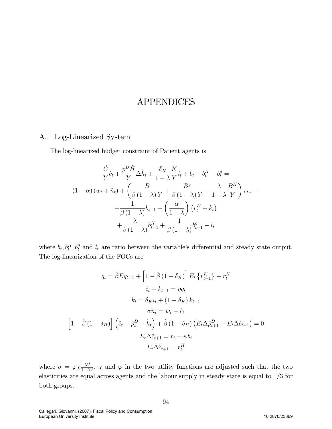# APPENDICES

# A. Log-Linearized System

The log-linearized budget constraint of Patient agents is

$$
\frac{\hat{C}}{Y}\hat{c}_t + \frac{p^D \hat{H}}{Y} \Delta \hat{h}_t + \frac{\delta_K}{1 - \lambda} \frac{K}{Y} i_t + b_t + b_t^H + b_t^g =
$$
\n
$$
(1 - \alpha) (w_t + \hat{n}_t) + \left(\frac{B}{\beta (1 - \lambda) Y} + \frac{B^g}{\beta (1 - \lambda) Y} + \frac{\lambda}{1 - \lambda} \frac{B^H}{Y}\right) r_{t-1} +
$$
\n
$$
+ \frac{1}{\beta (1 - \lambda)} b_{t-1} + \left(\frac{\alpha}{1 - \lambda}\right) (r_t^K + k_t)
$$
\n
$$
+ \frac{\lambda}{\beta (1 - \lambda)} b_{t-1}^H + \frac{1}{\beta (1 - \lambda)} b_{t-1}^g - l_t
$$

where  $b_t, b_t^H, b_t^g$  and  $l_t$  are ratio between the variable's differential and steady state output. The log-linearization of the FOCs are

$$
q_t = \hat{\beta} E q_{t+1} + \left[1 - \hat{\beta} (1 - \delta_K)\right] E_t \left\{r_{t+1}^K\right\} - r_t^H
$$

$$
i_t - k_{t-1} = \eta q_t
$$

$$
k_t = \delta_K i_t + (1 - \delta_K) k_{t-1}
$$

$$
\sigma \hat{n}_t = w_t - \hat{c}_t
$$

$$
\left[1 - \hat{\beta} (1 - \delta_H)\right] \left(\hat{c}_t - \bar{p}_t^D - \hat{h}_t\right) + \hat{\beta} (1 - \delta_H) \left(E_t \Delta \bar{p}_{t+1}^D - E_t \Delta \hat{c}_{t+1}\right) = 0
$$

$$
E_t \Delta \hat{c}_{t+1} = r_t - \psi b_t
$$

$$
E_t \Delta \hat{c}_{t+1} = r_t^H
$$

where  $\sigma = \varphi \chi \frac{N^j}{1-N^j}$ .  $\chi$  and  $\varphi$  in the two utility functions are adjusted such that the two elasticities are equal across agents and the labour supply in steady state is equal to 1/3 for both groups.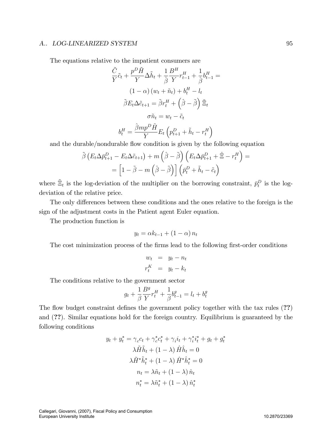#### A.. LOG-LINEARIZED SYSTEM 95

The equations relative to the impatient consumers are

$$
\frac{\tilde{C}}{Y}\tilde{c}_{t} + \frac{p^{D}\tilde{H}}{Y}\Delta\tilde{h}_{t} + \frac{1}{\hat{\beta}}\frac{B^{H}}{Y}r_{t-1}^{H} + \frac{1}{\hat{\beta}}b_{t-1}^{H} =
$$
\n
$$
(1 - \alpha)\left(w_{t} + \tilde{n}_{t}\right) + b_{t}^{H} - l_{t}
$$
\n
$$
\tilde{\beta}E_{t}\Delta\tilde{c}_{t+1} = \tilde{\beta}r_{t}^{H} + \left(\hat{\beta} - \tilde{\beta}\right)\tilde{\Xi}_{t}
$$
\n
$$
\sigma\tilde{n}_{t} = w_{t} - \tilde{c}_{t}
$$
\n
$$
b_{t}^{H} = \frac{\hat{\beta}mp^{D}\tilde{H}}{Y}E_{t}\left(p_{t+1}^{D} + \tilde{h}_{t} - r_{t}^{H}\right)
$$

and the durable/nondurable flow condition is given by the following equation

$$
\tilde{\beta} \left( E_t \Delta \bar{p}_{t+1}^D - E_t \Delta \tilde{c}_{t+1} \right) + m \left( \hat{\beta} - \tilde{\beta} \right) \left( E_t \Delta \bar{p}_{t+1}^D + \hat{\Xi} - r_t^H \right) =
$$
\n
$$
= \left[ 1 - \tilde{\beta} - m \left( \hat{\beta} - \tilde{\beta} \right) \right] \left( \bar{p}_t^D + \tilde{h}_t - \tilde{c}_t \right)
$$

where  $\tilde{\Xi}_t$  is the log-deviation of the multiplier on the borrowing constraint,  $\bar{p}_t^D$  is the logdeviation of the relative price.

The only differences between these conditions and the ones relative to the foreign is the sign of the adjustment costs in the Patient agent Euler equation.

The production function is

$$
y_t = \alpha k_{t-1} + (1 - \alpha) n_t
$$

The cost minimization process of the firms lead to the following first-order conditions

$$
w_t = y_t - n_t
$$

$$
r_t^K = y_t - k_t
$$

The conditions relative to the government sector

$$
g_t + \frac{1}{\beta} \frac{B^g}{Y} r_t^H + \frac{1}{\beta} b_{t-1}^g = l_t + b_t^g
$$

The flow budget constraint defines the government policy together with the tax rules (??) and (??). Similar equations hold for the foreign country. Equilibrium is guaranteed by the following conditions

$$
y_t + y_t^* = \gamma_c c_t + \gamma_c^* c_t^* + \gamma_i i_t + \gamma_i^* i_t^* + g_t + g_t^*
$$

$$
\lambda \tilde{H} \tilde{h}_t + (1 - \lambda) \hat{H} \hat{h}_t = 0
$$

$$
\lambda \tilde{H}^* \tilde{h}_t^* + (1 - \lambda) \hat{H}^* \hat{h}_t^* = 0
$$

$$
n_t = \lambda \tilde{n}_t + (1 - \lambda) \hat{n}_t
$$

$$
n_t^* = \lambda \tilde{n}_t^* + (1 - \lambda) \hat{n}_t^*
$$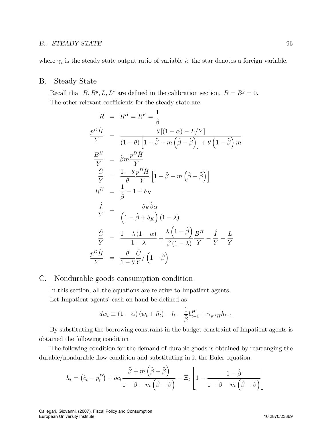#### B.. STEADY STATE 96

where  $\gamma_i$  is the steady state output ratio of variable *i*: the star denotes a foreign variable.

# B. Steady State

Recall that  $B, B^g, L, L^*$  are defined in the calibration section.  $B = B^g = 0$ . The other relevant coefficients for the steady state are

$$
R = R^{H} = R^{F} = \frac{1}{\hat{\beta}}
$$
\n
$$
\frac{p^{D}\tilde{H}}{Y} = \frac{\theta [(1-\alpha) - L/Y]}{(1-\theta) [1-\tilde{\beta} - m(\hat{\beta}-\tilde{\beta})] + \theta (1-\tilde{\beta}) m}
$$
\n
$$
\frac{B^{H}}{Y} = \hat{\beta} m \frac{p^{D}\tilde{H}}{Y}
$$
\n
$$
\frac{\tilde{C}}{Y} = \frac{1-\theta p^{D}\tilde{H}}{\theta Y} [1-\tilde{\beta} - m(\hat{\beta}-\tilde{\beta})]
$$
\n
$$
R^{K} = \frac{1}{\hat{\beta}} - 1 + \delta_{K}
$$
\n
$$
\frac{\hat{I}}{Y} = \frac{\delta_{K}\hat{\beta}\alpha}{(1-\hat{\beta}+\delta_{K})(1-\lambda)}
$$
\n
$$
\frac{\hat{C}}{Y} = \frac{1-\lambda(1-\alpha)}{1-\lambda} + \frac{\lambda(1-\hat{\beta})}{\hat{\beta}(1-\lambda)} \frac{B^{H}}{Y} - \frac{\hat{I}}{Y} - \frac{L}{Y}
$$
\n
$$
\frac{p^{D}\hat{H}}{Y} = \frac{\theta}{1-\theta}\frac{\hat{C}}{Y}/(1-\hat{\beta})
$$

## C. Nondurable goods consumption condition

In this section, all the equations are relative to Impatient agents. Let Impatient agents' cash-on-hand be defined as

$$
dw_t \equiv (1 - \alpha) (w_t + \tilde{n}_t) - l_t - \frac{1}{\hat{\beta}} b_{t-1}^H + \gamma_{p} \tilde{n}_{t-1}
$$

By substituting the borrowing constraint in the budget constraint of Impatient agents is obtained the following condition

The following condition for the demand of durable goods is obtained by rearranging the durable/nondurable flow condition and substituting in it the Euler equation

$$
\tilde{h}_t = (\tilde{c}_t - \bar{p}_t^D) + oc_t \frac{\tilde{\beta} + m\left(\hat{\beta} - \tilde{\beta}\right)}{1 - \tilde{\beta} - m\left(\hat{\beta} - \tilde{\beta}\right)} - \tilde{\Xi}_t \left[1 - \frac{1 - \hat{\beta}}{1 - \tilde{\beta} - m\left(\hat{\beta} - \tilde{\beta}\right)}\right]
$$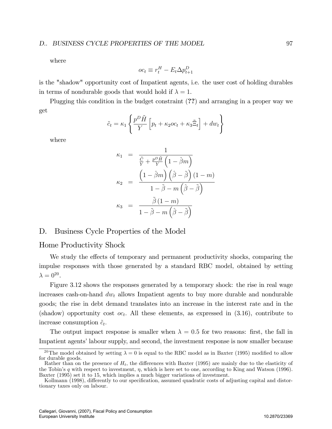where

$$
oc_t \equiv r_t^H - E_t \Delta p_{t+1}^D
$$

is the "shadow" opportunity cost of Impatient agents, i.e. the user cost of holding durables in terms of nondurable goods that would hold if  $\lambda = 1$ .

Plugging this condition in the budget constraint (??) and arranging in a proper way we get

$$
\tilde{c}_t = \kappa_1 \left\{ \frac{p^D \tilde{H}}{Y} \left[ p_t + \kappa_2 oc_t + \kappa_3 \tilde{\Xi}_t \right] + dw_t \right\}
$$

where

$$
\kappa_1 = \frac{1}{\frac{\tilde{C}}{\tilde{Y}} + \frac{p^D \tilde{H}}{Y} \left(1 - \hat{\beta}m\right)}
$$
\n
$$
\kappa_2 = \frac{\left(1 - \hat{\beta}m\right) \left(\hat{\beta} - \tilde{\beta}\right) (1 - m)}{1 - \tilde{\beta} - m \left(\hat{\beta} - \tilde{\beta}\right)}
$$
\n
$$
\kappa_3 = \frac{\tilde{\beta} (1 - m)}{1 - \tilde{\beta} - m \left(\hat{\beta} - \tilde{\beta}\right)}
$$

### D. Business Cycle Properties of the Model

### Home Productivity Shock

We study the effects of temporary and permanent productivity shocks, comparing the impulse responses with those generated by a standard RBC model, obtained by setting  $\lambda = 0^{20}$ .

Figure 3.12 shows the responses generated by a temporary shock: the rise in real wage increases cash-on-hand  $dw_t$  allows Impatient agents to buy more durable and nondurable goods; the rise in debt demand translates into an increase in the interest rate and in the (shadow) opportunity cost  $oc_t$ . All these elements, as expressed in (3.16), contribute to increase consumption  $\tilde{c}_t$ .

The output impact response is smaller when  $\lambda = 0.5$  for two reasons: first, the fall in Impatient agents' labour supply, and second, the investment response is now smaller because

<sup>&</sup>lt;sup>20</sup>The model obtained by setting  $\lambda = 0$  is equal to the RBC model as in Baxter (1995) modified to allow for durable goods.

Rather than on the presence of  $H_t$ , the differences with Baxter (1995) are mainly due to the elasticity of the Tobin's q with respect to investment,  $\eta$ , which is here set to one, according to King and Watson (1996). Baxter (1995) set it to 15, which implies a much bigger variations of investment.

Kollmann (1998), differently to our specification, assumed quadratic costs of adjusting capital and distortionary taxes only on labour.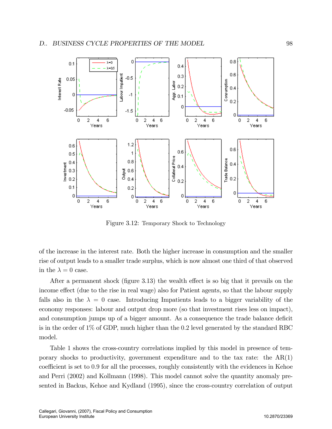

Figure 3.12: Temporary Shock to Technology

of the increase in the interest rate. Both the higher increase in consumption and the smaller rise of output leads to a smaller trade surplus, which is now almost one third of that observed in the  $\lambda = 0$  case.

After a permanent shock (figure 3.13) the wealth effect is so big that it prevails on the income effect (due to the rise in real wage) also for Patient agents, so that the labour supply falls also in the  $\lambda = 0$  case. Introducing Impatients leads to a bigger variability of the economy responses: labour and output drop more (so that investment rises less on impact), and consumption jumps up of a bigger amount. As a consequence the trade balance deficit is in the order of 1% of GDP, much higher than the 0:2 level generated by the standard RBC model.

Table 1 shows the cross-country correlations implied by this model in presence of temporary shocks to productivity, government expenditure and to the tax rate: the  $AR(1)$ coefficient is set to 0.9 for all the processes, roughly consistently with the evidences in Kehoe and Perri (2002) and Kollmann (1998). This model cannot solve the quantity anomaly presented in Backus, Kehoe and Kydland (1995), since the cross-country correlation of output